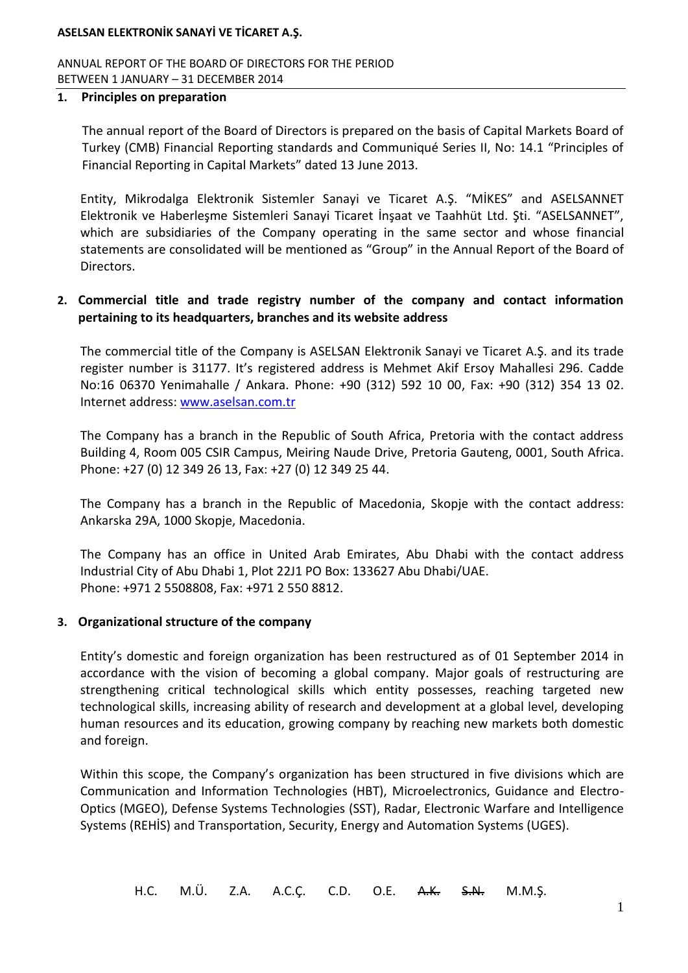ANNUAL REPORT OF THE BOARD OF DIRECTORS FOR THE PERIOD BETWEEN 1 JANUARY – 31 DECEMBER 2014

#### **1. Principles on preparation**

The annual report of the Board of Directors is prepared on the basis of Capital Markets Board of Turkey (CMB) Financial Reporting standards and Communiqué Series II, No: 14.1 "Principles of Financial Reporting in Capital Markets" dated 13 June 2013.

Entity, Mikrodalga Elektronik Sistemler Sanayi ve Ticaret A.Ş. "MİKES" and ASELSANNET Elektronik ve Haberleşme Sistemleri Sanayi Ticaret İnşaat ve Taahhüt Ltd. Şti. "ASELSANNET", which are subsidiaries of the Company operating in the same sector and whose financial statements are consolidated will be mentioned as "Group" in the Annual Report of the Board of Directors.

### **2. Commercial title and trade registry number of the company and contact information pertaining to its headquarters, branches and its website address**

The commercial title of the Company is ASELSAN Elektronik Sanayi ve Ticaret A.Ş. and its trade register number is 31177. It's registered address is Mehmet Akif Ersoy Mahallesi 296. Cadde No:16 06370 Yenimahalle / Ankara. Phone: +90 (312) 592 10 00, Fax: +90 (312) 354 13 02. Internet address: [www.aselsan.com.tr](http://www.aselsan.com.tr/)

The Company has a branch in the Republic of South Africa, Pretoria with the contact address Building 4, Room 005 CSIR Campus, Meiring Naude Drive, Pretoria Gauteng, 0001, South Africa. Phone: +27 (0) 12 349 26 13, Fax: +27 (0) 12 349 25 44.

The Company has a branch in the Republic of Macedonia, Skopje with the contact address: Ankarska 29A, 1000 Skopje, Macedonia.

The Company has an office in United Arab Emirates, Abu Dhabi with the contact address Industrial City of Abu Dhabi 1, Plot 22J1 PO Box: 133627 Abu Dhabi/UAE. Phone: +971 2 5508808, Fax: +971 2 550 8812.

### **3. Organizational structure of the company**

Entity's domestic and foreign organization has been restructured as of 01 September 2014 in accordance with the vision of becoming a global company. Major goals of restructuring are strengthening critical technological skills which entity possesses, reaching targeted new technological skills, increasing ability of research and development at a global level, developing human resources and its education, growing company by reaching new markets both domestic and foreign.

Within this scope, the Company's organization has been structured in five divisions which are Communication and Information Technologies (HBT), Microelectronics, Guidance and Electro-Optics (MGEO), Defense Systems Technologies (SST), Radar, Electronic Warfare and Intelligence Systems (REHİS) and Transportation, Security, Energy and Automation Systems (UGES).

H.C. M.Ü. Z.A. A.C.Ç. C.D. O.E. A.K. S.N. M.M.Ş.

1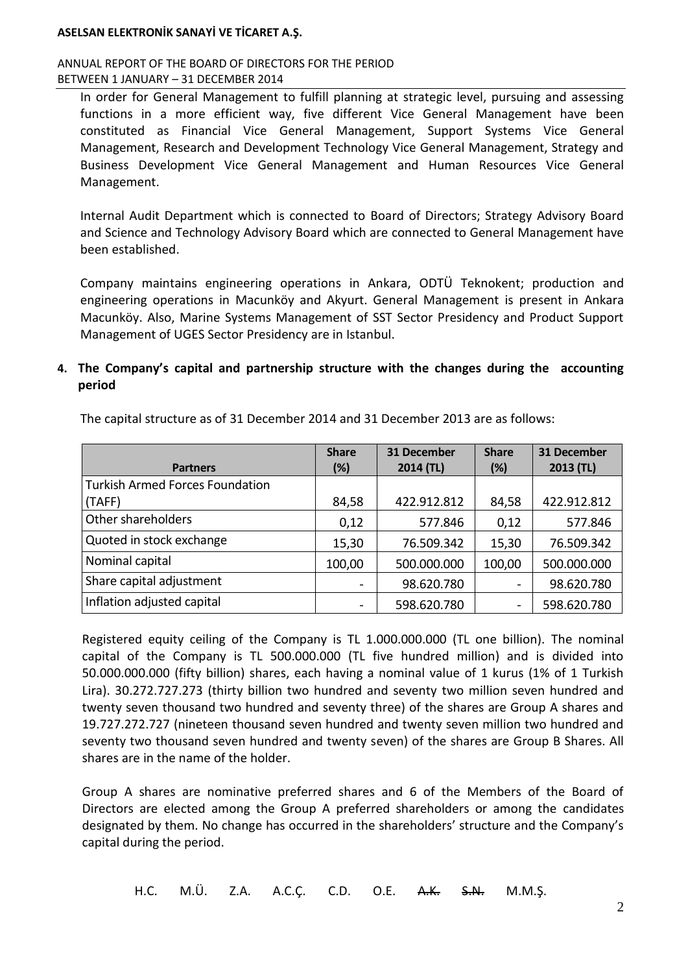ANNUAL REPORT OF THE BOARD OF DIRECTORS FOR THE PERIOD BETWEEN 1 JANUARY – 31 DECEMBER 2014

In order for General Management to fulfill planning at strategic level, pursuing and assessing functions in a more efficient way, five different Vice General Management have been constituted as Financial Vice General Management, Support Systems Vice General Management, Research and Development Technology Vice General Management, Strategy and Business Development Vice General Management and Human Resources Vice General Management.

Internal Audit Department which is connected to Board of Directors; Strategy Advisory Board and Science and Technology Advisory Board which are connected to General Management have been established.

Company maintains engineering operations in Ankara, ODTÜ Teknokent; production and engineering operations in Macunköy and Akyurt. General Management is present in Ankara Macunköy. Also, Marine Systems Management of SST Sector Presidency and Product Support Management of UGES Sector Presidency are in Istanbul.

## **4. The Company's capital and partnership structure with the changes during the accounting period**

| <b>Partners</b>                        | <b>Share</b><br>(%)      | 31 December<br>2014 (TL) | <b>Share</b><br>(%) | 31 December<br>2013 (TL) |
|----------------------------------------|--------------------------|--------------------------|---------------------|--------------------------|
| <b>Turkish Armed Forces Foundation</b> |                          |                          |                     |                          |
| (TAFF)                                 | 84,58                    | 422.912.812              | 84,58               | 422.912.812              |
| Other shareholders                     | 0,12                     | 577.846                  | 0,12                | 577.846                  |
| Quoted in stock exchange               | 15,30                    | 76.509.342               | 15,30               | 76.509.342               |
| Nominal capital                        | 100,00                   | 500.000.000              | 100,00              | 500.000.000              |
| Share capital adjustment               |                          | 98.620.780               |                     | 98.620.780               |
| Inflation adjusted capital             | $\overline{\phantom{a}}$ | 598.620.780              |                     | 598.620.780              |

The capital structure as of 31 December 2014 and 31 December 2013 are as follows:

Registered equity ceiling of the Company is TL 1.000.000.000 (TL one billion). The nominal capital of the Company is TL 500.000.000 (TL five hundred million) and is divided into 50.000.000.000 (fifty billion) shares, each having a nominal value of 1 kurus (1% of 1 Turkish Lira). 30.272.727.273 (thirty billion two hundred and seventy two million seven hundred and twenty seven thousand two hundred and seventy three) of the shares are Group A shares and 19.727.272.727 (nineteen thousand seven hundred and twenty seven million two hundred and seventy two thousand seven hundred and twenty seven) of the shares are Group B Shares. All shares are in the name of the holder.

Group A shares are nominative preferred shares and 6 of the Members of the Board of Directors are elected among the Group A preferred shareholders or among the candidates designated by them. No change has occurred in the shareholders' structure and the Company's capital during the period.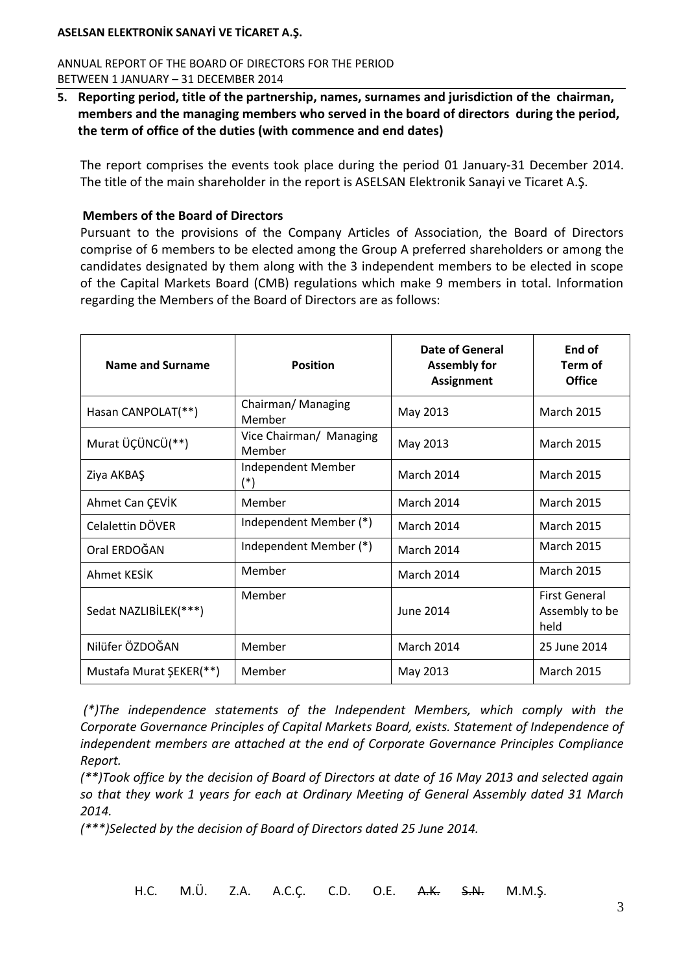ANNUAL REPORT OF THE BOARD OF DIRECTORS FOR THE PERIOD BETWEEN 1 JANUARY – 31 DECEMBER 2014

**5. Reporting period, title of the partnership, names, surnames and jurisdiction of the chairman, members and the managing members who served in the board of directors during the period, the term of office of the duties (with commence and end dates)** 

The report comprises the events took place during the period 01 January-31 December 2014. The title of the main shareholder in the report is ASELSAN Elektronik Sanayi ve Ticaret A.Ş.

### **Members of the Board of Directors**

Pursuant to the provisions of the Company Articles of Association, the Board of Directors comprise of 6 members to be elected among the Group A preferred shareholders or among the candidates designated by them along with the 3 independent members to be elected in scope of the Capital Markets Board (CMB) regulations which make 9 members in total. Information regarding the Members of the Board of Directors are as follows:

| Name and Surname                                                                     | <b>Position</b>                   | <b>Date of General</b><br><b>Assembly for</b><br><b>Assignment</b> | End of<br>Term of<br><b>Office</b>             |
|--------------------------------------------------------------------------------------|-----------------------------------|--------------------------------------------------------------------|------------------------------------------------|
| Hasan CANPOLAT(**)                                                                   | Chairman/ Managing<br>Member      | May 2013                                                           | <b>March 2015</b>                              |
| Murat ÜÇÜNCÜ(**)                                                                     | Vice Chairman/ Managing<br>Member | May 2013                                                           | <b>March 2015</b>                              |
| Independent Member<br>Ziya AKBAŞ<br>$(*)$                                            |                                   | March 2014                                                         | <b>March 2015</b>                              |
| Ahmet Can ÇEVİK                                                                      | Member                            | March 2014                                                         | <b>March 2015</b>                              |
| Independent Member (*)<br>Celalettin DÖVER<br>Independent Member (*)<br>Oral ERDOĞAN |                                   | March 2014                                                         | <b>March 2015</b>                              |
|                                                                                      |                                   | March 2014                                                         | <b>March 2015</b>                              |
| Ahmet KESİK                                                                          | Member                            | March 2014                                                         | <b>March 2015</b>                              |
| Sedat NAZLIBİLEK(***)                                                                | Member                            | June 2014                                                          | <b>First General</b><br>Assembly to be<br>held |
| Nilüfer ÖZDOĞAN                                                                      | Member                            | March 2014                                                         | 25 June 2014                                   |
| Mustafa Murat ŞEKER(**)                                                              | Member                            | May 2013                                                           | <b>March 2015</b>                              |

*(\*)The independence statements of the Independent Members, which comply with the Corporate Governance Principles of Capital Markets Board, exists. Statement of Independence of independent members are attached at the end of Corporate Governance Principles Compliance Report.*

*(\*\*)Took office by the decision of Board of Directors at date of 16 May 2013 and selected again so that they work 1 years for each at Ordinary Meeting of General Assembly dated 31 March 2014.*

*(\*\*\*)Selected by the decision of Board of Directors dated 25 June 2014.*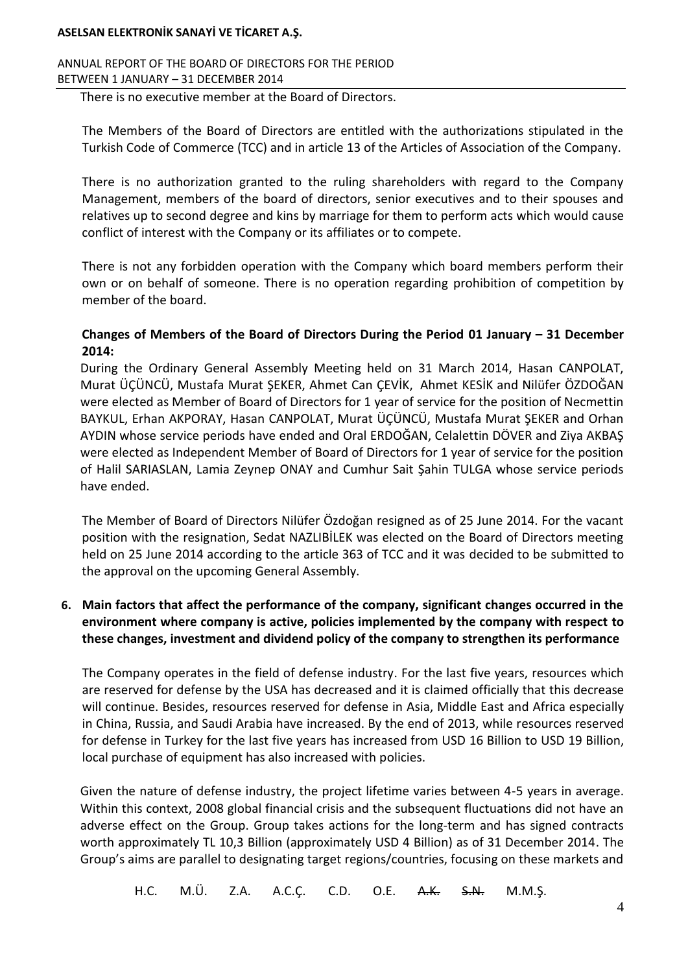ANNUAL REPORT OF THE BOARD OF DIRECTORS FOR THE PERIOD BETWEEN 1 JANUARY – 31 DECEMBER 2014

There is no executive member at the Board of Directors.

The Members of the Board of Directors are entitled with the authorizations stipulated in the Turkish Code of Commerce (TCC) and in article 13 of the Articles of Association of the Company.

There is no authorization granted to the ruling shareholders with regard to the Company Management, members of the board of directors, senior executives and to their spouses and relatives up to second degree and kins by marriage for them to perform acts which would cause conflict of interest with the Company or its affiliates or to compete.

There is not any forbidden operation with the Company which board members perform their own or on behalf of someone. There is no operation regarding prohibition of competition by member of the board.

### **Changes of Members of the Board of Directors During the Period 01 January – 31 December 2014:**

During the Ordinary General Assembly Meeting held on 31 March 2014, Hasan CANPOLAT, Murat ÜÇÜNCÜ, Mustafa Murat ŞEKER, Ahmet Can ÇEVİK, Ahmet KESİK and Nilüfer ÖZDOĞAN were elected as Member of Board of Directors for 1 year of service for the position of Necmettin BAYKUL, Erhan AKPORAY, Hasan CANPOLAT, Murat ÜÇÜNCÜ, Mustafa Murat ŞEKER and Orhan AYDIN whose service periods have ended and Oral ERDOĞAN, Celalettin DÖVER and Ziya AKBAŞ were elected as Independent Member of Board of Directors for 1 year of service for the position of Halil SARIASLAN, Lamia Zeynep ONAY and Cumhur Sait Şahin TULGA whose service periods have ended.

The Member of Board of Directors Nilüfer Özdoğan resigned as of 25 June 2014. For the vacant position with the resignation, Sedat NAZLIBİLEK was elected on the Board of Directors meeting held on 25 June 2014 according to the article 363 of TCC and it was decided to be submitted to the approval on the upcoming General Assembly.

## **6. Main factors that affect the performance of the company, significant changes occurred in the environment where company is active, policies implemented by the company with respect to these changes, investment and dividend policy of the company to strengthen its performance**

The Company operates in the field of defense industry. For the last five years, resources which are reserved for defense by the USA has decreased and it is claimed officially that this decrease will continue. Besides, resources reserved for defense in Asia, Middle East and Africa especially in China, Russia, and Saudi Arabia have increased. By the end of 2013, while resources reserved for defense in Turkey for the last five years has increased from USD 16 Billion to USD 19 Billion, local purchase of equipment has also increased with policies.

Given the nature of defense industry, the project lifetime varies between 4-5 years in average. Within this context, 2008 global financial crisis and the subsequent fluctuations did not have an adverse effect on the Group. Group takes actions for the long-term and has signed contracts worth approximately TL 10,3 Billion (approximately USD 4 Billion) as of 31 December 2014. The Group's aims are parallel to designating target regions/countries, focusing on these markets and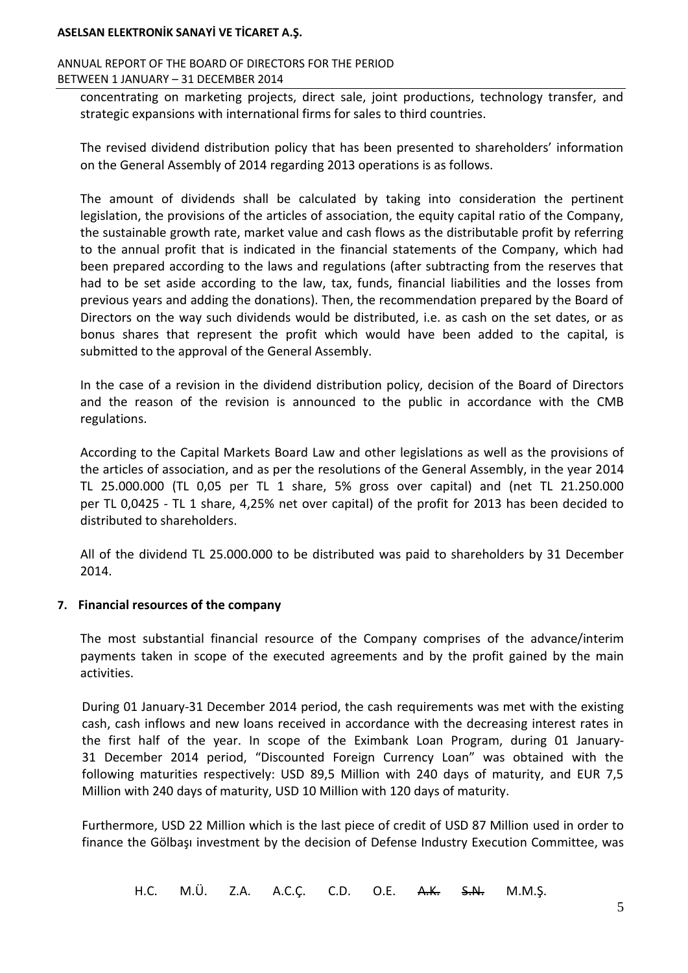#### ANNUAL REPORT OF THE BOARD OF DIRECTORS FOR THE PERIOD BETWEEN 1 JANUARY – 31 DECEMBER 2014

concentrating on marketing projects, direct sale, joint productions, technology transfer, and strategic expansions with international firms for sales to third countries.

The revised dividend distribution policy that has been presented to shareholders' information on the General Assembly of 2014 regarding 2013 operations is as follows.

The amount of dividends shall be calculated by taking into consideration the pertinent legislation, the provisions of the articles of association, the equity capital ratio of the Company, the sustainable growth rate, market value and cash flows as the distributable profit by referring to the annual profit that is indicated in the financial statements of the Company, which had been prepared according to the laws and regulations (after subtracting from the reserves that had to be set aside according to the law, tax, funds, financial liabilities and the losses from previous years and adding the donations). Then, the recommendation prepared by the Board of Directors on the way such dividends would be distributed, i.e. as cash on the set dates, or as bonus shares that represent the profit which would have been added to the capital, is submitted to the approval of the General Assembly.

In the case of a revision in the dividend distribution policy, decision of the Board of Directors and the reason of the revision is announced to the public in accordance with the CMB regulations.

According to the Capital Markets Board Law and other legislations as well as the provisions of the articles of association, and as per the resolutions of the General Assembly, in the year 2014 TL 25.000.000 (TL 0,05 per TL 1 share, 5% gross over capital) and (net TL 21.250.000 per TL 0,0425 - TL 1 share, 4,25% net over capital) of the profit for 2013 has been decided to distributed to shareholders.

All of the dividend TL 25.000.000 to be distributed was paid to shareholders by 31 December 2014.

### **7. Financial resources of the company**

The most substantial financial resource of the Company comprises of the advance/interim payments taken in scope of the executed agreements and by the profit gained by the main activities.

During 01 January-31 December 2014 period, the cash requirements was met with the existing cash, cash inflows and new loans received in accordance with the decreasing interest rates in the first half of the year. In scope of the Eximbank Loan Program, during 01 January-31 December 2014 period, "Discounted Foreign Currency Loan" was obtained with the following maturities respectively: USD 89,5 Million with 240 days of maturity, and EUR 7,5 Million with 240 days of maturity, USD 10 Million with 120 days of maturity.

Furthermore, USD 22 Million which is the last piece of credit of USD 87 Million used in order to finance the Gölbaşı investment by the decision of Defense Industry Execution Committee, was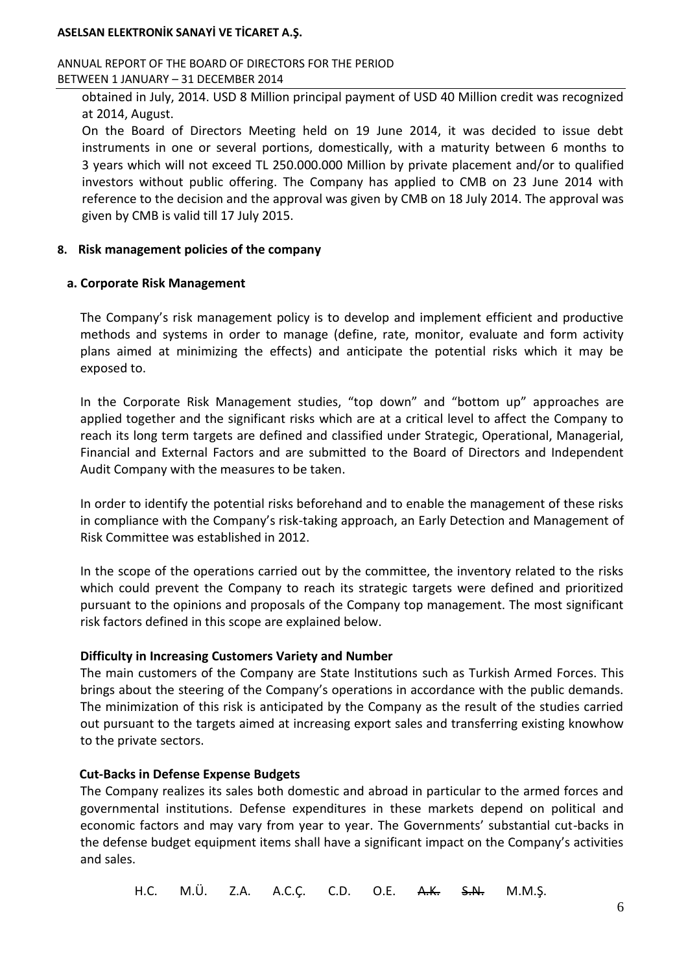ANNUAL REPORT OF THE BOARD OF DIRECTORS FOR THE PERIOD BETWEEN 1 JANUARY – 31 DECEMBER 2014

obtained in July, 2014. USD 8 Million principal payment of USD 40 Million credit was recognized at 2014, August.

On the Board of Directors Meeting held on 19 June 2014, it was decided to issue debt instruments in one or several portions, domestically, with a maturity between 6 months to 3 years which will not exceed TL 250.000.000 Million by private placement and/or to qualified investors without public offering. The Company has applied to CMB on 23 June 2014 with reference to the decision and the approval was given by CMB on 18 July 2014. The approval was given by CMB is valid till 17 July 2015.

### **8. Risk management policies of the company**

#### **a. Corporate Risk Management**

The Company's risk management policy is to develop and implement efficient and productive methods and systems in order to manage (define, rate, monitor, evaluate and form activity plans aimed at minimizing the effects) and anticipate the potential risks which it may be exposed to.

In the Corporate Risk Management studies, "top down" and "bottom up" approaches are applied together and the significant risks which are at a critical level to affect the Company to reach its long term targets are defined and classified under Strategic, Operational, Managerial, Financial and External Factors and are submitted to the Board of Directors and Independent Audit Company with the measures to be taken.

In order to identify the potential risks beforehand and to enable the management of these risks in compliance with the Company's risk-taking approach, an Early Detection and Management of Risk Committee was established in 2012.

In the scope of the operations carried out by the committee, the inventory related to the risks which could prevent the Company to reach its strategic targets were defined and prioritized pursuant to the opinions and proposals of the Company top management. The most significant risk factors defined in this scope are explained below.

### **Difficulty in Increasing Customers Variety and Number**

The main customers of the Company are State Institutions such as Turkish Armed Forces. This brings about the steering of the Company's operations in accordance with the public demands. The minimization of this risk is anticipated by the Company as the result of the studies carried out pursuant to the targets aimed at increasing export sales and transferring existing knowhow to the private sectors.

### **Cut-Backs in Defense Expense Budgets**

The Company realizes its sales both domestic and abroad in particular to the armed forces and governmental institutions. Defense expenditures in these markets depend on political and economic factors and may vary from year to year. The Governments' substantial cut-backs in the defense budget equipment items shall have a significant impact on the Company's activities and sales.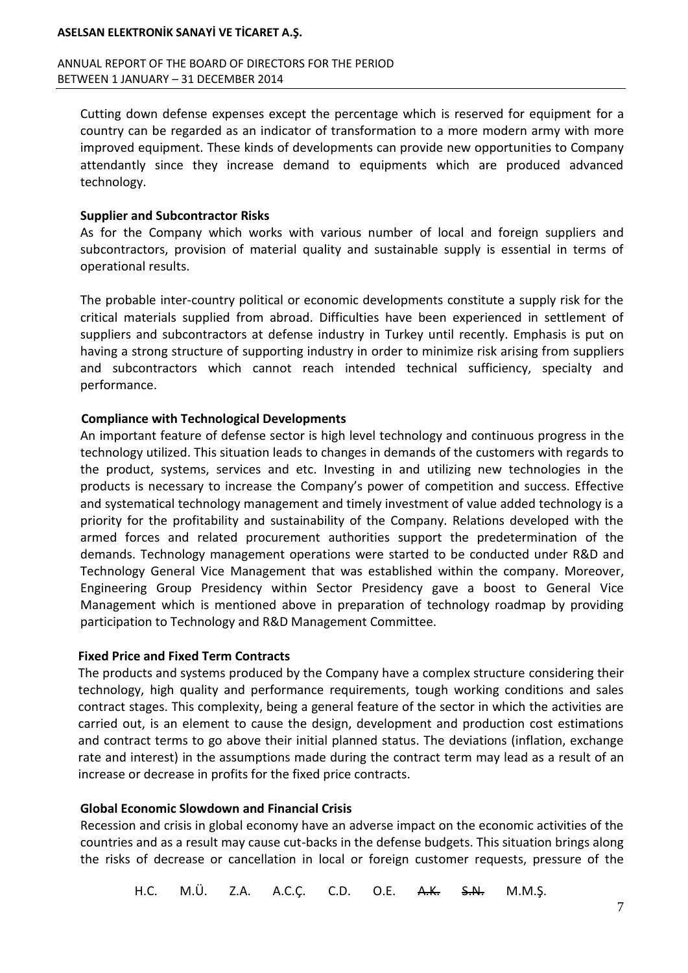#### ANNUAL REPORT OF THE BOARD OF DIRECTORS FOR THE PERIOD BETWEEN 1 JANUARY – 31 DECEMBER 2014

Cutting down defense expenses except the percentage which is reserved for equipment for a country can be regarded as an indicator of transformation to a more modern army with more improved equipment. These kinds of developments can provide new opportunities to Company attendantly since they increase demand to equipments which are produced advanced technology.

#### **Supplier and Subcontractor Risks**

As for the Company which works with various number of local and foreign suppliers and subcontractors, provision of material quality and sustainable supply is essential in terms of operational results.

The probable inter-country political or economic developments constitute a supply risk for the critical materials supplied from abroad. Difficulties have been experienced in settlement of suppliers and subcontractors at defense industry in Turkey until recently. Emphasis is put on having a strong structure of supporting industry in order to minimize risk arising from suppliers and subcontractors which cannot reach intended technical sufficiency, specialty and performance.

### **Compliance with Technological Developments**

An important feature of defense sector is high level technology and continuous progress in the technology utilized. This situation leads to changes in demands of the customers with regards to the product, systems, services and etc. Investing in and utilizing new technologies in the products is necessary to increase the Company's power of competition and success. Effective and systematical technology management and timely investment of value added technology is a priority for the profitability and sustainability of the Company. Relations developed with the armed forces and related procurement authorities support the predetermination of the demands. Technology management operations were started to be conducted under R&D and Technology General Vice Management that was established within the company. Moreover, Engineering Group Presidency within Sector Presidency gave a boost to General Vice Management which is mentioned above in preparation of technology roadmap by providing participation to Technology and R&D Management Committee.

### **Fixed Price and Fixed Term Contracts**

The products and systems produced by the Company have a complex structure considering their technology, high quality and performance requirements, tough working conditions and sales contract stages. This complexity, being a general feature of the sector in which the activities are carried out, is an element to cause the design, development and production cost estimations and contract terms to go above their initial planned status. The deviations (inflation, exchange rate and interest) in the assumptions made during the contract term may lead as a result of an increase or decrease in profits for the fixed price contracts.

### **Global Economic Slowdown and Financial Crisis**

Recession and crisis in global economy have an adverse impact on the economic activities of the countries and as a result may cause cut-backs in the defense budgets. This situation brings along the risks of decrease or cancellation in local or foreign customer requests, pressure of the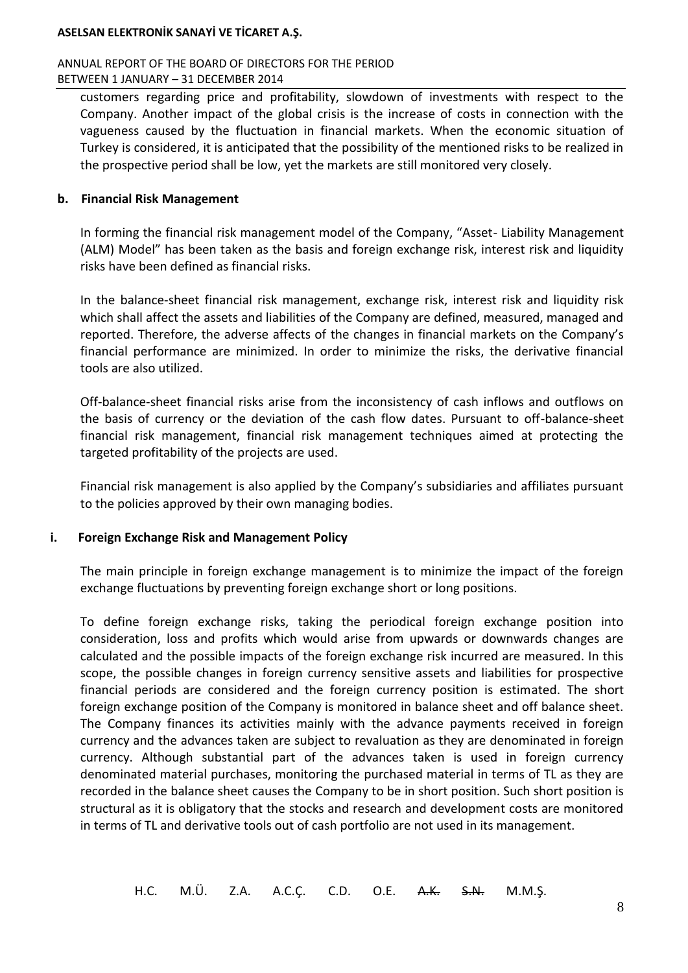#### ANNUAL REPORT OF THE BOARD OF DIRECTORS FOR THE PERIOD BETWEEN 1 JANUARY – 31 DECEMBER 2014

customers regarding price and profitability, slowdown of investments with respect to the Company. Another impact of the global crisis is the increase of costs in connection with the vagueness caused by the fluctuation in financial markets. When the economic situation of Turkey is considered, it is anticipated that the possibility of the mentioned risks to be realized in the prospective period shall be low, yet the markets are still monitored very closely.

### **b. Financial Risk Management**

In forming the financial risk management model of the Company, "Asset- Liability Management (ALM) Model" has been taken as the basis and foreign exchange risk, interest risk and liquidity risks have been defined as financial risks.

In the balance-sheet financial risk management, exchange risk, interest risk and liquidity risk which shall affect the assets and liabilities of the Company are defined, measured, managed and reported. Therefore, the adverse affects of the changes in financial markets on the Company's financial performance are minimized. In order to minimize the risks, the derivative financial tools are also utilized.

Off-balance-sheet financial risks arise from the inconsistency of cash inflows and outflows on the basis of currency or the deviation of the cash flow dates. Pursuant to off-balance-sheet financial risk management, financial risk management techniques aimed at protecting the targeted profitability of the projects are used.

Financial risk management is also applied by the Company's subsidiaries and affiliates pursuant to the policies approved by their own managing bodies.

### **i. Foreign Exchange Risk and Management Policy**

The main principle in foreign exchange management is to minimize the impact of the foreign exchange fluctuations by preventing foreign exchange short or long positions.

To define foreign exchange risks, taking the periodical foreign exchange position into consideration, loss and profits which would arise from upwards or downwards changes are calculated and the possible impacts of the foreign exchange risk incurred are measured. In this scope, the possible changes in foreign currency sensitive assets and liabilities for prospective financial periods are considered and the foreign currency position is estimated. The short foreign exchange position of the Company is monitored in balance sheet and off balance sheet. The Company finances its activities mainly with the advance payments received in foreign currency and the advances taken are subject to revaluation as they are denominated in foreign currency. Although substantial part of the advances taken is used in foreign currency denominated material purchases, monitoring the purchased material in terms of TL as they are recorded in the balance sheet causes the Company to be in short position. Such short position is structural as it is obligatory that the stocks and research and development costs are monitored in terms of TL and derivative tools out of cash portfolio are not used in its management.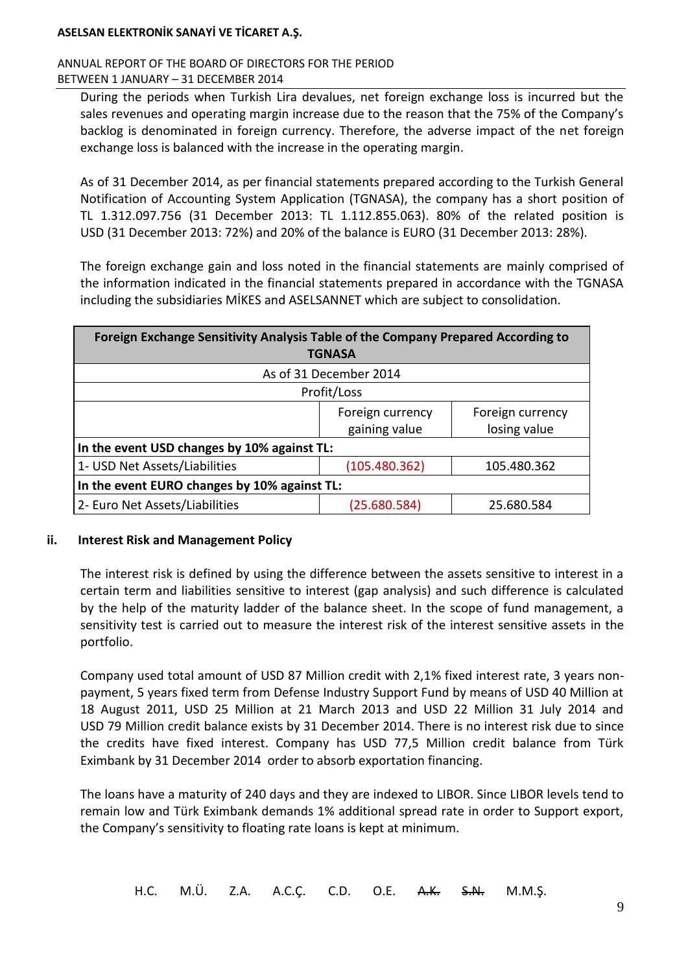### ANNUAL REPORT OF THE BOARD OF DIRECTORS FOR THE PERIOD BETWEEN 1 JANUARY – 31 DECEMBER 2014

During the periods when Turkish Lira devalues, net foreign exchange loss is incurred but the sales revenues and operating margin increase due to the reason that the 75% of the Company's backlog is denominated in foreign currency. Therefore, the adverse impact of the net foreign exchange loss is balanced with the increase in the operating margin.

As of 31 December 2014, as per financial statements prepared according to the Turkish General Notification of Accounting System Application (TGNASA), the company has a short position of TL 1.312.097.756 (31 December 2013: TL 1.112.855.063). 80% of the related position is USD (31 December 2013: 72%) and 20% of the balance is EURO (31 December 2013: 28%).

The foreign exchange gain and loss noted in the financial statements are mainly comprised of the information indicated in the financial statements prepared in accordance with the TGNASA including the subsidiaries MİKES and ASELSANNET which are subject to consolidation.

| Foreign Exchange Sensitivity Analysis Table of the Company Prepared According to<br><b>TGNASA</b> |               |              |  |  |
|---------------------------------------------------------------------------------------------------|---------------|--------------|--|--|
| As of 31 December 2014                                                                            |               |              |  |  |
| Profit/Loss                                                                                       |               |              |  |  |
| Foreign currency<br>Foreign currency                                                              |               |              |  |  |
|                                                                                                   | gaining value | losing value |  |  |
| In the event USD changes by 10% against TL:                                                       |               |              |  |  |
| 1- USD Net Assets/Liabilities<br>(105.480.362)<br>105.480.362                                     |               |              |  |  |
| In the event EURO changes by 10% against TL:                                                      |               |              |  |  |
| 2- Euro Net Assets/Liabilities<br>(25.680.584)<br>25.680.584                                      |               |              |  |  |

### **ii. Interest Risk and Management Policy**

The interest risk is defined by using the difference between the assets sensitive to interest in a certain term and liabilities sensitive to interest (gap analysis) and such difference is calculated by the help of the maturity ladder of the balance sheet. In the scope of fund management, a sensitivity test is carried out to measure the interest risk of the interest sensitive assets in the portfolio.

Company used total amount of USD 87 Million credit with 2,1% fixed interest rate, 3 years nonpayment, 5 years fixed term from Defense Industry Support Fund by means of USD 40 Million at 18 August 2011, USD 25 Million at 21 March 2013 and USD 22 Million 31 July 2014 and USD 79 Million credit balance exists by 31 December 2014. There is no interest risk due to since the credits have fixed interest. Company has USD 77,5 Million credit balance from Türk Eximbank by 31 December 2014 order to absorb exportation financing.

The loans have a maturity of 240 days and they are indexed to LIBOR. Since LIBOR levels tend to remain low and Türk Eximbank demands 1% additional spread rate in order to Support export, the Company's sensitivity to floating rate loans is kept at minimum.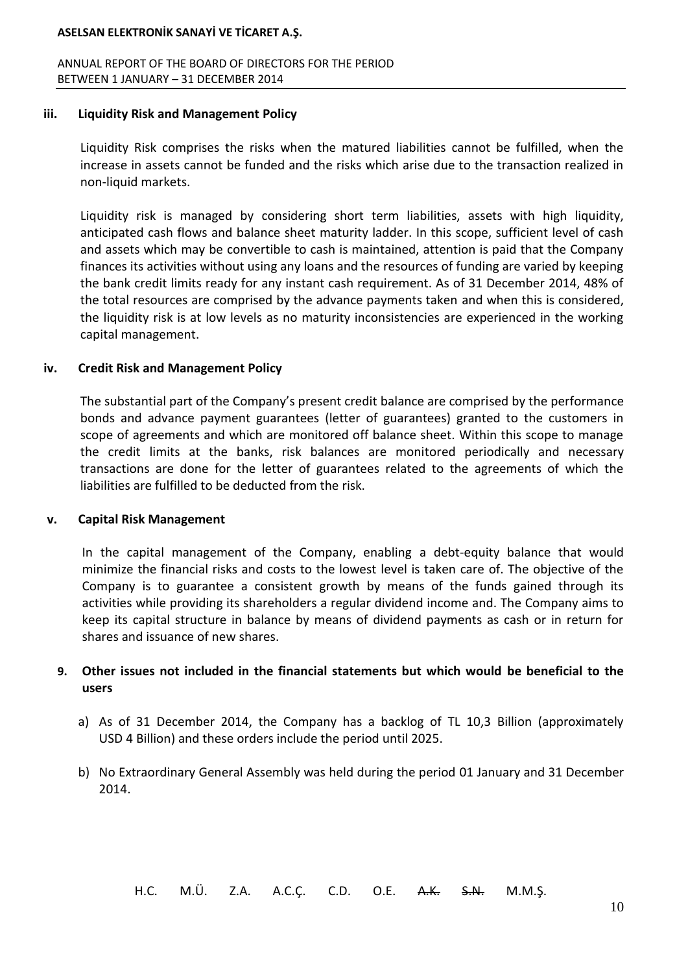ANNUAL REPORT OF THE BOARD OF DIRECTORS FOR THE PERIOD BETWEEN 1 JANUARY – 31 DECEMBER 2014

#### **iii. Liquidity Risk and Management Policy**

Liquidity Risk comprises the risks when the matured liabilities cannot be fulfilled, when the increase in assets cannot be funded and the risks which arise due to the transaction realized in non-liquid markets.

Liquidity risk is managed by considering short term liabilities, assets with high liquidity, anticipated cash flows and balance sheet maturity ladder. In this scope, sufficient level of cash and assets which may be convertible to cash is maintained, attention is paid that the Company finances its activities without using any loans and the resources of funding are varied by keeping the bank credit limits ready for any instant cash requirement. As of 31 December 2014, 48% of the total resources are comprised by the advance payments taken and when this is considered, the liquidity risk is at low levels as no maturity inconsistencies are experienced in the working capital management.

#### **iv. Credit Risk and Management Policy**

The substantial part of the Company's present credit balance are comprised by the performance bonds and advance payment guarantees (letter of guarantees) granted to the customers in scope of agreements and which are monitored off balance sheet. Within this scope to manage the credit limits at the banks, risk balances are monitored periodically and necessary transactions are done for the letter of guarantees related to the agreements of which the liabilities are fulfilled to be deducted from the risk.

#### **v. Capital Risk Management**

In the capital management of the Company, enabling a debt-equity balance that would minimize the financial risks and costs to the lowest level is taken care of. The objective of the Company is to guarantee a consistent growth by means of the funds gained through its activities while providing its shareholders a regular dividend income and. The Company aims to keep its capital structure in balance by means of dividend payments as cash or in return for shares and issuance of new shares.

## **9. Other issues not included in the financial statements but which would be beneficial to the users**

- a) As of 31 December 2014, the Company has a backlog of TL 10,3 Billion (approximately USD 4 Billion) and these orders include the period until 2025.
- b) No Extraordinary General Assembly was held during the period 01 January and 31 December 2014.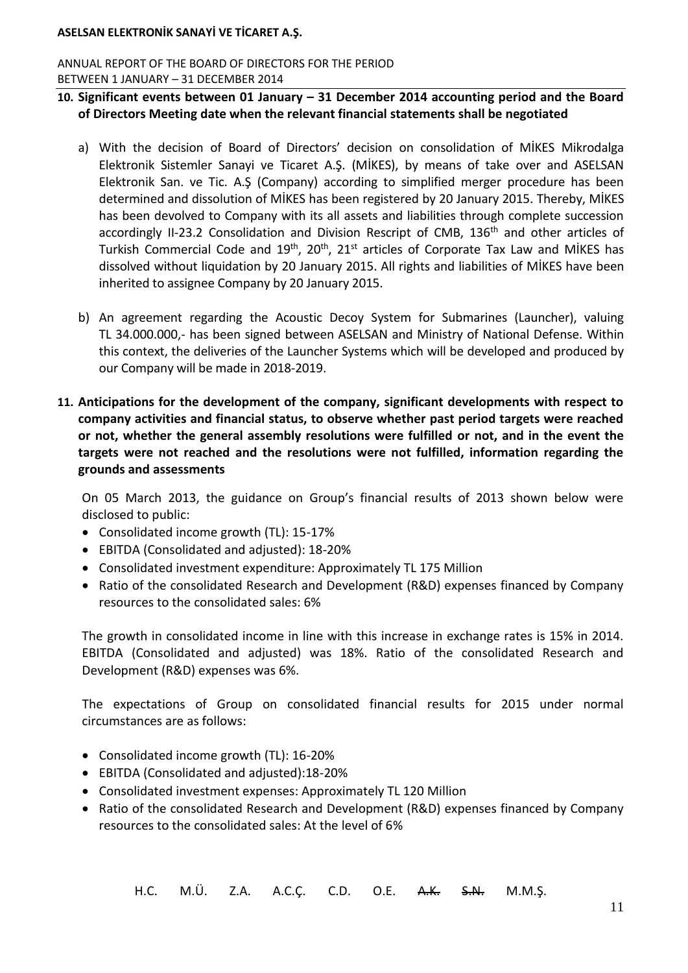ANNUAL REPORT OF THE BOARD OF DIRECTORS FOR THE PERIOD BETWEEN 1 JANUARY – 31 DECEMBER 2014

## **10. Significant events between 01 January – 31 December 2014 accounting period and the Board of Directors Meeting date when the relevant financial statements shall be negotiated**

- a) With the decision of Board of Directors' decision on consolidation of MİKES Mikrodalga Elektronik Sistemler Sanayi ve Ticaret A.Ş. (MİKES), by means of take over and ASELSAN Elektronik San. ve Tic. A.Ş (Company) according to simplified merger procedure has been determined and dissolution of MİKES has been registered by 20 January 2015. Thereby, MİKES has been devolved to Company with its all assets and liabilities through complete succession accordingly II-23.2 Consolidation and Division Rescript of CMB, 136<sup>th</sup> and other articles of Turkish Commercial Code and  $19<sup>th</sup>$ ,  $20<sup>th</sup>$ ,  $21<sup>st</sup>$  articles of Corporate Tax Law and MİKES has dissolved without liquidation by 20 January 2015. All rights and liabilities of MİKES have been inherited to assignee Company by 20 January 2015.
- b) An agreement regarding the Acoustic Decoy System for Submarines (Launcher), valuing TL 34.000.000,- has been signed between ASELSAN and Ministry of National Defense. Within this context, the deliveries of the Launcher Systems which will be developed and produced by our Company will be made in 2018-2019.
- **11. Anticipations for the development of the company, significant developments with respect to company activities and financial status, to observe whether past period targets were reached or not, whether the general assembly resolutions were fulfilled or not, and in the event the targets were not reached and the resolutions were not fulfilled, information regarding the grounds and assessments**

On 05 March 2013, the guidance on Group's financial results of 2013 shown below were disclosed to public:

- Consolidated income growth (TL): 15-17%
- EBITDA (Consolidated and adjusted): 18-20%
- Consolidated investment expenditure: Approximately TL 175 Million
- Ratio of the consolidated Research and Development (R&D) expenses financed by Company resources to the consolidated sales: 6%

The growth in consolidated income in line with this increase in exchange rates is 15% in 2014. EBITDA (Consolidated and adjusted) was 18%. Ratio of the consolidated Research and Development (R&D) expenses was 6%.

The expectations of Group on consolidated financial results for 2015 under normal circumstances are as follows:

- Consolidated income growth (TL): 16-20%
- EBITDA (Consolidated and adjusted):18-20%
- Consolidated investment expenses: Approximately TL 120 Million
- Ratio of the consolidated Research and Development (R&D) expenses financed by Company resources to the consolidated sales: At the level of 6%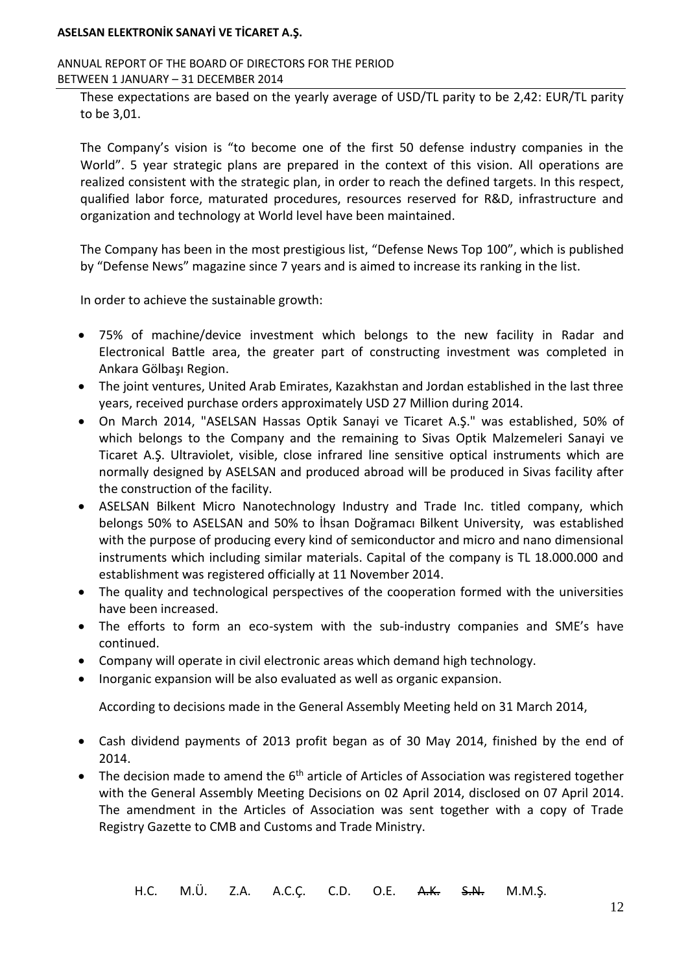#### ANNUAL REPORT OF THE BOARD OF DIRECTORS FOR THE PERIOD BETWEEN 1 JANUARY – 31 DECEMBER 2014

These expectations are based on the yearly average of USD/TL parity to be 2,42: EUR/TL parity to be 3,01.

The Company's vision is "to become one of the first 50 defense industry companies in the World". 5 year strategic plans are prepared in the context of this vision. All operations are realized consistent with the strategic plan, in order to reach the defined targets. In this respect, qualified labor force, maturated procedures, resources reserved for R&D, infrastructure and organization and technology at World level have been maintained.

The Company has been in the most prestigious list, "Defense News Top 100", which is published by "Defense News" magazine since 7 years and is aimed to increase its ranking in the list.

In order to achieve the sustainable growth:

- 75% of machine/device investment which belongs to the new facility in Radar and Electronical Battle area, the greater part of constructing investment was completed in Ankara Gölbaşı Region.
- The joint ventures, United Arab Emirates, Kazakhstan and Jordan established in the last three years, received purchase orders approximately USD 27 Million during 2014.
- On March 2014, "ASELSAN Hassas Optik Sanayi ve Ticaret A.Ş." was established, 50% of which belongs to the Company and the remaining to Sivas Optik Malzemeleri Sanayi ve Ticaret A.Ş. Ultraviolet, visible, close infrared line sensitive optical instruments which are normally designed by ASELSAN and produced abroad will be produced in Sivas facility after the construction of the facility.
- ASELSAN Bilkent Micro Nanotechnology Industry and Trade Inc. titled company, which belongs 50% to ASELSAN and 50% to İhsan Doğramacı Bilkent University, was established with the purpose of producing every kind of semiconductor and micro and nano dimensional instruments which including similar materials. Capital of the company is TL 18.000.000 and establishment was registered officially at 11 November 2014.
- The quality and technological perspectives of the cooperation formed with the universities have been increased.
- The efforts to form an eco-system with the sub-industry companies and SME's have continued.
- Company will operate in civil electronic areas which demand high technology.
- Inorganic expansion will be also evaluated as well as organic expansion.

According to decisions made in the General Assembly Meeting held on 31 March 2014,

- Cash dividend payments of 2013 profit began as of 30 May 2014, finished by the end of 2014.
- $\bullet$  The decision made to amend the  $6^{\text{th}}$  article of Articles of Association was registered together with the General Assembly Meeting Decisions on 02 April 2014, disclosed on 07 April 2014. The amendment in the Articles of Association was sent together with a copy of Trade Registry Gazette to CMB and Customs and Trade Ministry.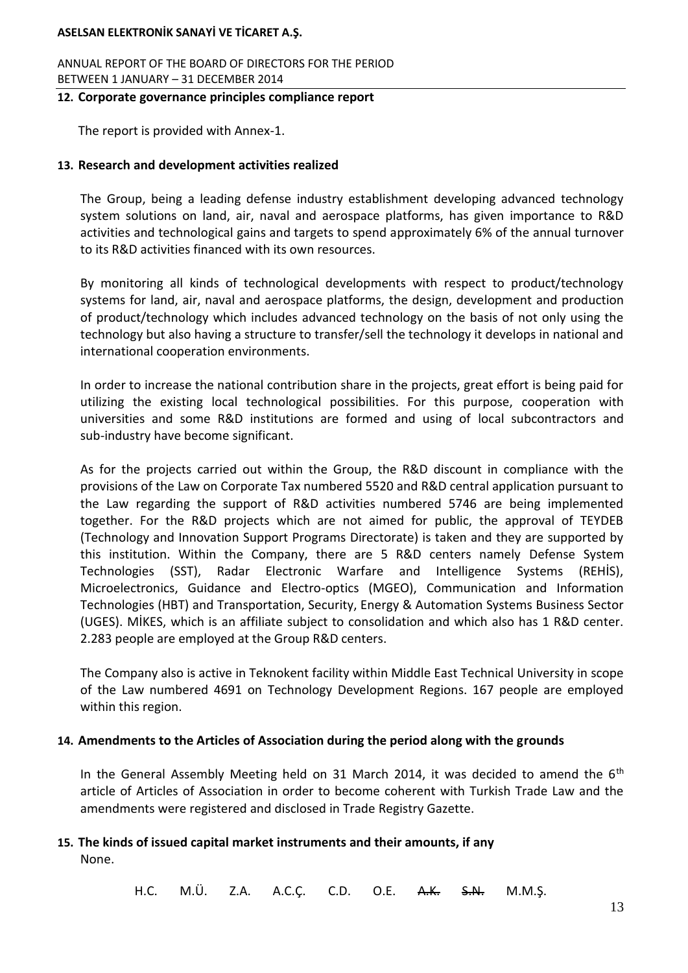ANNUAL REPORT OF THE BOARD OF DIRECTORS FOR THE PERIOD BETWEEN 1 JANUARY – 31 DECEMBER 2014

#### **12. Corporate governance principles compliance report**

The report is provided with Annex-1.

# **13. Research and development activities realized**

The Group, being a leading defense industry establishment developing advanced technology system solutions on land, air, naval and aerospace platforms, has given importance to R&D activities and technological gains and targets to spend approximately 6% of the annual turnover to its R&D activities financed with its own resources.

By monitoring all kinds of technological developments with respect to product/technology systems for land, air, naval and aerospace platforms, the design, development and production of product/technology which includes advanced technology on the basis of not only using the technology but also having a structure to transfer/sell the technology it develops in national and international cooperation environments.

In order to increase the national contribution share in the projects, great effort is being paid for utilizing the existing local technological possibilities. For this purpose, cooperation with universities and some R&D institutions are formed and using of local subcontractors and sub-industry have become significant.

As for the projects carried out within the Group, the R&D discount in compliance with the provisions of the Law on Corporate Tax numbered 5520 and R&D central application pursuant to the Law regarding the support of R&D activities numbered 5746 are being implemented together. For the R&D projects which are not aimed for public, the approval of TEYDEB (Technology and Innovation Support Programs Directorate) is taken and they are supported by this institution. Within the Company, there are 5 R&D centers namely Defense System Technologies (SST), Radar Electronic Warfare and Intelligence Systems (REHİS), Microelectronics, Guidance and Electro-optics (MGEO), Communication and Information Technologies (HBT) and Transportation, Security, Energy & Automation Systems Business Sector (UGES). MİKES, which is an affiliate subject to consolidation and which also has 1 R&D center. 2.283 people are employed at the Group R&D centers.

The Company also is active in Teknokent facility within Middle East Technical University in scope of the Law numbered 4691 on Technology Development Regions. 167 people are employed within this region.

# **14. Amendments to the Articles of Association during the period along with the grounds**

In the General Assembly Meeting held on 31 March 2014, it was decided to amend the  $6<sup>th</sup>$ article of Articles of Association in order to become coherent with Turkish Trade Law and the amendments were registered and disclosed in Trade Registry Gazette.

### **15. The kinds of issued capital market instruments and their amounts, if any** None.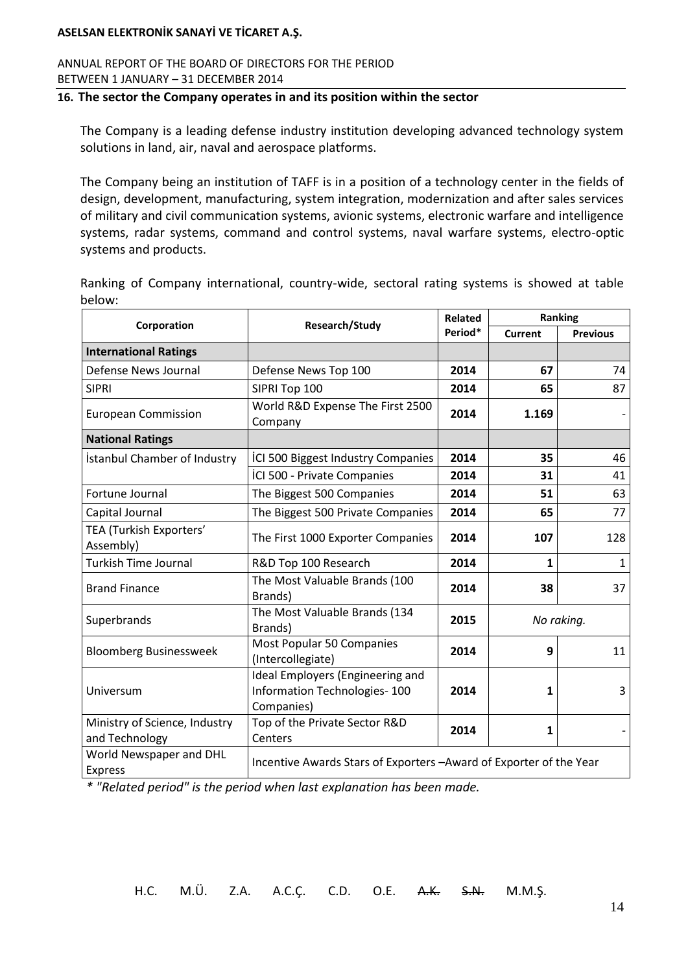ANNUAL REPORT OF THE BOARD OF DIRECTORS FOR THE PERIOD BETWEEN 1 JANUARY – 31 DECEMBER 2014

#### **16. The sector the Company operates in and its position within the sector**

The Company is a leading defense industry institution developing advanced technology system solutions in land, air, naval and aerospace platforms.

The Company being an institution of TAFF is in a position of a technology center in the fields of design, development, manufacturing, system integration, modernization and after sales services of military and civil communication systems, avionic systems, electronic warfare and intelligence systems, radar systems, command and control systems, naval warfare systems, electro-optic systems and products.

Ranking of Company international, country-wide, sectoral rating systems is showed at table below:

| Corporation                                     | Research/Study                                                                 | <b>Related</b> | Ranking        |                 |
|-------------------------------------------------|--------------------------------------------------------------------------------|----------------|----------------|-----------------|
|                                                 |                                                                                | Period*        | <b>Current</b> | <b>Previous</b> |
| <b>International Ratings</b>                    |                                                                                |                |                |                 |
| Defense News Journal                            | Defense News Top 100                                                           | 2014           | 67             | 74              |
| <b>SIPRI</b>                                    | SIPRI Top 100                                                                  | 2014           | 65             | 87              |
| <b>European Commission</b>                      | World R&D Expense The First 2500<br>Company                                    | 2014           | 1.169          |                 |
| <b>National Ratings</b>                         |                                                                                |                |                |                 |
| İstanbul Chamber of Industry                    | ICI 500 Biggest Industry Companies                                             | 2014           | 35             | 46              |
|                                                 | ICI 500 - Private Companies                                                    | 2014           | 31             | 41              |
| Fortune Journal                                 | The Biggest 500 Companies                                                      | 2014           | 51             | 63              |
| Capital Journal                                 | The Biggest 500 Private Companies                                              | 2014           | 65             | 77              |
| TEA (Turkish Exporters'<br>Assembly)            | The First 1000 Exporter Companies                                              | 2014           | 107            | 128             |
| <b>Turkish Time Journal</b>                     | R&D Top 100 Research                                                           | 2014           | 1              | 1               |
| <b>Brand Finance</b>                            | The Most Valuable Brands (100<br>Brands)                                       | 2014           | 38             | 37              |
| Superbrands                                     | The Most Valuable Brands (134<br>Brands)                                       | 2015           |                | No raking.      |
| <b>Bloomberg Businessweek</b>                   | Most Popular 50 Companies<br>(Intercollegiate)                                 | 2014           | q              | 11              |
| Universum                                       | Ideal Employers (Engineering and<br>Information Technologies-100<br>Companies) | 2014           | 1              | 3               |
| Ministry of Science, Industry<br>and Technology | Top of the Private Sector R&D<br>Centers                                       | 2014           | 1              |                 |
| World Newspaper and DHL<br><b>Express</b>       | Incentive Awards Stars of Exporters - Award of Exporter of the Year            |                |                |                 |

*\* "Related period" is the period when last explanation has been made.*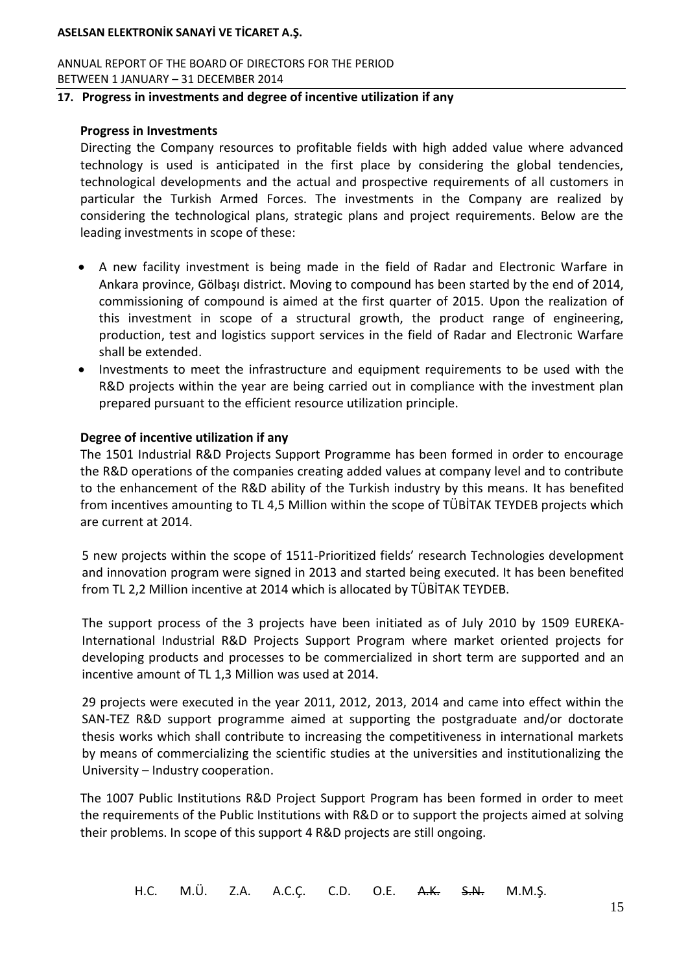ANNUAL REPORT OF THE BOARD OF DIRECTORS FOR THE PERIOD BETWEEN 1 JANUARY – 31 DECEMBER 2014

### **17. Progress in investments and degree of incentive utilization if any**

#### **Progress in Investments**

Directing the Company resources to profitable fields with high added value where advanced technology is used is anticipated in the first place by considering the global tendencies, technological developments and the actual and prospective requirements of all customers in particular the Turkish Armed Forces. The investments in the Company are realized by considering the technological plans, strategic plans and project requirements. Below are the leading investments in scope of these:

- A new facility investment is being made in the field of Radar and Electronic Warfare in Ankara province, Gölbaşı district. Moving to compound has been started by the end of 2014, commissioning of compound is aimed at the first quarter of 2015. Upon the realization of this investment in scope of a structural growth, the product range of engineering, production, test and logistics support services in the field of Radar and Electronic Warfare shall be extended.
- Investments to meet the infrastructure and equipment requirements to be used with the R&D projects within the year are being carried out in compliance with the investment plan prepared pursuant to the efficient resource utilization principle.

#### **Degree of incentive utilization if any**

The 1501 Industrial R&D Projects Support Programme has been formed in order to encourage the R&D operations of the companies creating added values at company level and to contribute to the enhancement of the R&D ability of the Turkish industry by this means. It has benefited from incentives amounting to TL 4,5 Million within the scope of TÜBİTAK TEYDEB projects which are current at 2014.

5 new projects within the scope of 1511-Prioritized fields' research Technologies development and innovation program were signed in 2013 and started being executed. It has been benefited from TL 2,2 Million incentive at 2014 which is allocated by TÜBİTAK TEYDEB.

The support process of the 3 projects have been initiated as of July 2010 by 1509 EUREKA-International Industrial R&D Projects Support Program where market oriented projects for developing products and processes to be commercialized in short term are supported and an incentive amount of TL 1,3 Million was used at 2014.

29 projects were executed in the year 2011, 2012, 2013, 2014 and came into effect within the SAN-TEZ R&D support programme aimed at supporting the postgraduate and/or doctorate thesis works which shall contribute to increasing the competitiveness in international markets by means of commercializing the scientific studies at the universities and institutionalizing the University – Industry cooperation.

The 1007 Public Institutions R&D Project Support Program has been formed in order to meet the requirements of the Public Institutions with R&D or to support the projects aimed at solving their problems. In scope of this support 4 R&D projects are still ongoing.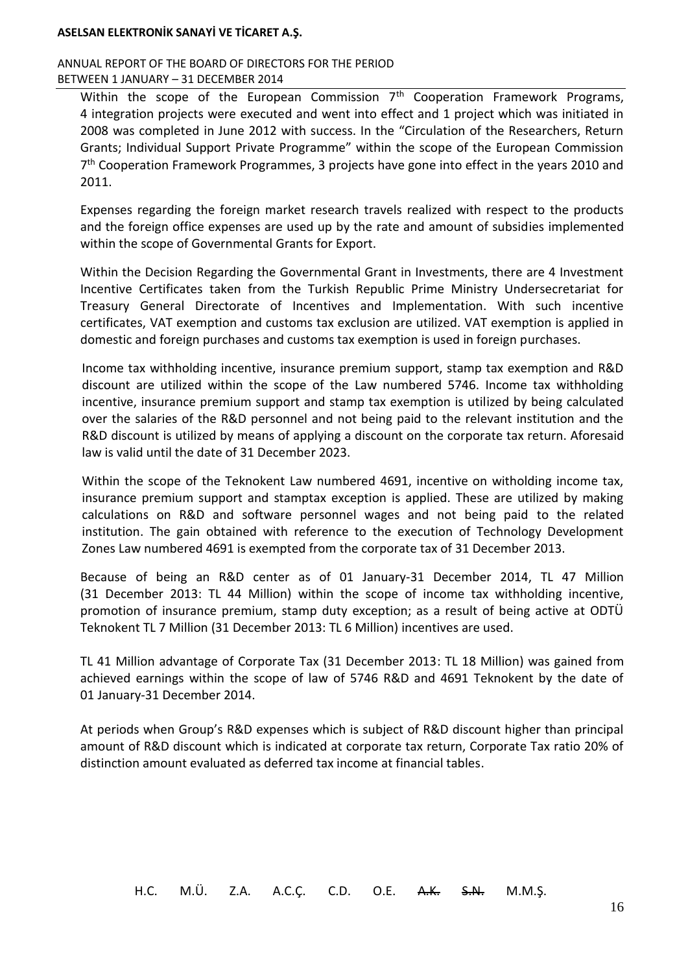#### ANNUAL REPORT OF THE BOARD OF DIRECTORS FOR THE PERIOD BETWEEN 1 JANUARY – 31 DECEMBER 2014

Within the scope of the European Commission  $7<sup>th</sup>$  Cooperation Framework Programs, 4 integration projects were executed and went into effect and 1 project which was initiated in 2008 was completed in June 2012 with success. In the "Circulation of the Researchers, Return Grants; Individual Support Private Programme" within the scope of the European Commission 7<sup>th</sup> Cooperation Framework Programmes, 3 projects have gone into effect in the years 2010 and 2011.

Expenses regarding the foreign market research travels realized with respect to the products and the foreign office expenses are used up by the rate and amount of subsidies implemented within the scope of Governmental Grants for Export.

Within the Decision Regarding the Governmental Grant in Investments, there are 4 Investment Incentive Certificates taken from the Turkish Republic Prime Ministry Undersecretariat for Treasury General Directorate of Incentives and Implementation. With such incentive certificates, VAT exemption and customs tax exclusion are utilized. VAT exemption is applied in domestic and foreign purchases and customs tax exemption is used in foreign purchases.

Income tax withholding incentive, insurance premium support, stamp tax exemption and R&D discount are utilized within the scope of the Law numbered 5746. Income tax withholding incentive, insurance premium support and stamp tax exemption is utilized by being calculated over the salaries of the R&D personnel and not being paid to the relevant institution and the R&D discount is utilized by means of applying a discount on the corporate tax return. Aforesaid law is valid until the date of 31 December 2023.

Within the scope of the Teknokent Law numbered 4691, incentive on witholding income tax, insurance premium support and stamptax exception is applied. These are utilized by making calculations on R&D and software personnel wages and not being paid to the related institution. The gain obtained with reference to the execution of Technology Development Zones Law numbered 4691 is exempted from the corporate tax of 31 December 2013.

Because of being an R&D center as of 01 January-31 December 2014, TL 47 Million (31 December 2013: TL 44 Million) within the scope of income tax withholding incentive, promotion of insurance premium, stamp duty exception; as a result of being active at ODTÜ Teknokent TL 7 Million (31 December 2013: TL 6 Million) incentives are used.

TL 41 Million advantage of Corporate Tax (31 December 2013: TL 18 Million) was gained from achieved earnings within the scope of law of 5746 R&D and 4691 Teknokent by the date of 01 January-31 December 2014.

At periods when Group's R&D expenses which is subject of R&D discount higher than principal amount of R&D discount which is indicated at corporate tax return, Corporate Tax ratio 20% of distinction amount evaluated as deferred tax income at financial tables.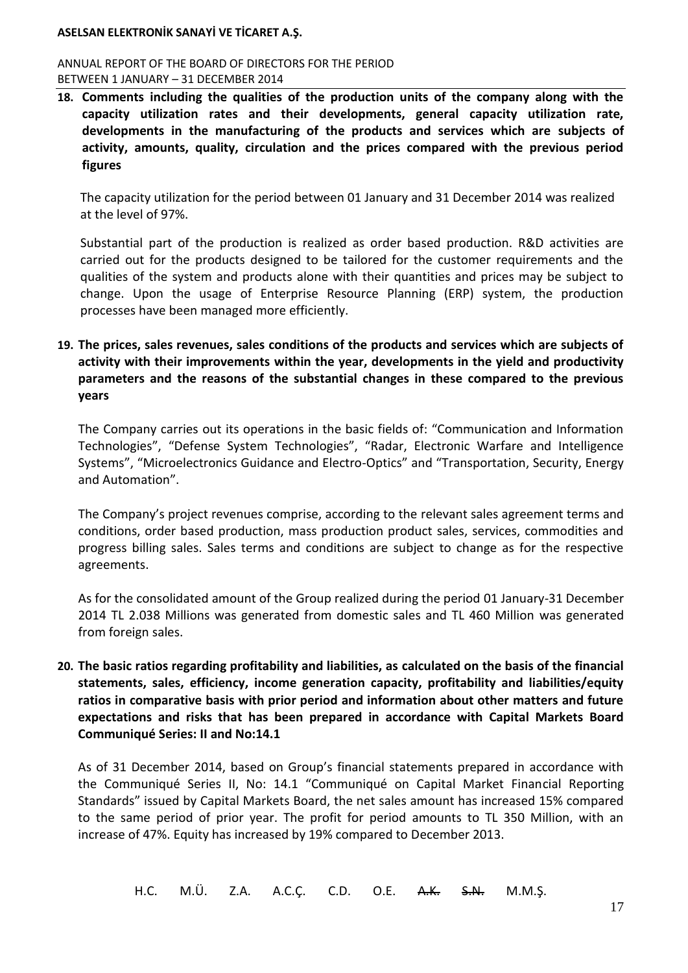#### ANNUAL REPORT OF THE BOARD OF DIRECTORS FOR THE PERIOD BETWEEN 1 JANUARY – 31 DECEMBER 2014

**18. Comments including the qualities of the production units of the company along with the capacity utilization rates and their developments, general capacity utilization rate, developments in the manufacturing of the products and services which are subjects of activity, amounts, quality, circulation and the prices compared with the previous period figures**

The capacity utilization for the period between 01 January and 31 December 2014 was realized at the level of 97%.

Substantial part of the production is realized as order based production. R&D activities are carried out for the products designed to be tailored for the customer requirements and the qualities of the system and products alone with their quantities and prices may be subject to change. Upon the usage of Enterprise Resource Planning (ERP) system, the production processes have been managed more efficiently.

**19. The prices, sales revenues, sales conditions of the products and services which are subjects of activity with their improvements within the year, developments in the yield and productivity parameters and the reasons of the substantial changes in these compared to the previous years**

The Company carries out its operations in the basic fields of: "Communication and Information Technologies", "Defense System Technologies", "Radar, Electronic Warfare and Intelligence Systems", "Microelectronics Guidance and Electro-Optics" and "Transportation, Security, Energy and Automation".

The Company's project revenues comprise, according to the relevant sales agreement terms and conditions, order based production, mass production product sales, services, commodities and progress billing sales. Sales terms and conditions are subject to change as for the respective agreements.

As for the consolidated amount of the Group realized during the period 01 January-31 December 2014 TL 2.038 Millions was generated from domestic sales and TL 460 Million was generated from foreign sales.

**20. The basic ratios regarding profitability and liabilities, as calculated on the basis of the financial statements, sales, efficiency, income generation capacity, profitability and liabilities/equity ratios in comparative basis with prior period and information about other matters and future expectations and risks that has been prepared in accordance with Capital Markets Board Communiqué Series: II and No:14.1**

As of 31 December 2014, based on Group's financial statements prepared in accordance with the Communiqué Series II, No: 14.1 "Communiqué on Capital Market Financial Reporting Standards" issued by Capital Markets Board, the net sales amount has increased 15% compared to the same period of prior year. The profit for period amounts to TL 350 Million, with an increase of 47%. Equity has increased by 19% compared to December 2013.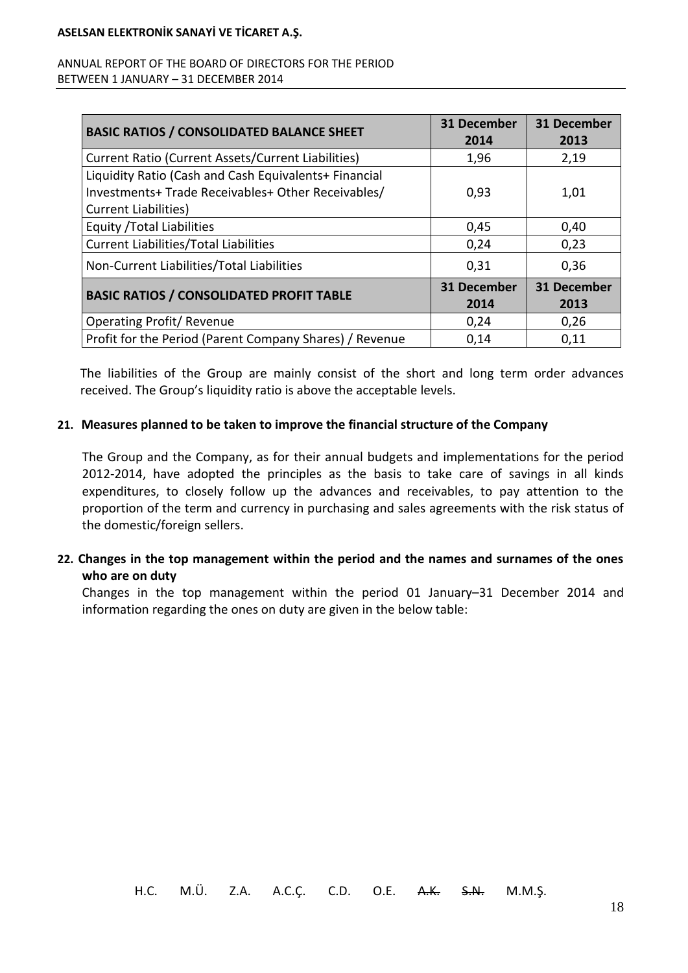### ANNUAL REPORT OF THE BOARD OF DIRECTORS FOR THE PERIOD BETWEEN 1 JANUARY – 31 DECEMBER 2014

| <b>BASIC RATIOS / CONSOLIDATED BALANCE SHEET</b>                                                                                          | <b>31 December</b><br>2014 | <b>31 December</b><br>2013 |
|-------------------------------------------------------------------------------------------------------------------------------------------|----------------------------|----------------------------|
| Current Ratio (Current Assets/Current Liabilities)                                                                                        | 1,96                       | 2,19                       |
| Liquidity Ratio (Cash and Cash Equivalents+ Financial<br>Investments+Trade Receivables+ Other Receivables/<br><b>Current Liabilities)</b> | 0,93                       | 1,01                       |
| <b>Equity / Total Liabilities</b>                                                                                                         | 0,45                       | 0,40                       |
| <b>Current Liabilities/Total Liabilities</b>                                                                                              | 0,24                       | 0,23                       |
| Non-Current Liabilities/Total Liabilities                                                                                                 | 0,31                       | 0,36                       |
| <b>BASIC RATIOS / CONSOLIDATED PROFIT TABLE</b>                                                                                           | <b>31 December</b><br>2014 | <b>31 December</b><br>2013 |
| <b>Operating Profit/ Revenue</b>                                                                                                          | 0,24                       | 0,26                       |
| Profit for the Period (Parent Company Shares) / Revenue                                                                                   | 0,14                       | 0,11                       |

The liabilities of the Group are mainly consist of the short and long term order advances received. The Group's liquidity ratio is above the acceptable levels.

### **21. Measures planned to be taken to improve the financial structure of the Company**

The Group and the Company, as for their annual budgets and implementations for the period 2012-2014, have adopted the principles as the basis to take care of savings in all kinds expenditures, to closely follow up the advances and receivables, to pay attention to the proportion of the term and currency in purchasing and sales agreements with the risk status of the domestic/foreign sellers.

## **22. Changes in the top management within the period and the names and surnames of the ones who are on duty**

Changes in the top management within the period 01 January–31 December 2014 and information regarding the ones on duty are given in the below table: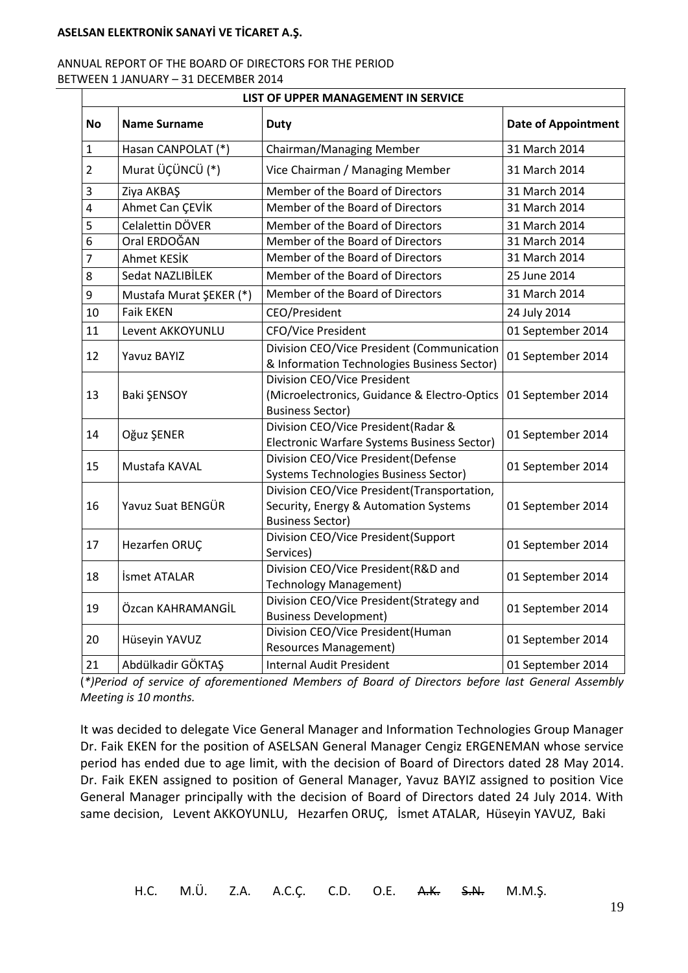### ANNUAL REPORT OF THE BOARD OF DIRECTORS FOR THE PERIOD BETWEEN 1 JANUARY – 31 DECEMBER 2014

|                                                                                          | LIST OF UPPER MANAGEMENT IN SERVICE |                                                                                                                 |                            |  |  |
|------------------------------------------------------------------------------------------|-------------------------------------|-----------------------------------------------------------------------------------------------------------------|----------------------------|--|--|
| <b>No</b>                                                                                | <b>Name Surname</b>                 | <b>Duty</b>                                                                                                     | <b>Date of Appointment</b> |  |  |
| Hasan CANPOLAT (*)<br>$\mathbf{1}$                                                       |                                     | Chairman/Managing Member                                                                                        | 31 March 2014              |  |  |
| $\overline{2}$                                                                           | Murat ÜÇÜNCÜ (*)                    | Vice Chairman / Managing Member                                                                                 | 31 March 2014              |  |  |
| 3                                                                                        | Ziya AKBAŞ                          | Member of the Board of Directors                                                                                | 31 March 2014              |  |  |
| $\overline{4}$                                                                           | Ahmet Can ÇEVİK                     | Member of the Board of Directors                                                                                | 31 March 2014              |  |  |
| 5                                                                                        | Celalettin DÖVER                    | Member of the Board of Directors                                                                                | 31 March 2014              |  |  |
| 6                                                                                        | Oral ERDOĞAN                        | Member of the Board of Directors                                                                                | 31 March 2014              |  |  |
| 7                                                                                        | Ahmet KESİK                         | Member of the Board of Directors                                                                                | 31 March 2014              |  |  |
| 8                                                                                        | Sedat NAZLIBİLEK                    | Member of the Board of Directors                                                                                | 25 June 2014               |  |  |
| 9                                                                                        | Mustafa Murat ŞEKER (*)             | Member of the Board of Directors                                                                                | 31 March 2014              |  |  |
| 10                                                                                       | <b>Faik EKEN</b>                    | CEO/President                                                                                                   | 24 July 2014               |  |  |
| 11                                                                                       | Levent AKKOYUNLU                    | <b>CFO/Vice President</b>                                                                                       | 01 September 2014          |  |  |
| 12<br><b>Yavuz BAYIZ</b><br>13<br>Baki ŞENSOY<br>Oğuz ŞENER<br>14<br>Mustafa KAVAL<br>15 |                                     | Division CEO/Vice President (Communication<br>& Information Technologies Business Sector)                       | 01 September 2014          |  |  |
|                                                                                          |                                     | Division CEO/Vice President<br>(Microelectronics, Guidance & Electro-Optics<br><b>Business Sector)</b>          | 01 September 2014          |  |  |
|                                                                                          |                                     | Division CEO/Vice President(Radar &<br>Electronic Warfare Systems Business Sector)                              | 01 September 2014          |  |  |
|                                                                                          |                                     | Division CEO/Vice President(Defense<br>Systems Technologies Business Sector)                                    | 01 September 2014          |  |  |
| 16                                                                                       | Yavuz Suat BENGÜR                   | Division CEO/Vice President(Transportation,<br>Security, Energy & Automation Systems<br><b>Business Sector)</b> |                            |  |  |
| 17<br>Hezarfen ORUÇ                                                                      |                                     | Division CEO/Vice President(Support<br>Services)                                                                | 01 September 2014          |  |  |
| 18                                                                                       | İsmet ATALAR                        | Division CEO/Vice President(R&D and<br><b>Technology Management)</b>                                            |                            |  |  |
| 19                                                                                       | Özcan KAHRAMANGİL                   | Division CEO/Vice President(Strategy and<br><b>Business Development)</b>                                        | 01 September 2014          |  |  |
| 20<br>Hüseyin YAVUZ                                                                      |                                     | Division CEO/Vice President(Human<br><b>Resources Management)</b>                                               | 01 September 2014          |  |  |
| 21<br>Abdülkadir GÖKTAŞ                                                                  |                                     | <b>Internal Audit President</b>                                                                                 | 01 September 2014          |  |  |

(*\*)Period of service of aforementioned Members of Board of Directors before last General Assembly Meeting is 10 months.*

It was decided to delegate Vice General Manager and Information Technologies Group Manager Dr. Faik EKEN for the position of ASELSAN General Manager Cengiz ERGENEMAN whose service period has ended due to age limit, with the decision of Board of Directors dated 28 May 2014. Dr. Faik EKEN assigned to position of General Manager, Yavuz BAYIZ assigned to position Vice General Manager principally with the decision of Board of Directors dated 24 July 2014. With same decision, Levent AKKOYUNLU, Hezarfen ORUÇ, İsmet ATALAR, Hüseyin YAVUZ, Baki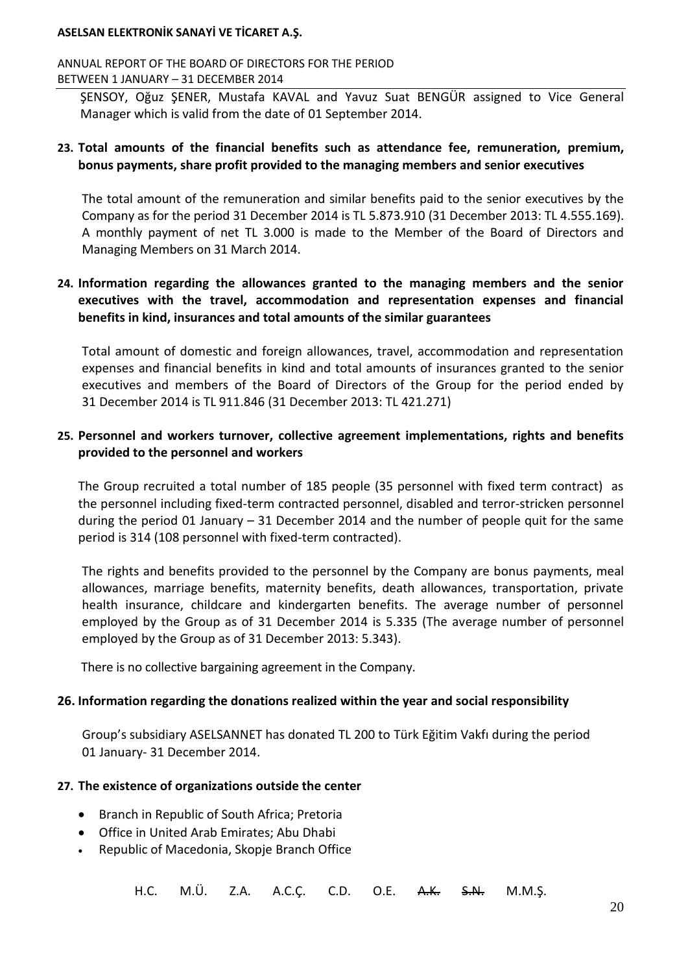ANNUAL REPORT OF THE BOARD OF DIRECTORS FOR THE PERIOD BETWEEN 1 JANUARY – 31 DECEMBER 2014

SENSOY, Oğuz SENER, Mustafa KAVAL and Yavuz Suat BENGÜR assigned to Vice General Manager which is valid from the date of 01 September 2014.

### **23. Total amounts of the financial benefits such as attendance fee, remuneration, premium, bonus payments, share profit provided to the managing members and senior executives**

The total amount of the remuneration and similar benefits paid to the senior executives by the Company as for the period 31 December 2014 is TL 5.873.910 (31 December 2013: TL 4.555.169). A monthly payment of net TL 3.000 is made to the Member of the Board of Directors and Managing Members on 31 March 2014.

## **24. Information regarding the allowances granted to the managing members and the senior executives with the travel, accommodation and representation expenses and financial benefits in kind, insurances and total amounts of the similar guarantees**

Total amount of domestic and foreign allowances, travel, accommodation and representation expenses and financial benefits in kind and total amounts of insurances granted to the senior executives and members of the Board of Directors of the Group for the period ended by 31 December 2014 is TL 911.846 (31 December 2013: TL 421.271)

## **25. Personnel and workers turnover, collective agreement implementations, rights and benefits provided to the personnel and workers**

The Group recruited a total number of 185 people (35 personnel with fixed term contract) as the personnel including fixed-term contracted personnel, disabled and terror-stricken personnel during the period 01 January – 31 December 2014 and the number of people quit for the same period is 314 (108 personnel with fixed-term contracted).

The rights and benefits provided to the personnel by the Company are bonus payments, meal allowances, marriage benefits, maternity benefits, death allowances, transportation, private health insurance, childcare and kindergarten benefits. The average number of personnel employed by the Group as of 31 December 2014 is 5.335 (The average number of personnel employed by the Group as of 31 December 2013: 5.343).

There is no collective bargaining agreement in the Company.

### **26. Information regarding the donations realized within the year and social responsibility**

Group's subsidiary ASELSANNET has donated TL 200 to Türk Eğitim Vakfı during the period 01 January- 31 December 2014.

### **27. The existence of organizations outside the center**

- Branch in Republic of South Africa; Pretoria
- Office in United Arab Emirates; Abu Dhabi
- Republic of Macedonia, Skopje Branch Office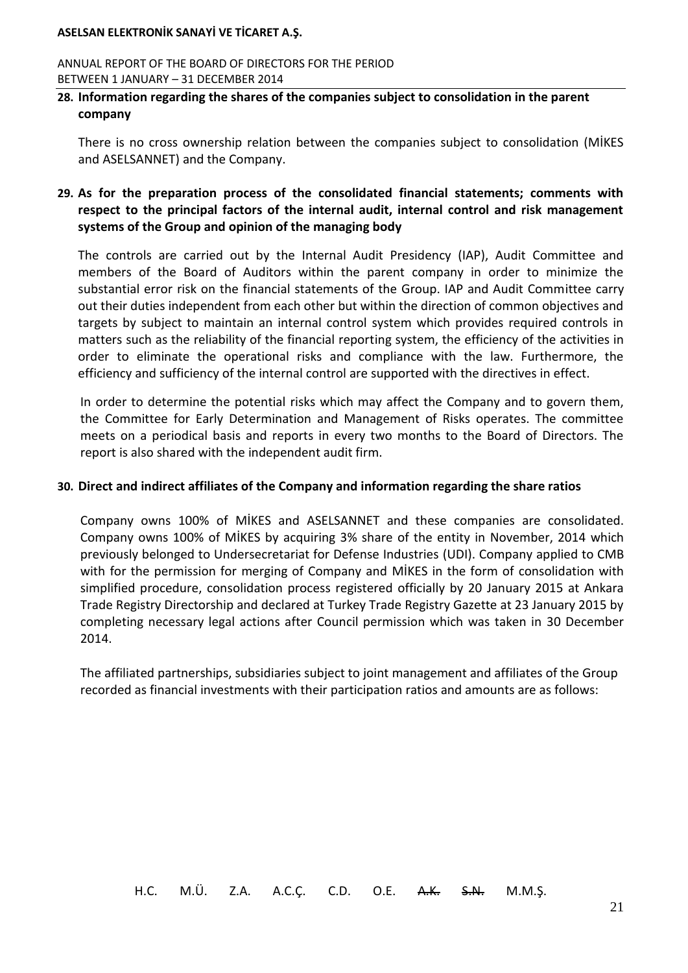ANNUAL REPORT OF THE BOARD OF DIRECTORS FOR THE PERIOD BETWEEN 1 JANUARY – 31 DECEMBER 2014

### **28. Information regarding the shares of the companies subject to consolidation in the parent company**

There is no cross ownership relation between the companies subject to consolidation (MİKES and ASELSANNET) and the Company.

## **29. As for the preparation process of the consolidated financial statements; comments with respect to the principal factors of the internal audit, internal control and risk management systems of the Group and opinion of the managing body**

The controls are carried out by the Internal Audit Presidency (IAP), Audit Committee and members of the Board of Auditors within the parent company in order to minimize the substantial error risk on the financial statements of the Group. IAP and Audit Committee carry out their duties independent from each other but within the direction of common objectives and targets by subject to maintain an internal control system which provides required controls in matters such as the reliability of the financial reporting system, the efficiency of the activities in order to eliminate the operational risks and compliance with the law. Furthermore, the efficiency and sufficiency of the internal control are supported with the directives in effect.

In order to determine the potential risks which may affect the Company and to govern them, the Committee for Early Determination and Management of Risks operates. The committee meets on a periodical basis and reports in every two months to the Board of Directors. The report is also shared with the independent audit firm.

### **30. Direct and indirect affiliates of the Company and information regarding the share ratios**

Company owns 100% of MİKES and ASELSANNET and these companies are consolidated. Company owns 100% of MİKES by acquiring 3% share of the entity in November, 2014 which previously belonged to Undersecretariat for Defense Industries (UDI). Company applied to CMB with for the permission for merging of Company and MİKES in the form of consolidation with simplified procedure, consolidation process registered officially by 20 January 2015 at Ankara Trade Registry Directorship and declared at Turkey Trade Registry Gazette at 23 January 2015 by completing necessary legal actions after Council permission which was taken in 30 December 2014.

The affiliated partnerships, subsidiaries subject to joint management and affiliates of the Group recorded as financial investments with their participation ratios and amounts are as follows: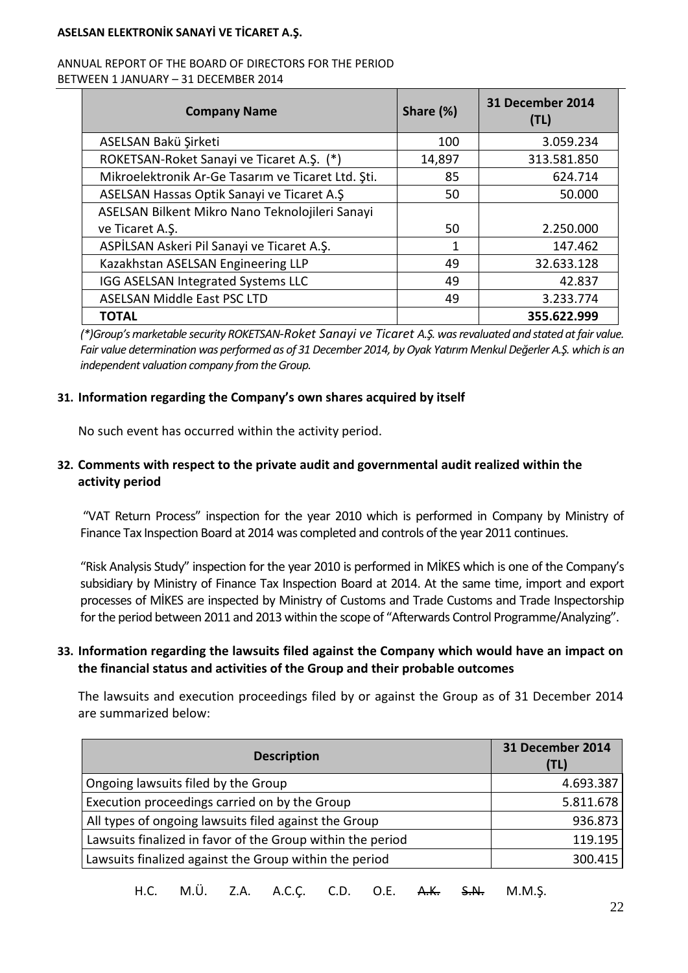#### ANNUAL REPORT OF THE BOARD OF DIRECTORS FOR THE PERIOD BETWEEN 1 JANUARY – 31 DECEMBER 2014

| <b>Company Name</b>                                | Share (%) | 31 December 2014<br>(TL) |
|----------------------------------------------------|-----------|--------------------------|
| ASELSAN Bakü Şirketi                               | 100       | 3.059.234                |
| ROKETSAN-Roket Sanayi ve Ticaret A.Ş. (*)          | 14,897    | 313.581.850              |
| Mikroelektronik Ar-Ge Tasarım ve Ticaret Ltd. Şti. | 85        | 624.714                  |
| ASELSAN Hassas Optik Sanayi ve Ticaret A.Ş         | 50        | 50.000                   |
| ASELSAN Bilkent Mikro Nano Teknolojileri Sanayi    |           |                          |
| ve Ticaret A.Ş.                                    | 50        | 2.250.000                |
| ASPİLSAN Askeri Pil Sanayi ve Ticaret A.Ş.         | 1         | 147.462                  |
| Kazakhstan ASELSAN Engineering LLP                 | 49        | 32.633.128               |
| IGG ASELSAN Integrated Systems LLC                 | 49        | 42.837                   |
| <b>ASELSAN Middle East PSC LTD</b>                 | 49        | 3.233.774                |
| TOTAL                                              |           | 355.622.999              |

*(\*)Group's marketable security ROKETSAN-Roket Sanayi ve Ticaret A.Ş. was revaluated and stated atfair value. Fair value determination was performed as of 31 December 2014, by Oyak Yatırım Menkul Değerler A.Ş. which is an independent valuation company from the Group.*

### **31. Information regarding the Company's own shares acquired by itself**

No such event has occurred within the activity period.

## **32. Comments with respect to the private audit and governmental audit realized within the activity period**

"VAT Return Process" inspection for the year 2010 which is performed in Company by Ministry of Finance Tax Inspection Board at 2014 was completed and controls of the year 2011 continues.

"Risk Analysis Study" inspection for the year 2010 is performed in MİKES which is one of the Company's subsidiary by Ministry of Finance Tax Inspection Board at 2014. At the same time, import and export processes of MİKES are inspected by Ministry of Customs and Trade Customs and Trade Inspectorship for the period between 2011 and 2013 within the scope of "Afterwards Control Programme/Analyzing".

## **33. Information regarding the lawsuits filed against the Company which would have an impact on the financial status and activities of the Group and their probable outcomes**

The lawsuits and execution proceedings filed by or against the Group as of 31 December 2014 are summarized below:

| <b>Description</b>                                         | 31 December 2014<br>(TL) |
|------------------------------------------------------------|--------------------------|
| Ongoing lawsuits filed by the Group                        | 4.693.387                |
| Execution proceedings carried on by the Group              | 5.811.678                |
| All types of ongoing lawsuits filed against the Group      | 936.873                  |
| Lawsuits finalized in favor of the Group within the period | 119.195                  |
| Lawsuits finalized against the Group within the period     | 300.415                  |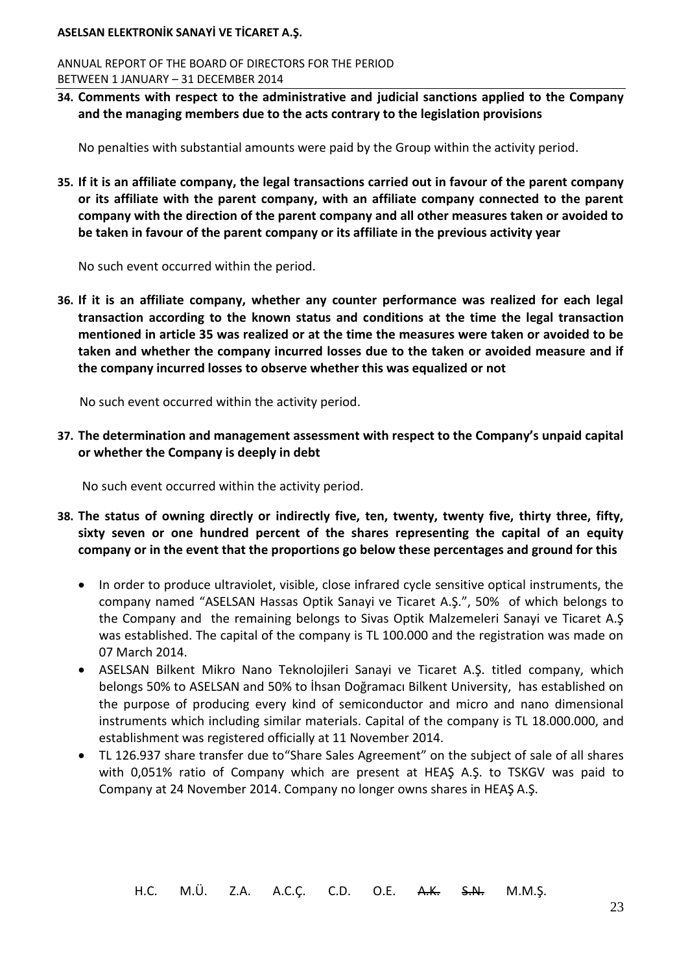ANNUAL REPORT OF THE BOARD OF DIRECTORS FOR THE PERIOD BETWEEN 1 JANUARY – 31 DECEMBER 2014

**34. Comments with respect to the administrative and judicial sanctions applied to the Company and the managing members due to the acts contrary to the legislation provisions**

No penalties with substantial amounts were paid by the Group within the activity period.

**35. If it is an affiliate company, the legal transactions carried out in favour of the parent company or its affiliate with the parent company, with an affiliate company connected to the parent company with the direction of the parent company and all other measures taken or avoided to be taken in favour of the parent company or its affiliate in the previous activity year**

No such event occurred within the period.

**36. If it is an affiliate company, whether any counter performance was realized for each legal transaction according to the known status and conditions at the time the legal transaction mentioned in article 35 was realized or at the time the measures were taken or avoided to be taken and whether the company incurred losses due to the taken or avoided measure and if the company incurred losses to observe whether this was equalized or not**

No such event occurred within the activity period.

**37. The determination and management assessment with respect to the Company's unpaid capital or whether the Company is deeply in debt**

No such event occurred within the activity period.

- **38. The status of owning directly or indirectly five, ten, twenty, twenty five, thirty three, fifty, sixty seven or one hundred percent of the shares representing the capital of an equity company or in the event that the proportions go below these percentages and ground for this**
	- In order to produce ultraviolet, visible, close infrared cycle sensitive optical instruments, the company named "ASELSAN Hassas Optik Sanayi ve Ticaret A.Ş.", 50% of which belongs to the Company and the remaining belongs to Sivas Optik Malzemeleri Sanayi ve Ticaret A.Ş was established. The capital of the company is TL 100.000 and the registration was made on 07 March 2014.
	- ASELSAN Bilkent Mikro Nano Teknolojileri Sanayi ve Ticaret A.Ş. titled company, which belongs 50% to ASELSAN and 50% to İhsan Doğramacı Bilkent University, has established on the purpose of producing every kind of semiconductor and micro and nano dimensional instruments which including similar materials. Capital of the company is TL 18.000.000, and establishment was registered officially at 11 November 2014.
	- TL 126.937 share transfer due to"Share Sales Agreement" on the subject of sale of all shares with 0,051% ratio of Company which are present at HEAŞ A.Ş. to TSKGV was paid to Company at 24 November 2014. Company no longer owns shares in HEAŞ A.Ş.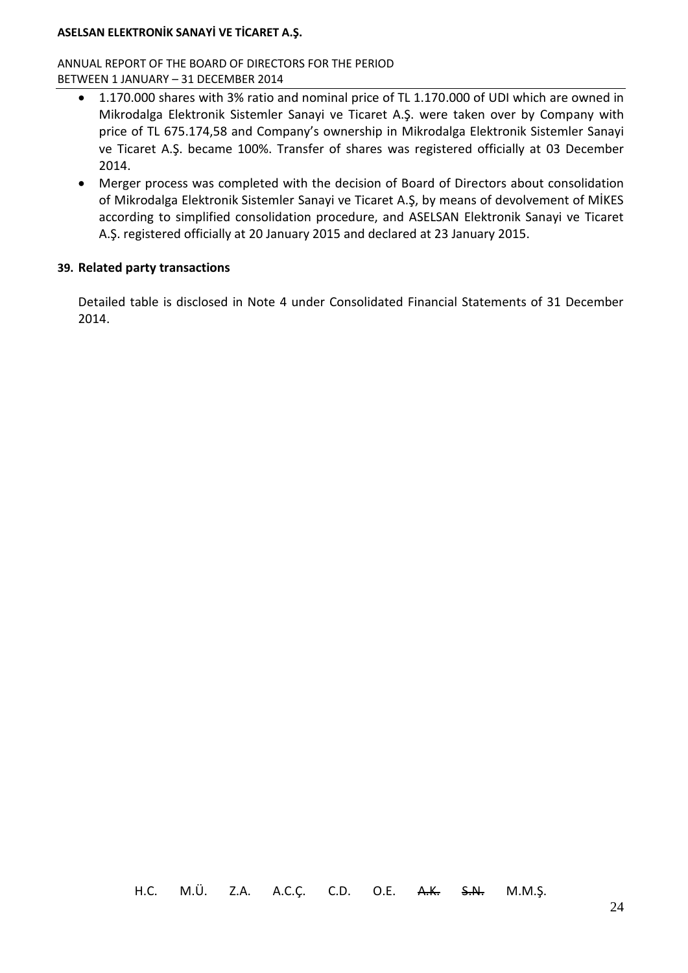ANNUAL REPORT OF THE BOARD OF DIRECTORS FOR THE PERIOD BETWEEN 1 JANUARY – 31 DECEMBER 2014

- 1.170.000 shares with 3% ratio and nominal price of TL 1.170.000 of UDI which are owned in Mikrodalga Elektronik Sistemler Sanayi ve Ticaret A.Ş. were taken over by Company with price of TL 675.174,58 and Company's ownership in Mikrodalga Elektronik Sistemler Sanayi ve Ticaret A.Ş. became 100%. Transfer of shares was registered officially at 03 December 2014.
- Merger process was completed with the decision of Board of Directors about consolidation of Mikrodalga Elektronik Sistemler Sanayi ve Ticaret A.Ş, by means of devolvement of MİKES according to simplified consolidation procedure, and ASELSAN Elektronik Sanayi ve Ticaret A.Ş. registered officially at 20 January 2015 and declared at 23 January 2015.

### **39. Related party transactions**

Detailed table is disclosed in Note 4 under Consolidated Financial Statements of 31 December 2014.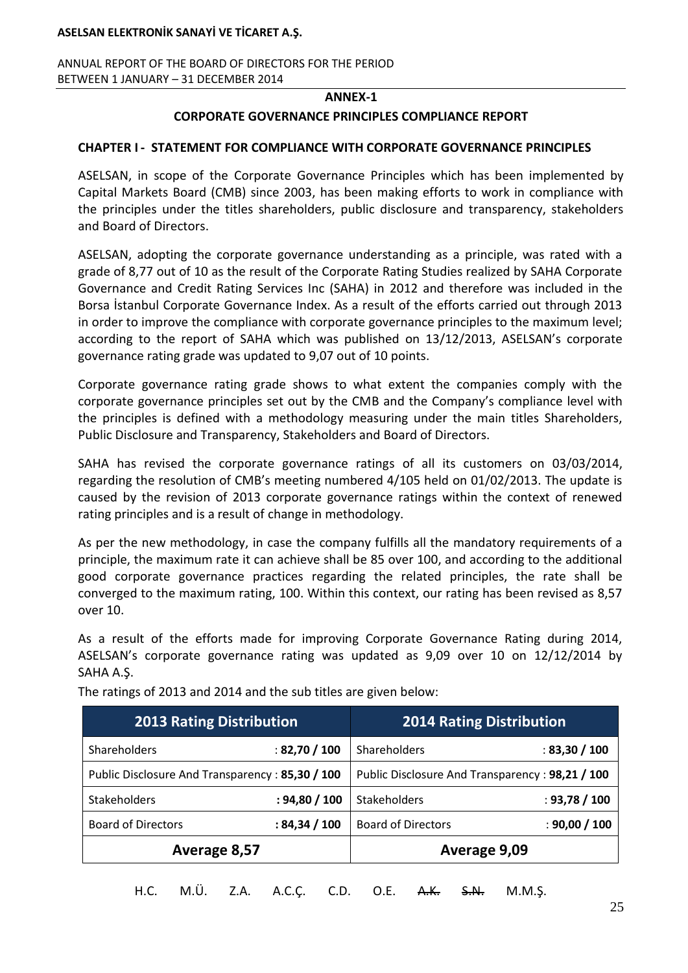ANNUAL REPORT OF THE BOARD OF DIRECTORS FOR THE PERIOD BETWEEN 1 JANUARY – 31 DECEMBER 2014

#### **ANNEX-1**

#### **CORPORATE GOVERNANCE PRINCIPLES COMPLIANCE REPORT**

#### **CHAPTER I - STATEMENT FOR COMPLIANCE WITH CORPORATE GOVERNANCE PRINCIPLES**

ASELSAN, in scope of the Corporate Governance Principles which has been implemented by Capital Markets Board (CMB) since 2003, has been making efforts to work in compliance with the principles under the titles shareholders, public disclosure and transparency, stakeholders and Board of Directors.

ASELSAN, adopting the corporate governance understanding as a principle, was rated with a grade of 8,77 out of 10 as the result of the Corporate Rating Studies realized by SAHA Corporate Governance and Credit Rating Services Inc (SAHA) in 2012 and therefore was included in the Borsa İstanbul Corporate Governance Index. As a result of the efforts carried out through 2013 in order to improve the compliance with corporate governance principles to the maximum level; according to the report of SAHA which was published on 13/12/2013, ASELSAN's corporate governance rating grade was updated to 9,07 out of 10 points.

Corporate governance rating grade shows to what extent the companies comply with the corporate governance principles set out by the CMB and the Company's compliance level with the principles is defined with a methodology measuring under the main titles Shareholders, Public Disclosure and Transparency, Stakeholders and Board of Directors.

SAHA has revised the corporate governance ratings of all its customers on 03/03/2014, regarding the resolution of CMB's meeting numbered 4/105 held on 01/02/2013. The update is caused by the revision of 2013 corporate governance ratings within the context of renewed rating principles and is a result of change in methodology.

As per the new methodology, in case the company fulfills all the mandatory requirements of a principle, the maximum rate it can achieve shall be 85 over 100, and according to the additional good corporate governance practices regarding the related principles, the rate shall be converged to the maximum rating, 100. Within this context, our rating has been revised as 8,57 over 10.

As a result of the efforts made for improving Corporate Governance Rating during 2014, ASELSAN's corporate governance rating was updated as 9,09 over 10 on 12/12/2014 by SAHA A.Ş.

| <b>2013 Rating Distribution</b>                 |                | <b>2014 Rating Distribution</b>                 |               |
|-------------------------------------------------|----------------|-------------------------------------------------|---------------|
| Shareholders                                    | : 82,70 / 100  | Shareholders                                    | : 83,30 / 100 |
| Public Disclosure And Transparency: 85,30 / 100 |                | Public Disclosure And Transparency: 98,21 / 100 |               |
| <b>Stakeholders</b>                             | : 94,80 / 100  | <b>Stakeholders</b>                             | : 93,78 / 100 |
| <b>Board of Directors</b>                       | : 84, 34 / 100 | <b>Board of Directors</b>                       | : 90,00 / 100 |
| Average 8,57                                    |                | Average 9,09                                    |               |

The ratings of 2013 and 2014 and the sub titles are given below: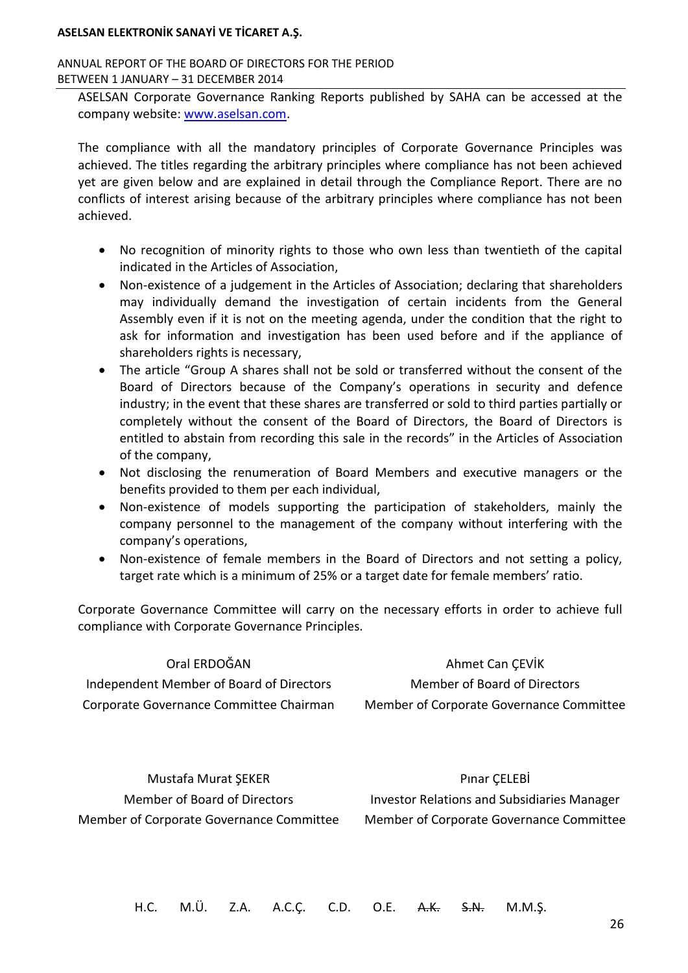#### ANNUAL REPORT OF THE BOARD OF DIRECTORS FOR THE PERIOD BETWEEN 1 JANUARY – 31 DECEMBER 2014

ASELSAN Corporate Governance Ranking Reports published by SAHA can be accessed at the company website: [www.aselsan.com.](http://www.aselsan.com/)

The compliance with all the mandatory principles of Corporate Governance Principles was achieved. The titles regarding the arbitrary principles where compliance has not been achieved yet are given below and are explained in detail through the Compliance Report. There are no conflicts of interest arising because of the arbitrary principles where compliance has not been achieved.

- No recognition of minority rights to those who own less than twentieth of the capital indicated in the Articles of Association,
- Non-existence of a judgement in the Articles of Association; declaring that shareholders may individually demand the investigation of certain incidents from the General Assembly even if it is not on the meeting agenda, under the condition that the right to ask for information and investigation has been used before and if the appliance of shareholders rights is necessary,
- The article "Group A shares shall not be sold or transferred without the consent of the Board of Directors because of the Company's operations in security and defence industry; in the event that these shares are transferred or sold to third parties partially or completely without the consent of the Board of Directors, the Board of Directors is entitled to abstain from recording this sale in the records" in the Articles of Association of the company,
- Not disclosing the renumeration of Board Members and executive managers or the benefits provided to them per each individual,
- Non-existence of models supporting the participation of stakeholders, mainly the company personnel to the management of the company without interfering with the company's operations,
- Non-existence of female members in the Board of Directors and not setting a policy, target rate which is a minimum of 25% or a target date for female members' ratio.

Corporate Governance Committee will carry on the necessary efforts in order to achieve full compliance with Corporate Governance Principles.

| Oral ERDOĞAN                             | Ahmet Can CEVIK                          |
|------------------------------------------|------------------------------------------|
| Independent Member of Board of Directors | Member of Board of Directors             |
| Corporate Governance Committee Chairman  | Member of Corporate Governance Committee |

Mustafa Murat ŞEKER Member of Board of Directors Member of Corporate Governance Committee

Pınar ÇELEBİ Investor Relations and Subsidiaries Manager Member of Corporate Governance Committee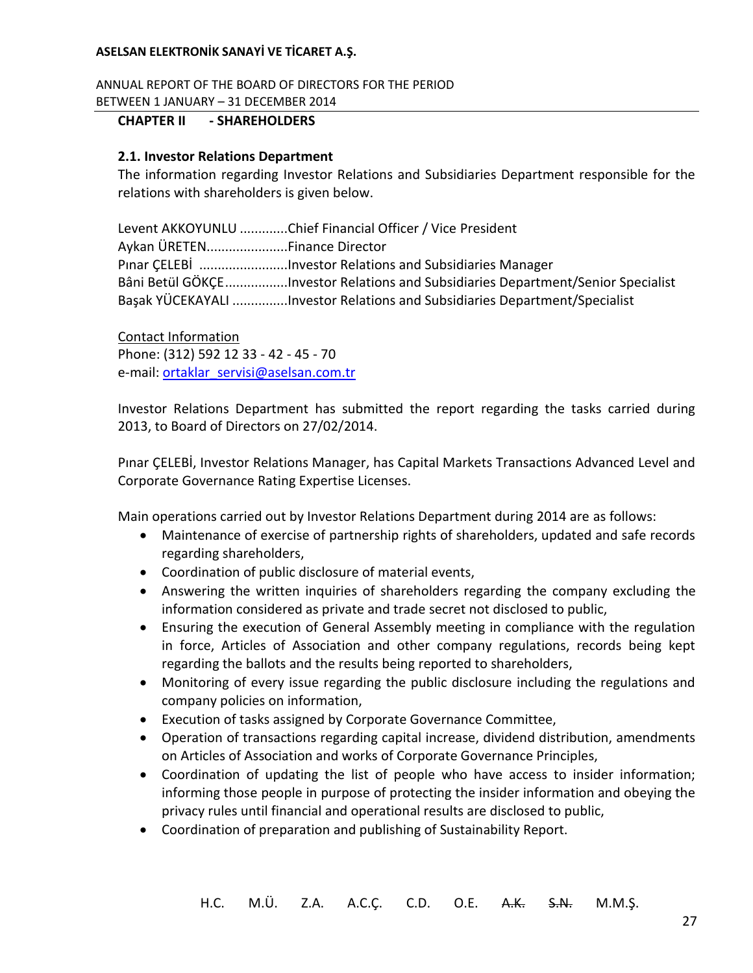ANNUAL REPORT OF THE BOARD OF DIRECTORS FOR THE PERIOD BETWEEN 1 JANUARY – 31 DECEMBER 2014

### **CHAPTER II - SHAREHOLDERS**

### **2.1. Investor Relations Department**

The information regarding Investor Relations and Subsidiaries Department responsible for the relations with shareholders is given below.

Levent AKKOYUNLU .............Chief Financial Officer / Vice President Aykan ÜRETEN......................Finance Director Pınar ÇELEBİ ........................Investor Relations and Subsidiaries Manager Bâni Betül GÖKÇE.................Investor Relations and Subsidiaries Department/Senior Specialist Başak YÜCEKAYALI ...............Investor Relations and Subsidiaries Department/Specialist

Contact Information Phone: (312) 592 12 33 - 42 - 45 - 70 e-mail: [ortaklar\\_servisi@aselsan.com.tr](mailto:ortaklar_servisi@aselsan.com.tr)

Investor Relations Department has submitted the report regarding the tasks carried during 2013, to Board of Directors on 27/02/2014.

Pınar ÇELEBİ, Investor Relations Manager, has Capital Markets Transactions Advanced Level and Corporate Governance Rating Expertise Licenses.

Main operations carried out by Investor Relations Department during 2014 are as follows:

- Maintenance of exercise of partnership rights of shareholders, updated and safe records regarding shareholders,
- Coordination of public disclosure of material events,
- Answering the written inquiries of shareholders regarding the company excluding the information considered as private and trade secret not disclosed to public,
- Ensuring the execution of General Assembly meeting in compliance with the regulation in force, Articles of Association and other company regulations, records being kept regarding the ballots and the results being reported to shareholders,
- Monitoring of every issue regarding the public disclosure including the regulations and company policies on information,
- Execution of tasks assigned by Corporate Governance Committee,
- Operation of transactions regarding capital increase, dividend distribution, amendments on Articles of Association and works of Corporate Governance Principles,
- Coordination of updating the list of people who have access to insider information; informing those people in purpose of protecting the insider information and obeying the privacy rules until financial and operational results are disclosed to public,
- Coordination of preparation and publishing of Sustainability Report.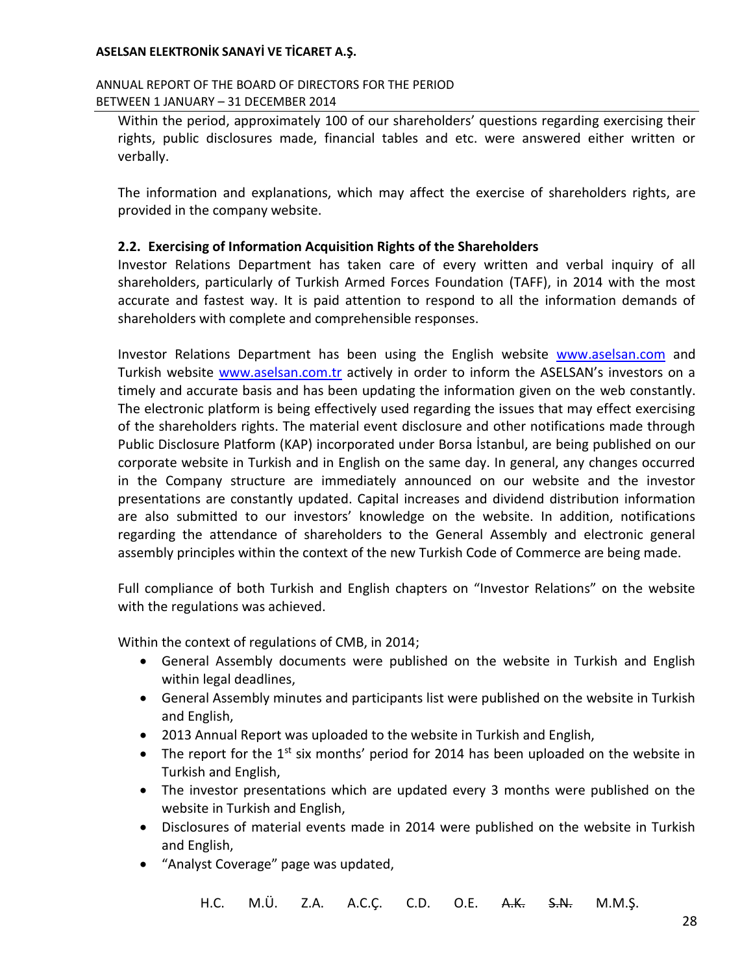### ANNUAL REPORT OF THE BOARD OF DIRECTORS FOR THE PERIOD BETWEEN 1 JANUARY – 31 DECEMBER 2014

Within the period, approximately 100 of our shareholders' questions regarding exercising their rights, public disclosures made, financial tables and etc. were answered either written or verbally.

The information and explanations, which may affect the exercise of shareholders rights, are provided in the company website.

## **2.2. Exercising of Information Acquisition Rights of the Shareholders**

Investor Relations Department has taken care of every written and verbal inquiry of all shareholders, particularly of Turkish Armed Forces Foundation (TAFF), in 2014 with the most accurate and fastest way. It is paid attention to respond to all the information demands of shareholders with complete and comprehensible responses.

Investor Relations Department has been using the English website [www.aselsan.com](http://www.aselsan.com/) and Turkish website [www.aselsan.com.](http://www.aselsan.com/)tr actively in order to inform the ASELSAN's investors on a timely and accurate basis and has been updating the information given on the web constantly. The electronic platform is being effectively used regarding the issues that may effect exercising of the shareholders rights. The material event disclosure and other notifications made through Public Disclosure Platform (KAP) incorporated under Borsa İstanbul, are being published on our corporate website in Turkish and in English on the same day. In general, any changes occurred in the Company structure are immediately announced on our website and the investor presentations are constantly updated. Capital increases and dividend distribution information are also submitted to our investors' knowledge on the website. In addition, notifications regarding the attendance of shareholders to the General Assembly and electronic general assembly principles within the context of the new Turkish Code of Commerce are being made.

Full compliance of both Turkish and English chapters on "Investor Relations" on the website with the regulations was achieved.

Within the context of regulations of CMB, in 2014;

- General Assembly documents were published on the website in Turkish and English within legal deadlines,
- General Assembly minutes and participants list were published on the website in Turkish and English,
- 2013 Annual Report was uploaded to the website in Turkish and English,
- The report for the  $1^{st}$  six months' period for 2014 has been uploaded on the website in Turkish and English,
- The investor presentations which are updated every 3 months were published on the website in Turkish and English,
- Disclosures of material events made in 2014 were published on the website in Turkish and English,
- "Analyst Coverage" page was updated,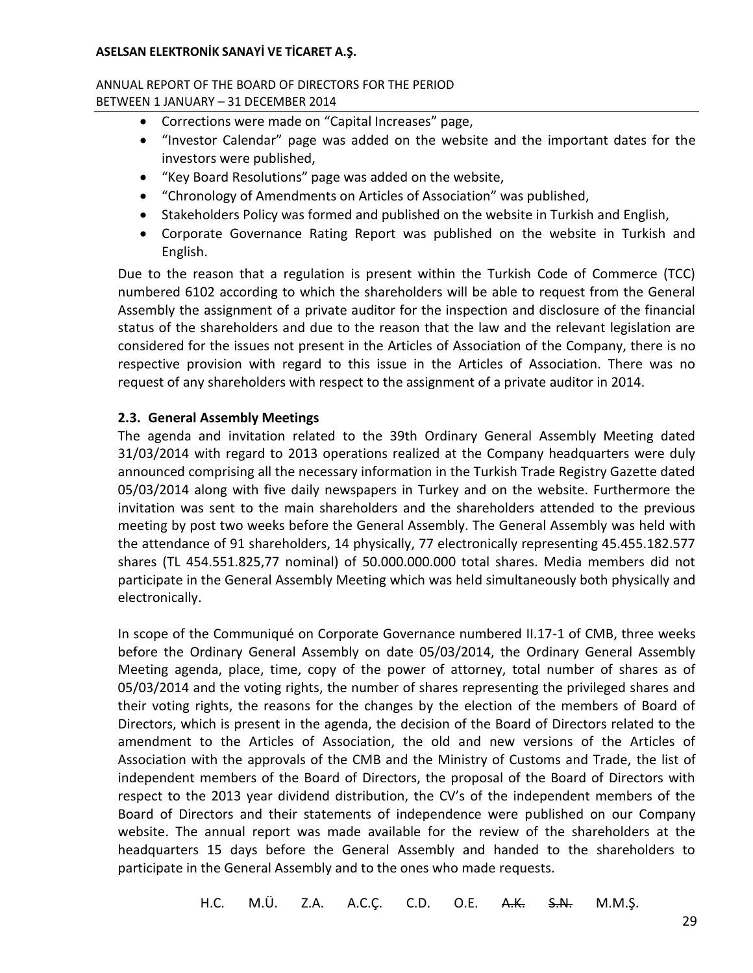### ANNUAL REPORT OF THE BOARD OF DIRECTORS FOR THE PERIOD BETWEEN 1 JANUARY – 31 DECEMBER 2014

- Corrections were made on "Capital Increases" page,
- "Investor Calendar" page was added on the website and the important dates for the investors were published,
- "Key Board Resolutions" page was added on the website,
- "Chronology of Amendments on Articles of Association" was published,
- Stakeholders Policy was formed and published on the website in Turkish and English,
- Corporate Governance Rating Report was published on the website in Turkish and English.

Due to the reason that a regulation is present within the Turkish Code of Commerce (TCC) numbered 6102 according to which the shareholders will be able to request from the General Assembly the assignment of a private auditor for the inspection and disclosure of the financial status of the shareholders and due to the reason that the law and the relevant legislation are considered for the issues not present in the Articles of Association of the Company, there is no respective provision with regard to this issue in the Articles of Association. There was no request of any shareholders with respect to the assignment of a private auditor in 2014.

## **2.3. General Assembly Meetings**

The agenda and invitation related to the 39th Ordinary General Assembly Meeting dated 31/03/2014 with regard to 2013 operations realized at the Company headquarters were duly announced comprising all the necessary information in the Turkish Trade Registry Gazette dated 05/03/2014 along with five daily newspapers in Turkey and on the website. Furthermore the invitation was sent to the main shareholders and the shareholders attended to the previous meeting by post two weeks before the General Assembly. The General Assembly was held with the attendance of 91 shareholders, 14 physically, 77 electronically representing 45.455.182.577 shares (TL 454.551.825,77 nominal) of 50.000.000.000 total shares. Media members did not participate in the General Assembly Meeting which was held simultaneously both physically and electronically.

In scope of the Communiqué on Corporate Governance numbered II.17-1 of CMB, three weeks before the Ordinary General Assembly on date 05/03/2014, the Ordinary General Assembly Meeting agenda, place, time, copy of the power of attorney, total number of shares as of 05/03/2014 and the voting rights, the number of shares representing the privileged shares and their voting rights, the reasons for the changes by the election of the members of Board of Directors, which is present in the agenda, the decision of the Board of Directors related to the amendment to the Articles of Association, the old and new versions of the Articles of Association with the approvals of the CMB and the Ministry of Customs and Trade, the list of independent members of the Board of Directors, the proposal of the Board of Directors with respect to the 2013 year dividend distribution, the CV's of the independent members of the Board of Directors and their statements of independence were published on our Company website. The annual report was made available for the review of the shareholders at the headquarters 15 days before the General Assembly and handed to the shareholders to participate in the General Assembly and to the ones who made requests.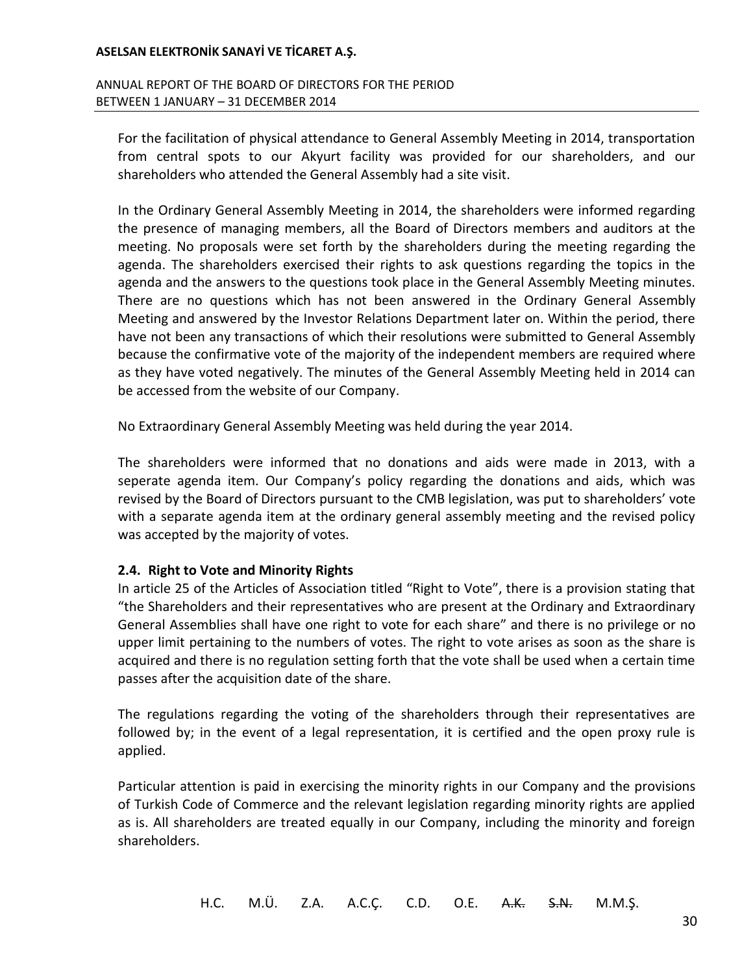### ANNUAL REPORT OF THE BOARD OF DIRECTORS FOR THE PERIOD BETWEEN 1 JANUARY – 31 DECEMBER 2014

For the facilitation of physical attendance to General Assembly Meeting in 2014, transportation from central spots to our Akyurt facility was provided for our shareholders, and our shareholders who attended the General Assembly had a site visit.

In the Ordinary General Assembly Meeting in 2014, the shareholders were informed regarding the presence of managing members, all the Board of Directors members and auditors at the meeting. No proposals were set forth by the shareholders during the meeting regarding the agenda. The shareholders exercised their rights to ask questions regarding the topics in the agenda and the answers to the questions took place in the General Assembly Meeting minutes. There are no questions which has not been answered in the Ordinary General Assembly Meeting and answered by the Investor Relations Department later on. Within the period, there have not been any transactions of which their resolutions were submitted to General Assembly because the confirmative vote of the majority of the independent members are required where as they have voted negatively. The minutes of the General Assembly Meeting held in 2014 can be accessed from the website of our Company.

No Extraordinary General Assembly Meeting was held during the year 2014.

The shareholders were informed that no donations and aids were made in 2013, with a seperate agenda item. Our Company's policy regarding the donations and aids, which was revised by the Board of Directors pursuant to the CMB legislation, was put to shareholders' vote with a separate agenda item at the ordinary general assembly meeting and the revised policy was accepted by the majority of votes.

## **2.4. Right to Vote and Minority Rights**

In article 25 of the Articles of Association titled "Right to Vote", there is a provision stating that "the Shareholders and their representatives who are present at the Ordinary and Extraordinary General Assemblies shall have one right to vote for each share" and there is no privilege or no upper limit pertaining to the numbers of votes. The right to vote arises as soon as the share is acquired and there is no regulation setting forth that the vote shall be used when a certain time passes after the acquisition date of the share.

The regulations regarding the voting of the shareholders through their representatives are followed by; in the event of a legal representation, it is certified and the open proxy rule is applied.

Particular attention is paid in exercising the minority rights in our Company and the provisions of Turkish Code of Commerce and the relevant legislation regarding minority rights are applied as is. All shareholders are treated equally in our Company, including the minority and foreign shareholders.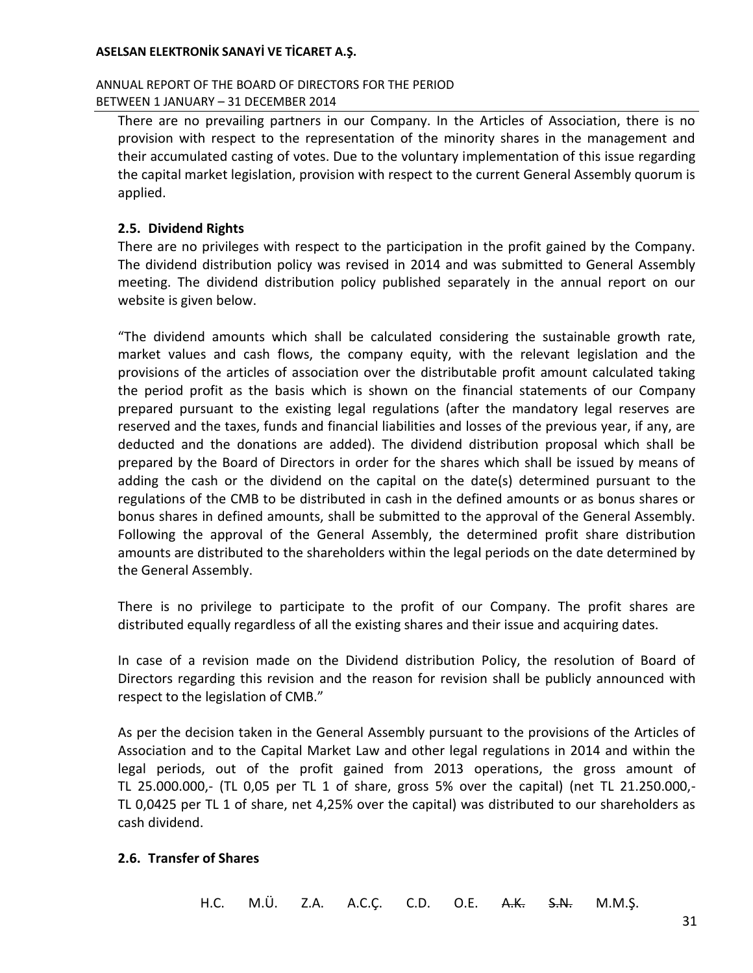### ANNUAL REPORT OF THE BOARD OF DIRECTORS FOR THE PERIOD BETWEEN 1 JANUARY – 31 DECEMBER 2014

There are no prevailing partners in our Company. In the Articles of Association, there is no provision with respect to the representation of the minority shares in the management and their accumulated casting of votes. Due to the voluntary implementation of this issue regarding the capital market legislation, provision with respect to the current General Assembly quorum is applied.

## **2.5. Dividend Rights**

There are no privileges with respect to the participation in the profit gained by the Company. The dividend distribution policy was revised in 2014 and was submitted to General Assembly meeting. The dividend distribution policy published separately in the annual report on our website is given below.

"The dividend amounts which shall be calculated considering the sustainable growth rate, market values and cash flows, the company equity, with the relevant legislation and the provisions of the articles of association over the distributable profit amount calculated taking the period profit as the basis which is shown on the financial statements of our Company prepared pursuant to the existing legal regulations (after the mandatory legal reserves are reserved and the taxes, funds and financial liabilities and losses of the previous year, if any, are deducted and the donations are added). The dividend distribution proposal which shall be prepared by the Board of Directors in order for the shares which shall be issued by means of adding the cash or the dividend on the capital on the date(s) determined pursuant to the regulations of the CMB to be distributed in cash in the defined amounts or as bonus shares or bonus shares in defined amounts, shall be submitted to the approval of the General Assembly. Following the approval of the General Assembly, the determined profit share distribution amounts are distributed to the shareholders within the legal periods on the date determined by the General Assembly.

There is no privilege to participate to the profit of our Company. The profit shares are distributed equally regardless of all the existing shares and their issue and acquiring dates.

In case of a revision made on the Dividend distribution Policy, the resolution of Board of Directors regarding this revision and the reason for revision shall be publicly announced with respect to the legislation of CMB."

As per the decision taken in the General Assembly pursuant to the provisions of the Articles of Association and to the Capital Market Law and other legal regulations in 2014 and within the legal periods, out of the profit gained from 2013 operations, the gross amount of TL 25.000.000,- (TL 0,05 per TL 1 of share, gross 5% over the capital) (net TL 21.250.000,- TL 0,0425 per TL 1 of share, net 4,25% over the capital) was distributed to our shareholders as cash dividend.

### **2.6. Transfer of Shares**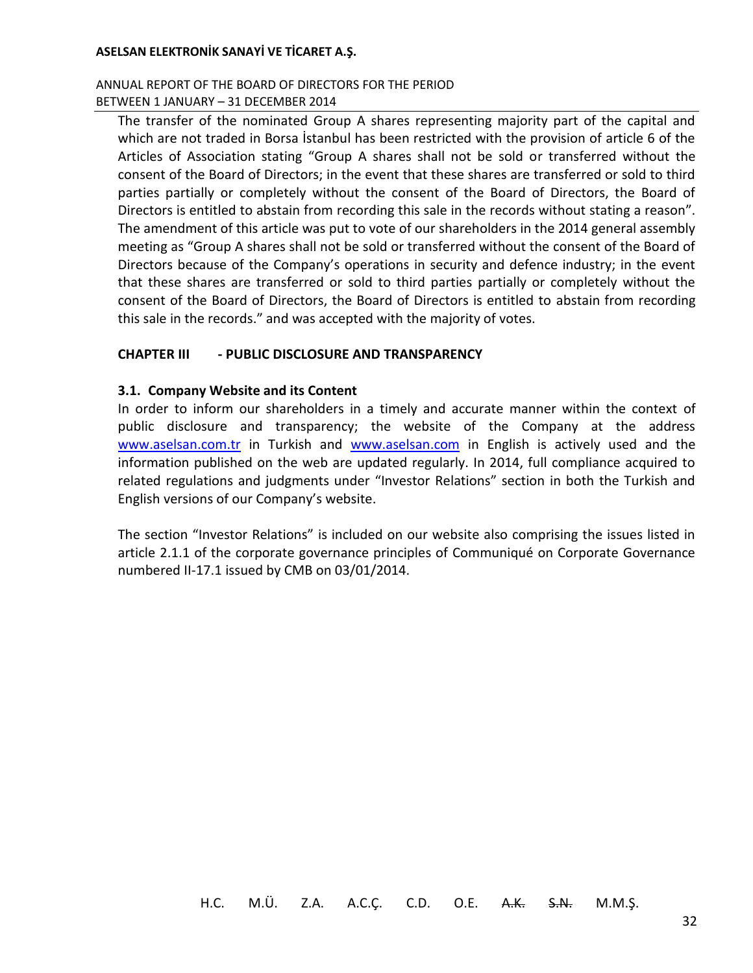### ANNUAL REPORT OF THE BOARD OF DIRECTORS FOR THE PERIOD BETWEEN 1 JANUARY – 31 DECEMBER 2014

The transfer of the nominated Group A shares representing majority part of the capital and which are not traded in Borsa İstanbul has been restricted with the provision of article 6 of the Articles of Association stating "Group A shares shall not be sold or transferred without the consent of the Board of Directors; in the event that these shares are transferred or sold to third parties partially or completely without the consent of the Board of Directors, the Board of Directors is entitled to abstain from recording this sale in the records without stating a reason". The amendment of this article was put to vote of our shareholders in the 2014 general assembly meeting as "Group A shares shall not be sold or transferred without the consent of the Board of Directors because of the Company's operations in security and defence industry; in the event that these shares are transferred or sold to third parties partially or completely without the consent of the Board of Directors, the Board of Directors is entitled to abstain from recording this sale in the records." and was accepted with the majority of votes.

## **CHAPTER III - PUBLIC DISCLOSURE AND TRANSPARENCY**

### **3.1. Company Website and its Content**

In order to inform our shareholders in a timely and accurate manner within the context of public disclosure and transparency; the website of the Company at the address [www.aselsan.com.tr](http://www.aselsan.com.tr/) in Turkish and [www.aselsan.com](http://www.aselsan.com/) in English is actively used and the information published on the web are updated regularly. In 2014, full compliance acquired to related regulations and judgments under "Investor Relations" section in both the Turkish and English versions of our Company's website.

The section "Investor Relations" is included on our website also comprising the issues listed in article 2.1.1 of the corporate governance principles of Communiqué on Corporate Governance numbered II-17.1 issued by CMB on 03/01/2014.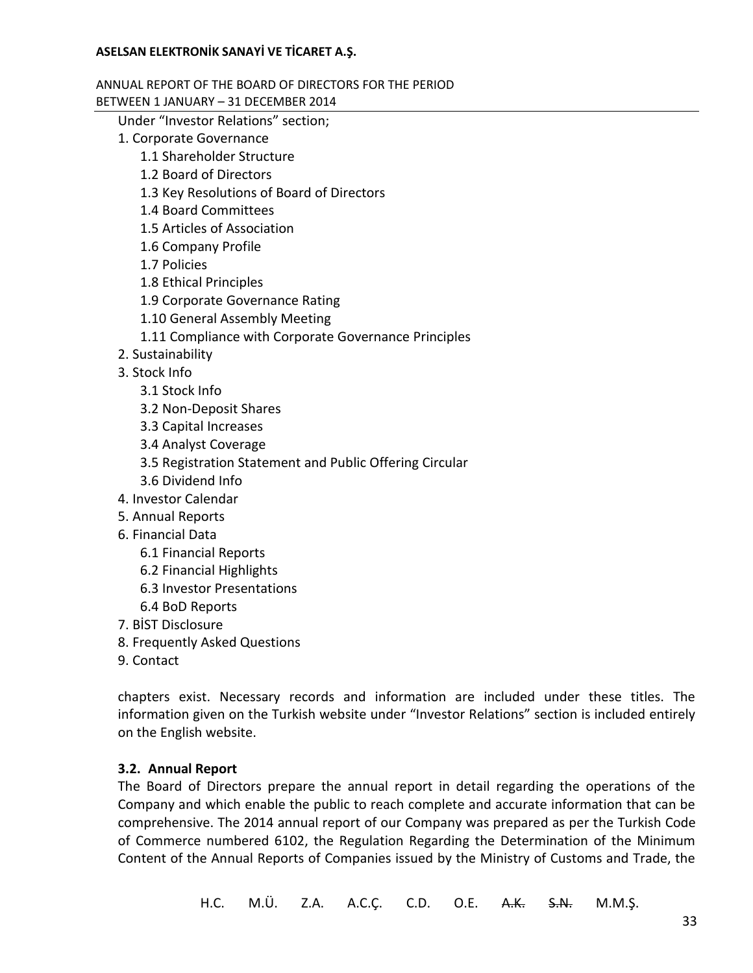#### ANNUAL REPORT OF THE BOARD OF DIRECTORS FOR THE PERIOD BETWEEN 1 JANUARY – 31 DECEMBER 2014

Under "Investor Relations" section;

- 1. Corporate Governance
	- 1.1 Shareholder Structure
	- 1.2 Board of Directors
	- 1.3 Key Resolutions of Board of Directors
	- 1.4 Board Committees
	- 1.5 Articles of Association
	- 1.6 Company Profile
	- 1.7 Policies
	- 1.8 Ethical Principles
	- 1.9 Corporate Governance Rating
	- 1.10 General Assembly Meeting
	- 1.11 Compliance with Corporate Governance Principles
- 2. Sustainability
- 3. Stock Info
	- 3.1 Stock Info
	- 3.2 Non-Deposit Shares
	- 3.3 Capital Increases
	- 3.4 Analyst Coverage
	- 3.5 Registration Statement and Public Offering Circular
	- 3.6 Dividend Info
- 4. Investor Calendar
- 5. Annual Reports
- 6. Financial Data
	- 6.1 Financial Reports
	- 6.2 Financial Highlights
	- 6.3 Investor Presentations
	- 6.4 BoD Reports
- 7. BİST Disclosure
- 8. Frequently Asked Questions
- 9. Contact

chapters exist. Necessary records and information are included under these titles. The information given on the Turkish website under "Investor Relations" section is included entirely on the English website.

## **3.2. Annual Report**

The Board of Directors prepare the annual report in detail regarding the operations of the Company and which enable the public to reach complete and accurate information that can be comprehensive. The 2014 annual report of our Company was prepared as per the Turkish Code of Commerce numbered 6102, the Regulation Regarding the Determination of the Minimum Content of the Annual Reports of Companies issued by the Ministry of Customs and Trade, the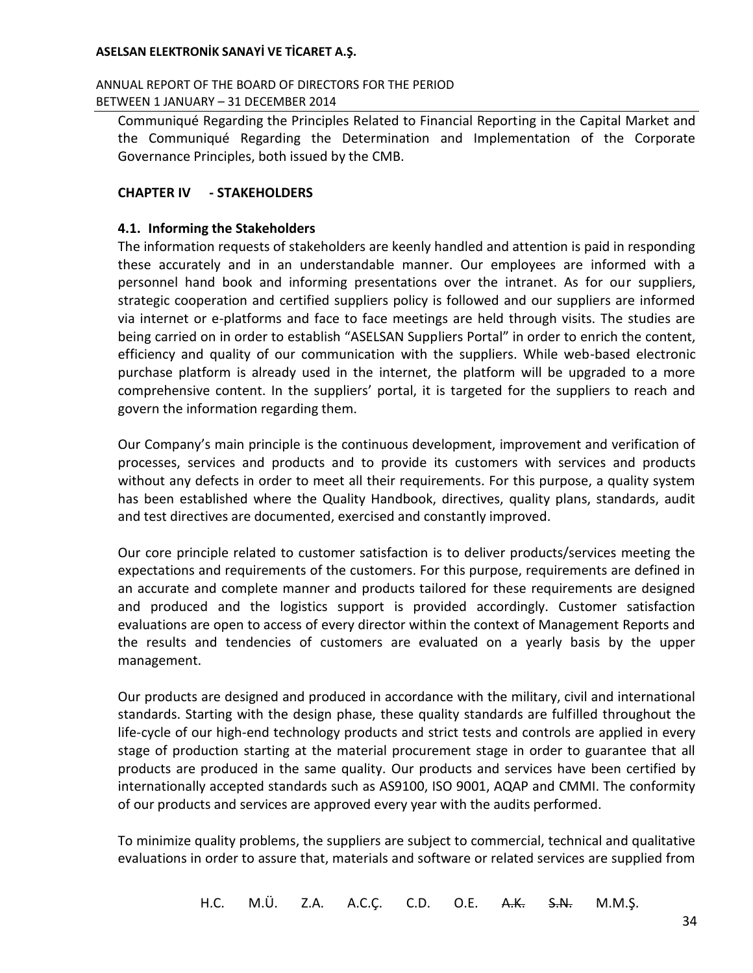ANNUAL REPORT OF THE BOARD OF DIRECTORS FOR THE PERIOD BETWEEN 1 JANUARY – 31 DECEMBER 2014

Communiqué Regarding the Principles Related to Financial Reporting in the Capital Market and the Communiqué Regarding the Determination and Implementation of the Corporate Governance Principles, both issued by the CMB.

## **CHAPTER IV - STAKEHOLDERS**

### **4.1. Informing the Stakeholders**

The information requests of stakeholders are keenly handled and attention is paid in responding these accurately and in an understandable manner. Our employees are informed with a personnel hand book and informing presentations over the intranet. As for our suppliers, strategic cooperation and certified suppliers policy is followed and our suppliers are informed via internet or e-platforms and face to face meetings are held through visits. The studies are being carried on in order to establish "ASELSAN Suppliers Portal" in order to enrich the content, efficiency and quality of our communication with the suppliers. While web-based electronic purchase platform is already used in the internet, the platform will be upgraded to a more comprehensive content. In the suppliers' portal, it is targeted for the suppliers to reach and govern the information regarding them.

Our Company's main principle is the continuous development, improvement and verification of processes, services and products and to provide its customers with services and products without any defects in order to meet all their requirements. For this purpose, a quality system has been established where the Quality Handbook, directives, quality plans, standards, audit and test directives are documented, exercised and constantly improved.

Our core principle related to customer satisfaction is to deliver products/services meeting the expectations and requirements of the customers. For this purpose, requirements are defined in an accurate and complete manner and products tailored for these requirements are designed and produced and the logistics support is provided accordingly. Customer satisfaction evaluations are open to access of every director within the context of Management Reports and the results and tendencies of customers are evaluated on a yearly basis by the upper management.

Our products are designed and produced in accordance with the military, civil and international standards. Starting with the design phase, these quality standards are fulfilled throughout the life-cycle of our high-end technology products and strict tests and controls are applied in every stage of production starting at the material procurement stage in order to guarantee that all products are produced in the same quality. Our products and services have been certified by internationally accepted standards such as AS9100, ISO 9001, AQAP and CMMI. The conformity of our products and services are approved every year with the audits performed.

To minimize quality problems, the suppliers are subject to commercial, technical and qualitative evaluations in order to assure that, materials and software or related services are supplied from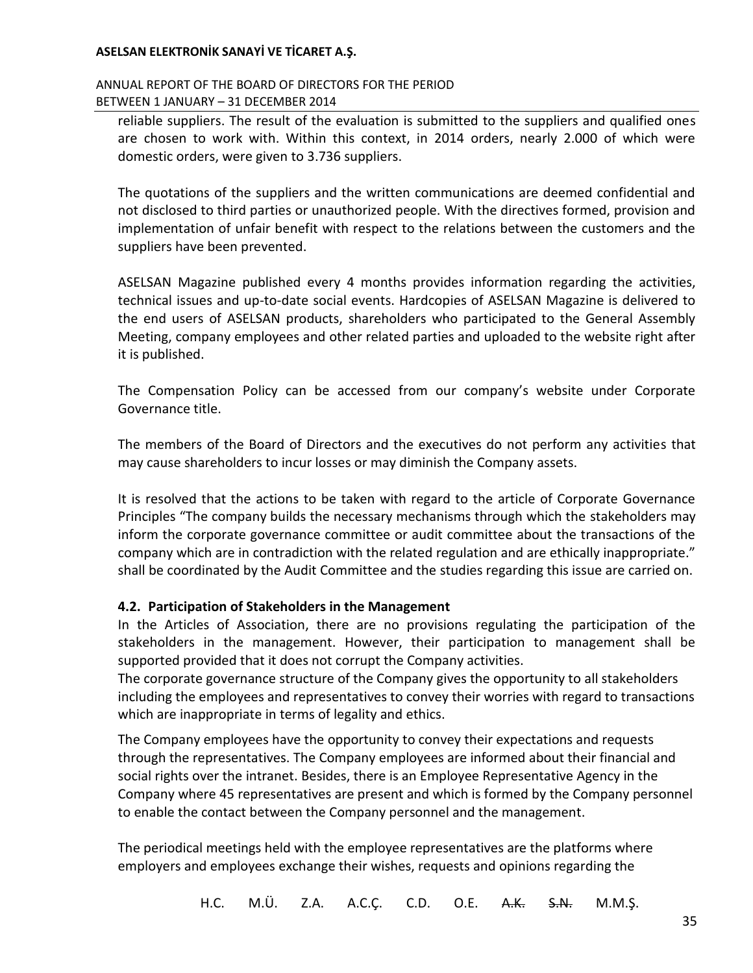### ANNUAL REPORT OF THE BOARD OF DIRECTORS FOR THE PERIOD BETWEEN 1 JANUARY – 31 DECEMBER 2014

reliable suppliers. The result of the evaluation is submitted to the suppliers and qualified ones are chosen to work with. Within this context, in 2014 orders, nearly 2.000 of which were domestic orders, were given to 3.736 suppliers.

The quotations of the suppliers and the written communications are deemed confidential and not disclosed to third parties or unauthorized people. With the directives formed, provision and implementation of unfair benefit with respect to the relations between the customers and the suppliers have been prevented.

ASELSAN Magazine published every 4 months provides information regarding the activities, technical issues and up-to-date social events. Hardcopies of ASELSAN Magazine is delivered to the end users of ASELSAN products, shareholders who participated to the General Assembly Meeting, company employees and other related parties and uploaded to the website right after it is published.

The Compensation Policy can be accessed from our company's website under Corporate Governance title.

The members of the Board of Directors and the executives do not perform any activities that may cause shareholders to incur losses or may diminish the Company assets.

It is resolved that the actions to be taken with regard to the article of Corporate Governance Principles "The company builds the necessary mechanisms through which the stakeholders may inform the corporate governance committee or audit committee about the transactions of the company which are in contradiction with the related regulation and are ethically inappropriate." shall be coordinated by the Audit Committee and the studies regarding this issue are carried on.

## **4.2. Participation of Stakeholders in the Management**

In the Articles of Association, there are no provisions regulating the participation of the stakeholders in the management. However, their participation to management shall be supported provided that it does not corrupt the Company activities.

The corporate governance structure of the Company gives the opportunity to all stakeholders including the employees and representatives to convey their worries with regard to transactions which are inappropriate in terms of legality and ethics.

The Company employees have the opportunity to convey their expectations and requests through the representatives. The Company employees are informed about their financial and social rights over the intranet. Besides, there is an Employee Representative Agency in the Company where 45 representatives are present and which is formed by the Company personnel to enable the contact between the Company personnel and the management.

The periodical meetings held with the employee representatives are the platforms where employers and employees exchange their wishes, requests and opinions regarding the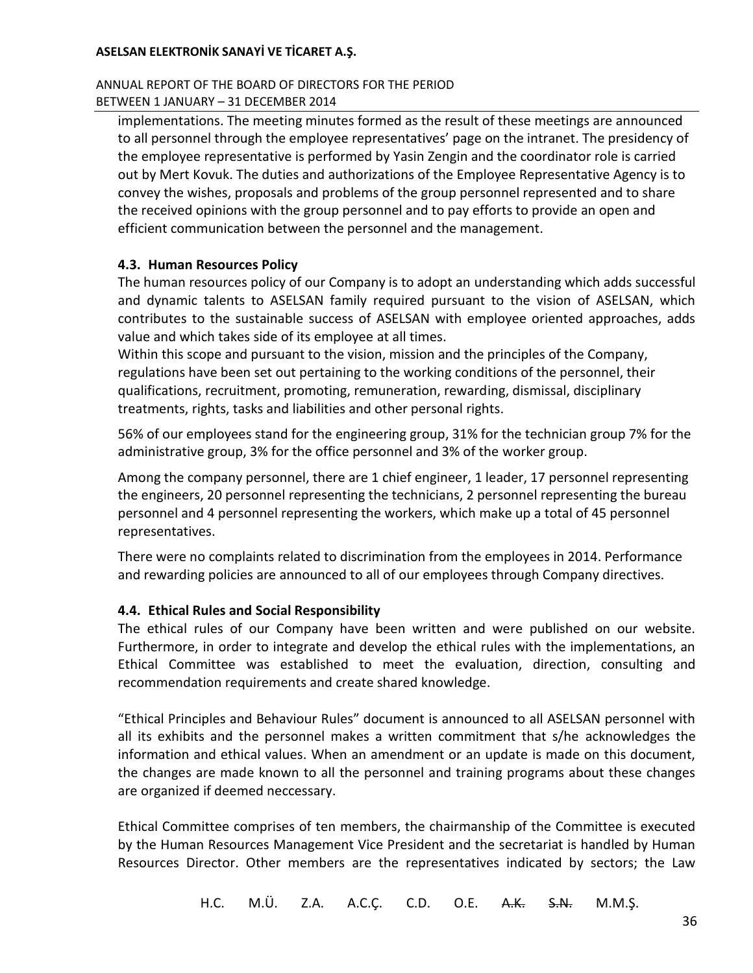### ANNUAL REPORT OF THE BOARD OF DIRECTORS FOR THE PERIOD BETWEEN 1 JANUARY – 31 DECEMBER 2014

implementations. The meeting minutes formed as the result of these meetings are announced to all personnel through the employee representatives' page on the intranet. The presidency of the employee representative is performed by Yasin Zengin and the coordinator role is carried out by Mert Kovuk. The duties and authorizations of the Employee Representative Agency is to convey the wishes, proposals and problems of the group personnel represented and to share the received opinions with the group personnel and to pay efforts to provide an open and efficient communication between the personnel and the management.

## **4.3. Human Resources Policy**

The human resources policy of our Company is to adopt an understanding which adds successful and dynamic talents to ASELSAN family required pursuant to the vision of ASELSAN, which contributes to the sustainable success of ASELSAN with employee oriented approaches, adds value and which takes side of its employee at all times.

Within this scope and pursuant to the vision, mission and the principles of the Company, regulations have been set out pertaining to the working conditions of the personnel, their qualifications, recruitment, promoting, remuneration, rewarding, dismissal, disciplinary treatments, rights, tasks and liabilities and other personal rights.

56% of our employees stand for the engineering group, 31% for the technician group 7% for the administrative group, 3% for the office personnel and 3% of the worker group.

Among the company personnel, there are 1 chief engineer, 1 leader, 17 personnel representing the engineers, 20 personnel representing the technicians, 2 personnel representing the bureau personnel and 4 personnel representing the workers, which make up a total of 45 personnel representatives.

There were no complaints related to discrimination from the employees in 2014. Performance and rewarding policies are announced to all of our employees through Company directives.

## **4.4. Ethical Rules and Social Responsibility**

The ethical rules of our Company have been written and were published on our website. Furthermore, in order to integrate and develop the ethical rules with the implementations, an Ethical Committee was established to meet the evaluation, direction, consulting and recommendation requirements and create shared knowledge.

"Ethical Principles and Behaviour Rules" document is announced to all ASELSAN personnel with all its exhibits and the personnel makes a written commitment that s/he acknowledges the information and ethical values. When an amendment or an update is made on this document, the changes are made known to all the personnel and training programs about these changes are organized if deemed neccessary.

Ethical Committee comprises of ten members, the chairmanship of the Committee is executed by the Human Resources Management Vice President and the secretariat is handled by Human Resources Director. Other members are the representatives indicated by sectors; the Law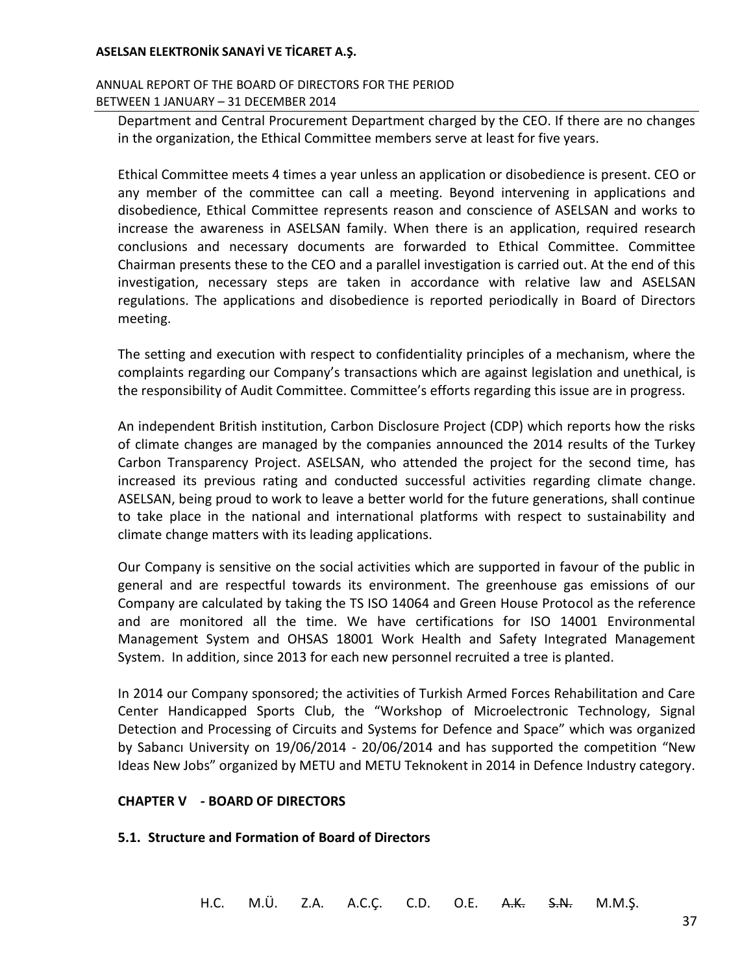### ANNUAL REPORT OF THE BOARD OF DIRECTORS FOR THE PERIOD BETWEEN 1 JANUARY – 31 DECEMBER 2014

Department and Central Procurement Department charged by the CEO. If there are no changes in the organization, the Ethical Committee members serve at least for five years.

Ethical Committee meets 4 times a year unless an application or disobedience is present. CEO or any member of the committee can call a meeting. Beyond intervening in applications and disobedience, Ethical Committee represents reason and conscience of ASELSAN and works to increase the awareness in ASELSAN family. When there is an application, required research conclusions and necessary documents are forwarded to Ethical Committee. Committee Chairman presents these to the CEO and a parallel investigation is carried out. At the end of this investigation, necessary steps are taken in accordance with relative law and ASELSAN regulations. The applications and disobedience is reported periodically in Board of Directors meeting.

The setting and execution with respect to confidentiality principles of a mechanism, where the complaints regarding our Company's transactions which are against legislation and unethical, is the responsibility of Audit Committee. Committee's efforts regarding this issue are in progress.

An independent British institution, Carbon Disclosure Project (CDP) which reports how the risks of climate changes are managed by the companies announced the 2014 results of the Turkey Carbon Transparency Project. ASELSAN, who attended the project for the second time, has increased its previous rating and conducted successful activities regarding climate change. ASELSAN, being proud to work to leave a better world for the future generations, shall continue to take place in the national and international platforms with respect to sustainability and climate change matters with its leading applications.

Our Company is sensitive on the social activities which are supported in favour of the public in general and are respectful towards its environment. The greenhouse gas emissions of our Company are calculated by taking the TS ISO 14064 and Green House Protocol as the reference and are monitored all the time. We have certifications for ISO 14001 Environmental Management System and OHSAS 18001 Work Health and Safety Integrated Management System. In addition, since 2013 for each new personnel recruited a tree is planted.

In 2014 our Company sponsored; the activities of Turkish Armed Forces Rehabilitation and Care Center Handicapped Sports Club, the "Workshop of Microelectronic Technology, Signal Detection and Processing of Circuits and Systems for Defence and Space" which was organized by Sabancı University on 19/06/2014 - 20/06/2014 and has supported the competition "New Ideas New Jobs" organized by METU and METU Teknokent in 2014 in Defence Industry category.

### **CHAPTER V - BOARD OF DIRECTORS**

### **5.1. Structure and Formation of Board of Directors**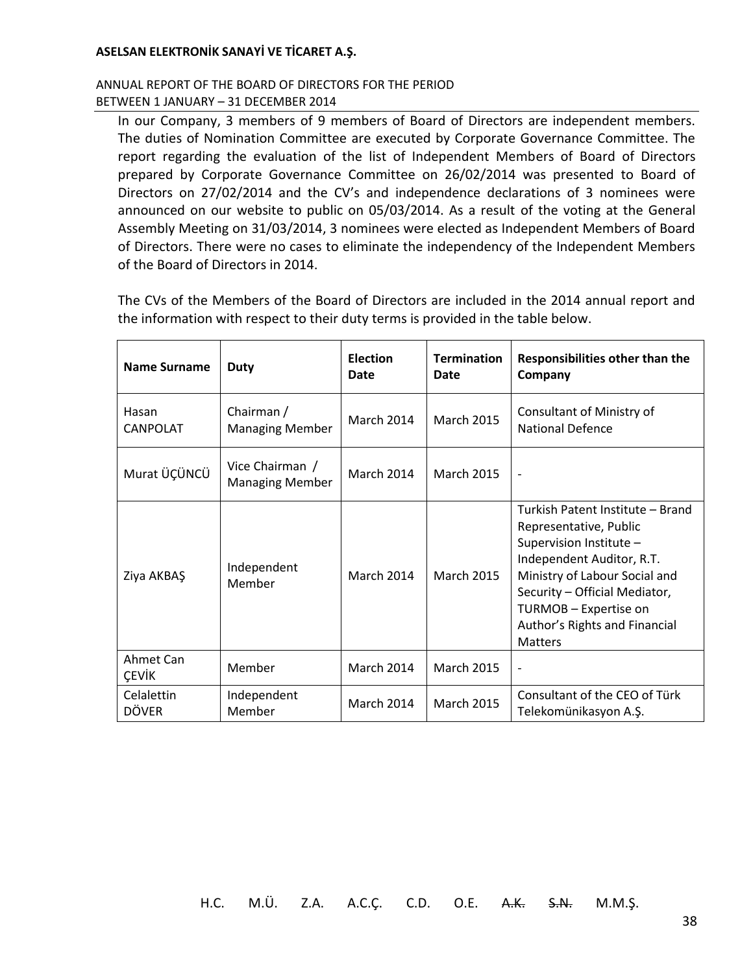### ANNUAL REPORT OF THE BOARD OF DIRECTORS FOR THE PERIOD BETWEEN 1 JANUARY – 31 DECEMBER 2014

In our Company, 3 members of 9 members of Board of Directors are independent members. The duties of Nomination Committee are executed by Corporate Governance Committee. The report regarding the evaluation of the list of Independent Members of Board of Directors prepared by Corporate Governance Committee on 26/02/2014 was presented to Board of Directors on 27/02/2014 and the CV's and independence declarations of 3 nominees were announced on our website to public on 05/03/2014. As a result of the voting at the General Assembly Meeting on 31/03/2014, 3 nominees were elected as Independent Members of Board of Directors. There were no cases to eliminate the independency of the Independent Members of the Board of Directors in 2014.

The CVs of the Members of the Board of Directors are included in the 2014 annual report and the information with respect to their duty terms is provided in the table below.

| <b>Name Surname</b>        | <b>Duty</b>                               | <b>Election</b><br>Date | <b>Termination</b><br>Date | Responsibilities other than the<br>Company                                                                                                                                                                                                                       |
|----------------------------|-------------------------------------------|-------------------------|----------------------------|------------------------------------------------------------------------------------------------------------------------------------------------------------------------------------------------------------------------------------------------------------------|
| Hasan<br><b>CANPOLAT</b>   | Chairman /<br><b>Managing Member</b>      | March 2014              | <b>March 2015</b>          | Consultant of Ministry of<br><b>National Defence</b>                                                                                                                                                                                                             |
| Murat ÜÇÜNCÜ               | Vice Chairman /<br><b>Managing Member</b> | <b>March 2014</b>       | <b>March 2015</b>          | $\overline{\phantom{a}}$                                                                                                                                                                                                                                         |
| Ziya AKBAŞ                 | Independent<br>Member                     | <b>March 2014</b>       | <b>March 2015</b>          | Turkish Patent Institute - Brand<br>Representative, Public<br>Supervision Institute -<br>Independent Auditor, R.T.<br>Ministry of Labour Social and<br>Security - Official Mediator,<br>TURMOB - Expertise on<br>Author's Rights and Financial<br><b>Matters</b> |
| Ahmet Can<br><b>CEVIK</b>  | Member                                    | March 2014              | <b>March 2015</b>          | $\overline{\phantom{a}}$                                                                                                                                                                                                                                         |
| Celalettin<br><b>DÖVER</b> | Independent<br>Member                     | March 2014              | <b>March 2015</b>          | Consultant of the CEO of Türk<br>Telekomünikasyon A.Ş.                                                                                                                                                                                                           |

H.C. M.Ü. Z.A. A.C.Ç. C.D. O.E. A.K. S.N. M.M.Ş.

38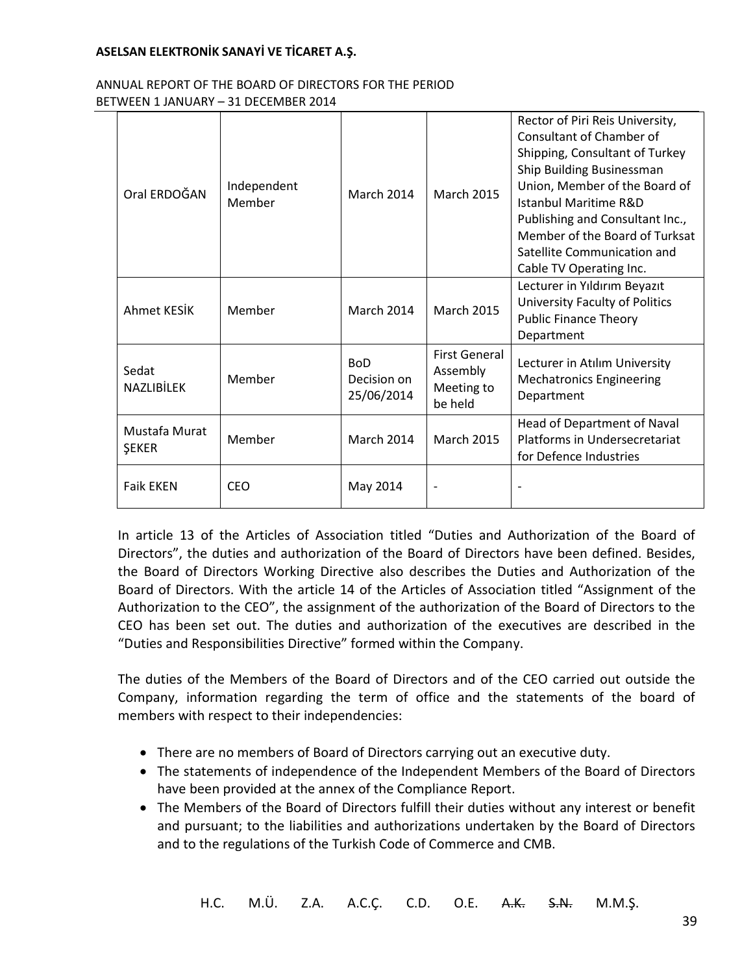#### ANNUAL REPORT OF THE BOARD OF DIRECTORS FOR THE PERIOD BETWEEN 1 JANUARY – 31 DECEMBER 2014

| Oral ERDOĞAN                  | Independent<br>Member | <b>March 2014</b>                       | <b>March 2015</b>                                         | Rector of Piri Reis University,<br>Consultant of Chamber of<br>Shipping, Consultant of Turkey<br>Ship Building Businessman<br>Union, Member of the Board of<br><b>Istanbul Maritime R&amp;D</b><br>Publishing and Consultant Inc.,<br>Member of the Board of Turksat<br>Satellite Communication and<br>Cable TV Operating Inc. |
|-------------------------------|-----------------------|-----------------------------------------|-----------------------------------------------------------|--------------------------------------------------------------------------------------------------------------------------------------------------------------------------------------------------------------------------------------------------------------------------------------------------------------------------------|
| Ahmet KFSİK                   | Member                | <b>March 2014</b>                       | <b>March 2015</b>                                         | Lecturer in Yıldırım Beyazıt<br>University Faculty of Politics<br><b>Public Finance Theory</b><br>Department                                                                                                                                                                                                                   |
| Sedat<br><b>NAZLIBİLEK</b>    | Member                | <b>BoD</b><br>Decision on<br>25/06/2014 | <b>First General</b><br>Assembly<br>Meeting to<br>be held | Lecturer in Atılım University<br><b>Mechatronics Engineering</b><br>Department                                                                                                                                                                                                                                                 |
| Mustafa Murat<br><b>ŞEKER</b> | Member                | <b>March 2014</b>                       | <b>March 2015</b>                                         | Head of Department of Naval<br>Platforms in Undersecretariat<br>for Defence Industries                                                                                                                                                                                                                                         |
| <b>Faik EKEN</b>              | <b>CEO</b>            | May 2014                                |                                                           |                                                                                                                                                                                                                                                                                                                                |

In article 13 of the Articles of Association titled "Duties and Authorization of the Board of Directors", the duties and authorization of the Board of Directors have been defined. Besides, the Board of Directors Working Directive also describes the Duties and Authorization of the Board of Directors. With the article 14 of the Articles of Association titled "Assignment of the Authorization to the CEO", the assignment of the authorization of the Board of Directors to the CEO has been set out. The duties and authorization of the executives are described in the "Duties and Responsibilities Directive" formed within the Company.

The duties of the Members of the Board of Directors and of the CEO carried out outside the Company, information regarding the term of office and the statements of the board of members with respect to their independencies:

- There are no members of Board of Directors carrying out an executive duty.
- The statements of independence of the Independent Members of the Board of Directors have been provided at the annex of the Compliance Report.
- The Members of the Board of Directors fulfill their duties without any interest or benefit and pursuant; to the liabilities and authorizations undertaken by the Board of Directors and to the regulations of the Turkish Code of Commerce and CMB.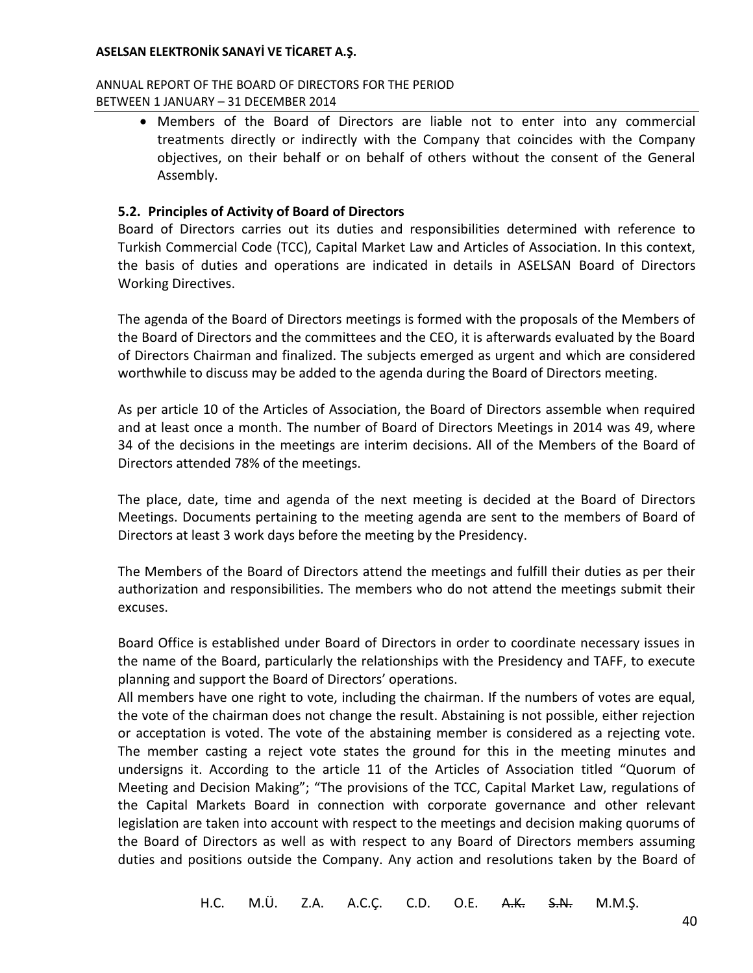### ANNUAL REPORT OF THE BOARD OF DIRECTORS FOR THE PERIOD BETWEEN 1 JANUARY – 31 DECEMBER 2014

 Members of the Board of Directors are liable not to enter into any commercial treatments directly or indirectly with the Company that coincides with the Company objectives, on their behalf or on behalf of others without the consent of the General Assembly.

## **5.2. Principles of Activity of Board of Directors**

Board of Directors carries out its duties and responsibilities determined with reference to Turkish Commercial Code (TCC), Capital Market Law and Articles of Association. In this context, the basis of duties and operations are indicated in details in ASELSAN Board of Directors Working Directives.

The agenda of the Board of Directors meetings is formed with the proposals of the Members of the Board of Directors and the committees and the CEO, it is afterwards evaluated by the Board of Directors Chairman and finalized. The subjects emerged as urgent and which are considered worthwhile to discuss may be added to the agenda during the Board of Directors meeting.

As per article 10 of the Articles of Association, the Board of Directors assemble when required and at least once a month. The number of Board of Directors Meetings in 2014 was 49, where 34 of the decisions in the meetings are interim decisions. All of the Members of the Board of Directors attended 78% of the meetings.

The place, date, time and agenda of the next meeting is decided at the Board of Directors Meetings. Documents pertaining to the meeting agenda are sent to the members of Board of Directors at least 3 work days before the meeting by the Presidency.

The Members of the Board of Directors attend the meetings and fulfill their duties as per their authorization and responsibilities. The members who do not attend the meetings submit their excuses.

Board Office is established under Board of Directors in order to coordinate necessary issues in the name of the Board, particularly the relationships with the Presidency and TAFF, to execute planning and support the Board of Directors' operations.

All members have one right to vote, including the chairman. If the numbers of votes are equal, the vote of the chairman does not change the result. Abstaining is not possible, either rejection or acceptation is voted. The vote of the abstaining member is considered as a rejecting vote. The member casting a reject vote states the ground for this in the meeting minutes and undersigns it. According to the article 11 of the Articles of Association titled "Quorum of Meeting and Decision Making"; "The provisions of the TCC, Capital Market Law, regulations of the Capital Markets Board in connection with corporate governance and other relevant legislation are taken into account with respect to the meetings and decision making quorums of the Board of Directors as well as with respect to any Board of Directors members assuming duties and positions outside the Company. Any action and resolutions taken by the Board of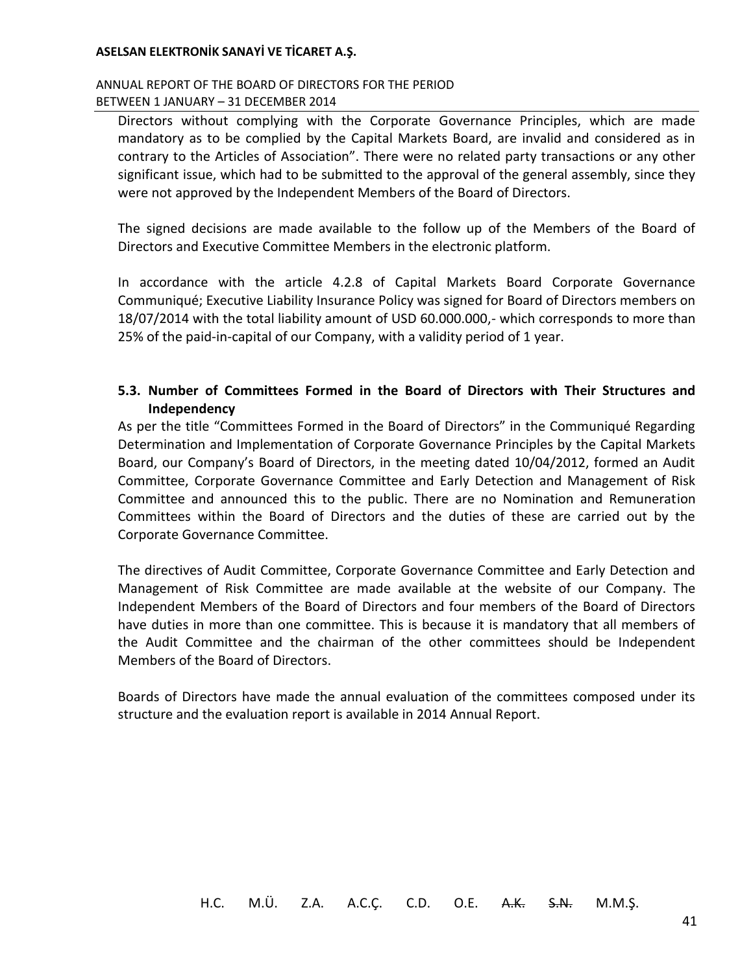### ANNUAL REPORT OF THE BOARD OF DIRECTORS FOR THE PERIOD BETWEEN 1 JANUARY – 31 DECEMBER 2014

Directors without complying with the Corporate Governance Principles, which are made mandatory as to be complied by the Capital Markets Board, are invalid and considered as in contrary to the Articles of Association". There were no related party transactions or any other significant issue, which had to be submitted to the approval of the general assembly, since they were not approved by the Independent Members of the Board of Directors.

The signed decisions are made available to the follow up of the Members of the Board of Directors and Executive Committee Members in the electronic platform.

In accordance with the article 4.2.8 of Capital Markets Board Corporate Governance Communiqué; Executive Liability Insurance Policy was signed for Board of Directors members on 18/07/2014 with the total liability amount of USD 60.000.000,- which corresponds to more than 25% of the paid-in-capital of our Company, with a validity period of 1 year.

## **5.3. Number of Committees Formed in the Board of Directors with Their Structures and Independency**

As per the title "Committees Formed in the Board of Directors" in the Communiqué Regarding Determination and Implementation of Corporate Governance Principles by the Capital Markets Board, our Company's Board of Directors, in the meeting dated 10/04/2012, formed an Audit Committee, Corporate Governance Committee and Early Detection and Management of Risk Committee and announced this to the public. There are no Nomination and Remuneration Committees within the Board of Directors and the duties of these are carried out by the Corporate Governance Committee.

The directives of Audit Committee, Corporate Governance Committee and Early Detection and Management of Risk Committee are made available at the website of our Company. The Independent Members of the Board of Directors and four members of the Board of Directors have duties in more than one committee. This is because it is mandatory that all members of the Audit Committee and the chairman of the other committees should be Independent Members of the Board of Directors.

Boards of Directors have made the annual evaluation of the committees composed under its structure and the evaluation report is available in 2014 Annual Report.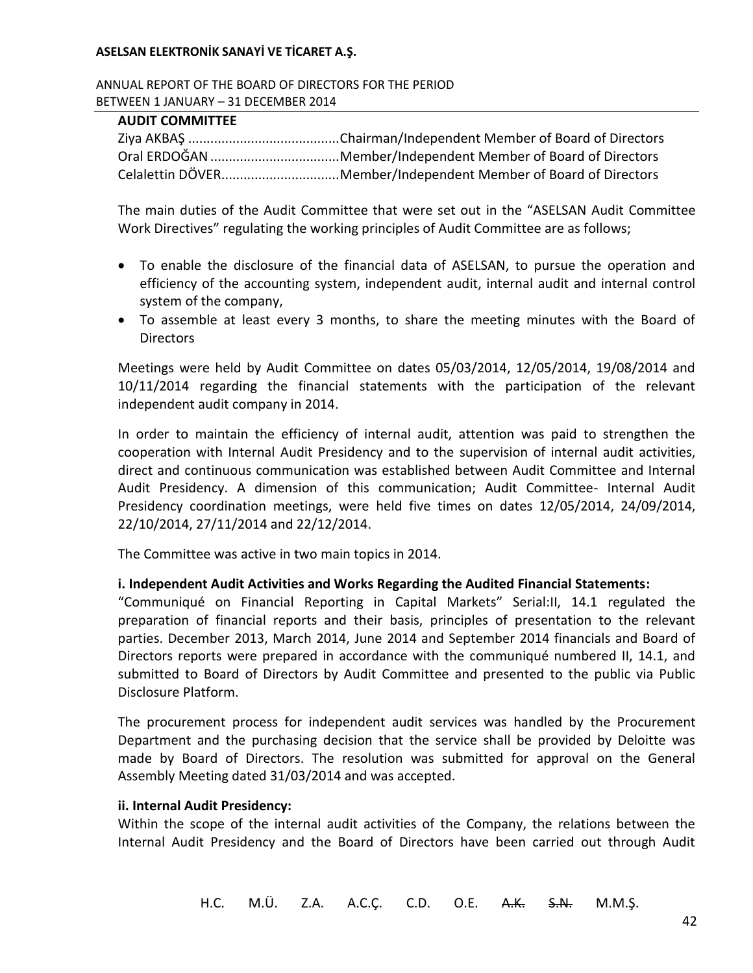ANNUAL REPORT OF THE BOARD OF DIRECTORS FOR THE PERIOD BETWEEN 1 JANUARY – 31 DECEMBER 2014

### **AUDIT COMMITTEE**

| Celalettin DÖVERMember/Independent Member of Board of Directors |
|-----------------------------------------------------------------|

The main duties of the Audit Committee that were set out in the "ASELSAN Audit Committee Work Directives" regulating the working principles of Audit Committee are as follows;

- To enable the disclosure of the financial data of ASELSAN, to pursue the operation and efficiency of the accounting system, independent audit, internal audit and internal control system of the company,
- To assemble at least every 3 months, to share the meeting minutes with the Board of **Directors**

Meetings were held by Audit Committee on dates 05/03/2014, 12/05/2014, 19/08/2014 and 10/11/2014 regarding the financial statements with the participation of the relevant independent audit company in 2014.

In order to maintain the efficiency of internal audit, attention was paid to strengthen the cooperation with Internal Audit Presidency and to the supervision of internal audit activities, direct and continuous communication was established between Audit Committee and Internal Audit Presidency. A dimension of this communication; Audit Committee- Internal Audit Presidency coordination meetings, were held five times on dates 12/05/2014, 24/09/2014, 22/10/2014, 27/11/2014 and 22/12/2014.

The Committee was active in two main topics in 2014.

### **i. Independent Audit Activities and Works Regarding the Audited Financial Statements:**

"Communiqué on Financial Reporting in Capital Markets" Serial:II, 14.1 regulated the preparation of financial reports and their basis, principles of presentation to the relevant parties. December 2013, March 2014, June 2014 and September 2014 financials and Board of Directors reports were prepared in accordance with the communiqué numbered II, 14.1, and submitted to Board of Directors by Audit Committee and presented to the public via Public Disclosure Platform.

The procurement process for independent audit services was handled by the Procurement Department and the purchasing decision that the service shall be provided by Deloitte was made by Board of Directors. The resolution was submitted for approval on the General Assembly Meeting dated 31/03/2014 and was accepted.

#### **ii. Internal Audit Presidency:**

Within the scope of the internal audit activities of the Company, the relations between the Internal Audit Presidency and the Board of Directors have been carried out through Audit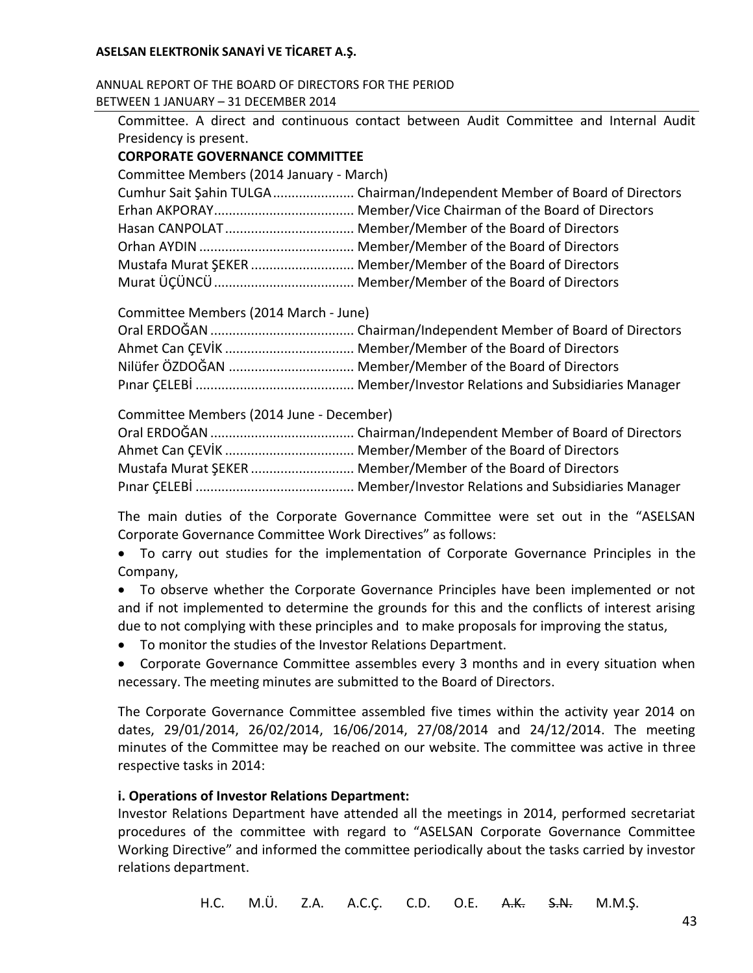ANNUAL REPORT OF THE BOARD OF DIRECTORS FOR THE PERIOD BETWEEN 1 JANUARY – 31 DECEMBER 2014

| Committee. A direct and continuous contact between Audit Committee and Internal Audit |  |  |
|---------------------------------------------------------------------------------------|--|--|
| Presidency is present.                                                                |  |  |
| <b>CORPORATE GOVERNANCE COMMITTEE</b>                                                 |  |  |
| Committee Members (2014 January - March)                                              |  |  |
|                                                                                       |  |  |
|                                                                                       |  |  |
|                                                                                       |  |  |
|                                                                                       |  |  |
| Mustafa Murat SEKER  Member/Member of the Board of Directors                          |  |  |
|                                                                                       |  |  |
|                                                                                       |  |  |

Committee Members (2014 March - June)

Committee Members (2014 June - December)

| Mustafa Murat SEKER  Member/Member of the Board of Directors |
|--------------------------------------------------------------|
|                                                              |

The main duties of the Corporate Governance Committee were set out in the "ASELSAN Corporate Governance Committee Work Directives" as follows:

 To carry out studies for the implementation of Corporate Governance Principles in the Company,

 To observe whether the Corporate Governance Principles have been implemented or not and if not implemented to determine the grounds for this and the conflicts of interest arising due to not complying with these principles and to make proposals for improving the status,

- To monitor the studies of the Investor Relations Department.
- Corporate Governance Committee assembles every 3 months and in every situation when necessary. The meeting minutes are submitted to the Board of Directors.

The Corporate Governance Committee assembled five times within the activity year 2014 on dates, 29/01/2014, 26/02/2014, 16/06/2014, 27/08/2014 and 24/12/2014. The meeting minutes of the Committee may be reached on our website. The committee was active in three respective tasks in 2014:

### **i. Operations of Investor Relations Department:**

Investor Relations Department have attended all the meetings in 2014, performed secretariat procedures of the committee with regard to "ASELSAN Corporate Governance Committee Working Directive" and informed the committee periodically about the tasks carried by investor relations department.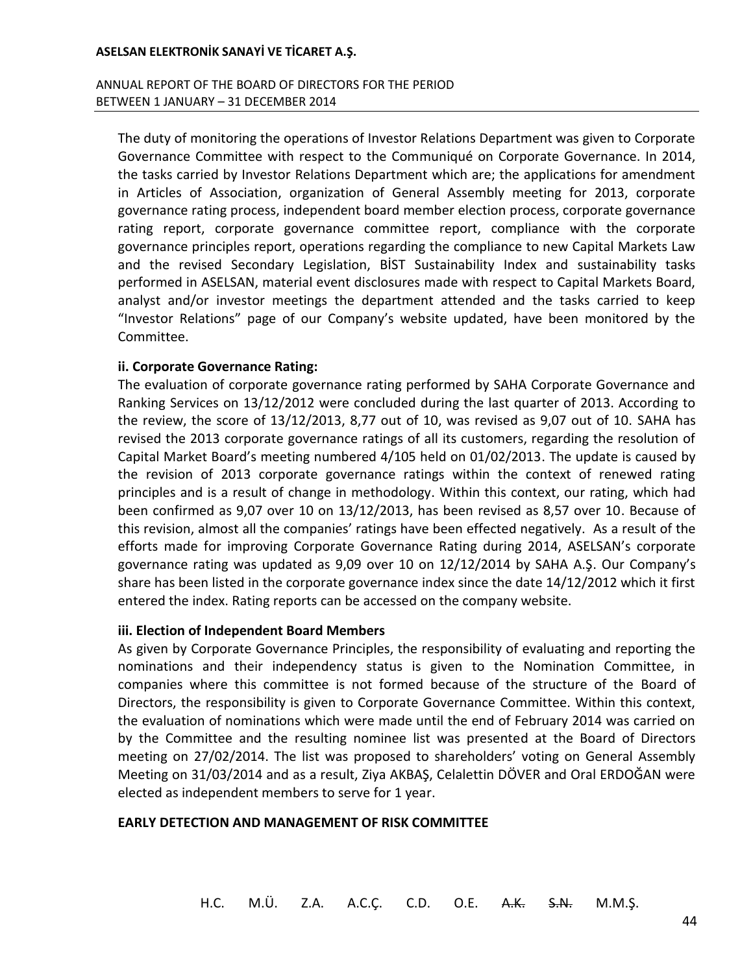### ANNUAL REPORT OF THE BOARD OF DIRECTORS FOR THE PERIOD BETWEEN 1 JANUARY – 31 DECEMBER 2014

The duty of monitoring the operations of Investor Relations Department was given to Corporate Governance Committee with respect to the Communiqué on Corporate Governance. In 2014, the tasks carried by Investor Relations Department which are; the applications for amendment in Articles of Association, organization of General Assembly meeting for 2013, corporate governance rating process, independent board member election process, corporate governance rating report, corporate governance committee report, compliance with the corporate governance principles report, operations regarding the compliance to new Capital Markets Law and the revised Secondary Legislation, BİST Sustainability Index and sustainability tasks performed in ASELSAN, material event disclosures made with respect to Capital Markets Board, analyst and/or investor meetings the department attended and the tasks carried to keep "Investor Relations" page of our Company's website updated, have been monitored by the Committee.

### **ii. Corporate Governance Rating:**

The evaluation of corporate governance rating performed by SAHA Corporate Governance and Ranking Services on 13/12/2012 were concluded during the last quarter of 2013. According to the review, the score of 13/12/2013, 8,77 out of 10, was revised as 9,07 out of 10. SAHA has revised the 2013 corporate governance ratings of all its customers, regarding the resolution of Capital Market Board's meeting numbered 4/105 held on 01/02/2013. The update is caused by the revision of 2013 corporate governance ratings within the context of renewed rating principles and is a result of change in methodology. Within this context, our rating, which had been confirmed as 9,07 over 10 on 13/12/2013, has been revised as 8,57 over 10. Because of this revision, almost all the companies' ratings have been effected negatively. As a result of the efforts made for improving Corporate Governance Rating during 2014, ASELSAN's corporate governance rating was updated as 9,09 over 10 on 12/12/2014 by SAHA A.Ş. Our Company's share has been listed in the corporate governance index since the date 14/12/2012 which it first entered the index. Rating reports can be accessed on the company website.

#### **iii. Election of Independent Board Members**

As given by Corporate Governance Principles, the responsibility of evaluating and reporting the nominations and their independency status is given to the Nomination Committee, in companies where this committee is not formed because of the structure of the Board of Directors, the responsibility is given to Corporate Governance Committee. Within this context, the evaluation of nominations which were made until the end of February 2014 was carried on by the Committee and the resulting nominee list was presented at the Board of Directors meeting on 27/02/2014. The list was proposed to shareholders' voting on General Assembly Meeting on 31/03/2014 and as a result, Ziya AKBAŞ, Celalettin DÖVER and Oral ERDOĞAN were elected as independent members to serve for 1 year.

#### **EARLY DETECTION AND MANAGEMENT OF RISK COMMITTEE**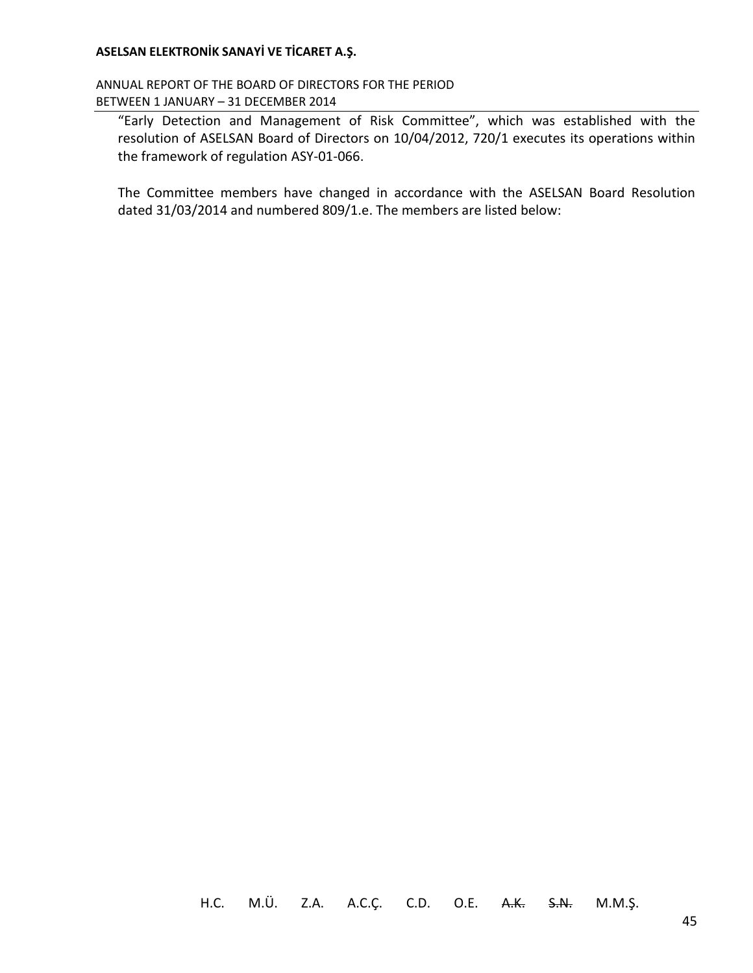ANNUAL REPORT OF THE BOARD OF DIRECTORS FOR THE PERIOD BETWEEN 1 JANUARY – 31 DECEMBER 2014

"Early Detection and Management of Risk Committee", which was established with the resolution of ASELSAN Board of Directors on 10/04/2012, 720/1 executes its operations within the framework of regulation ASY-01-066.

The Committee members have changed in accordance with the ASELSAN Board Resolution dated 31/03/2014 and numbered 809/1.e. The members are listed below: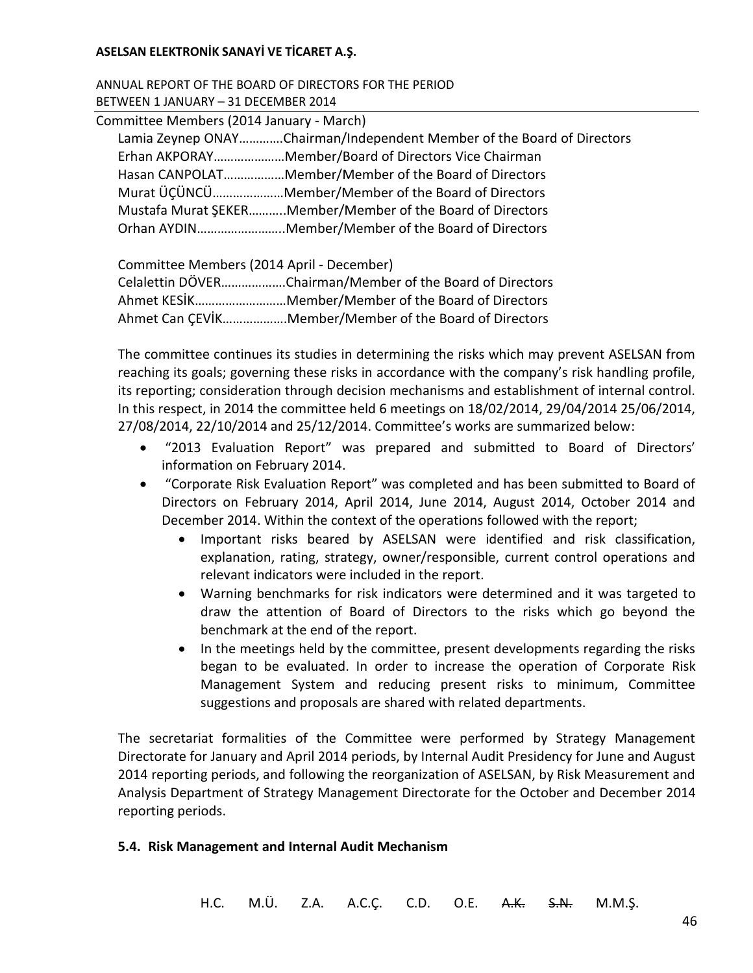ANNUAL REPORT OF THE BOARD OF DIRECTORS FOR THE PERIOD BETWEEN 1 JANUARY – 31 DECEMBER 2014

| Committee Members (2014 January - March) |                                                                        |
|------------------------------------------|------------------------------------------------------------------------|
|                                          | Lamia Zeynep ONAYChairman/Independent Member of the Board of Directors |
|                                          | Erhan AKPORAYMember/Board of Directors Vice Chairman                   |
|                                          | Hasan CANPOLATMember/Member of the Board of Directors                  |
|                                          | Murat ÜCÜNCÜMember/Member of the Board of Directors                    |
|                                          | Mustafa Murat SEKERMember/Member of the Board of Directors             |
|                                          | Orhan AYDINMember/Member of the Board of Directors                     |

Committee Members (2014 April - December) Celalettin DÖVER……………….Chairman/Member of the Board of Directors Ahmet KESİK………………………Member/Member of the Board of Directors Ahmet Can ÇEVİK……………….Member/Member of the Board of Directors

The committee continues its studies in determining the risks which may prevent ASELSAN from reaching its goals; governing these risks in accordance with the company's risk handling profile, its reporting; consideration through decision mechanisms and establishment of internal control. In this respect, in 2014 the committee held 6 meetings on 18/02/2014, 29/04/2014 25/06/2014, 27/08/2014, 22/10/2014 and 25/12/2014. Committee's works are summarized below:

- "2013 Evaluation Report" was prepared and submitted to Board of Directors' information on February 2014.
- "Corporate Risk Evaluation Report" was completed and has been submitted to Board of Directors on February 2014, April 2014, June 2014, August 2014, October 2014 and December 2014. Within the context of the operations followed with the report;
	- Important risks beared by ASELSAN were identified and risk classification, explanation, rating, strategy, owner/responsible, current control operations and relevant indicators were included in the report.
	- Warning benchmarks for risk indicators were determined and it was targeted to draw the attention of Board of Directors to the risks which go beyond the benchmark at the end of the report.
	- In the meetings held by the committee, present developments regarding the risks began to be evaluated. In order to increase the operation of Corporate Risk Management System and reducing present risks to minimum, Committee suggestions and proposals are shared with related departments.

The secretariat formalities of the Committee were performed by Strategy Management Directorate for January and April 2014 periods, by Internal Audit Presidency for June and August 2014 reporting periods, and following the reorganization of ASELSAN, by Risk Measurement and Analysis Department of Strategy Management Directorate for the October and December 2014 reporting periods.

# **5.4. Risk Management and Internal Audit Mechanism**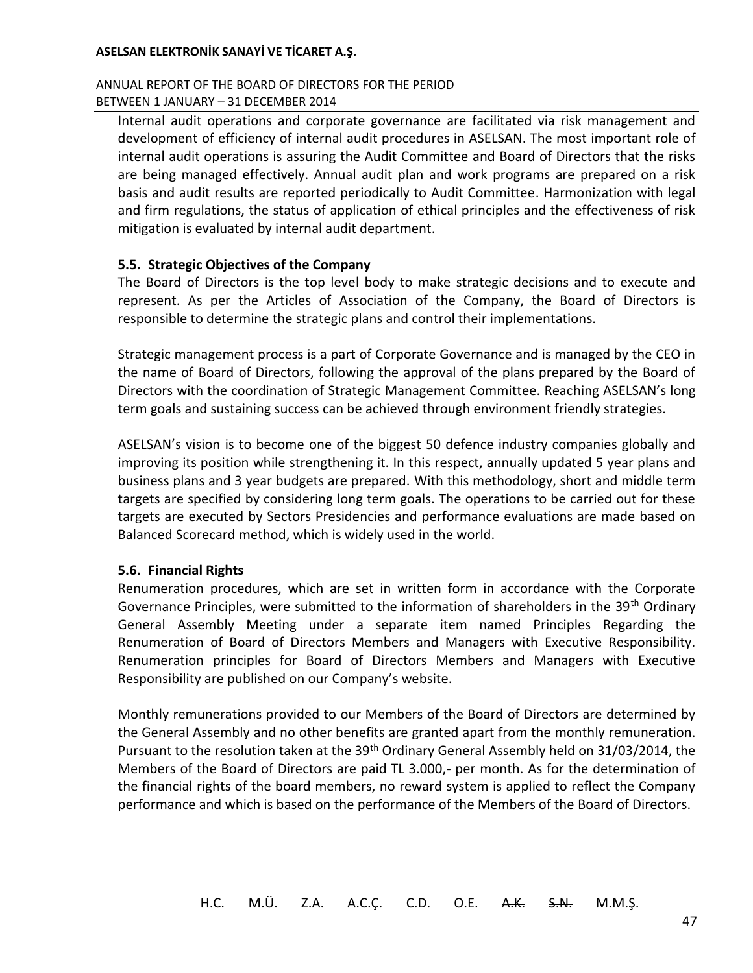### ANNUAL REPORT OF THE BOARD OF DIRECTORS FOR THE PERIOD BETWEEN 1 JANUARY – 31 DECEMBER 2014

Internal audit operations and corporate governance are facilitated via risk management and development of efficiency of internal audit procedures in ASELSAN. The most important role of internal audit operations is assuring the Audit Committee and Board of Directors that the risks are being managed effectively. Annual audit plan and work programs are prepared on a risk basis and audit results are reported periodically to Audit Committee. Harmonization with legal and firm regulations, the status of application of ethical principles and the effectiveness of risk mitigation is evaluated by internal audit department.

## **5.5. Strategic Objectives of the Company**

The Board of Directors is the top level body to make strategic decisions and to execute and represent. As per the Articles of Association of the Company, the Board of Directors is responsible to determine the strategic plans and control their implementations.

Strategic management process is a part of Corporate Governance and is managed by the CEO in the name of Board of Directors, following the approval of the plans prepared by the Board of Directors with the coordination of Strategic Management Committee. Reaching ASELSAN's long term goals and sustaining success can be achieved through environment friendly strategies.

ASELSAN's vision is to become one of the biggest 50 defence industry companies globally and improving its position while strengthening it. In this respect, annually updated 5 year plans and business plans and 3 year budgets are prepared. With this methodology, short and middle term targets are specified by considering long term goals. The operations to be carried out for these targets are executed by Sectors Presidencies and performance evaluations are made based on Balanced Scorecard method, which is widely used in the world.

### **5.6. Financial Rights**

Renumeration procedures, which are set in written form in accordance with the Corporate Governance Principles, were submitted to the information of shareholders in the 39<sup>th</sup> Ordinary General Assembly Meeting under a separate item named Principles Regarding the Renumeration of Board of Directors Members and Managers with Executive Responsibility. Renumeration principles for Board of Directors Members and Managers with Executive Responsibility are published on our Company's website.

Monthly remunerations provided to our Members of the Board of Directors are determined by the General Assembly and no other benefits are granted apart from the monthly remuneration. Pursuant to the resolution taken at the 39<sup>th</sup> Ordinary General Assembly held on 31/03/2014, the Members of the Board of Directors are paid TL 3.000,- per month. As for the determination of the financial rights of the board members, no reward system is applied to reflect the Company performance and which is based on the performance of the Members of the Board of Directors.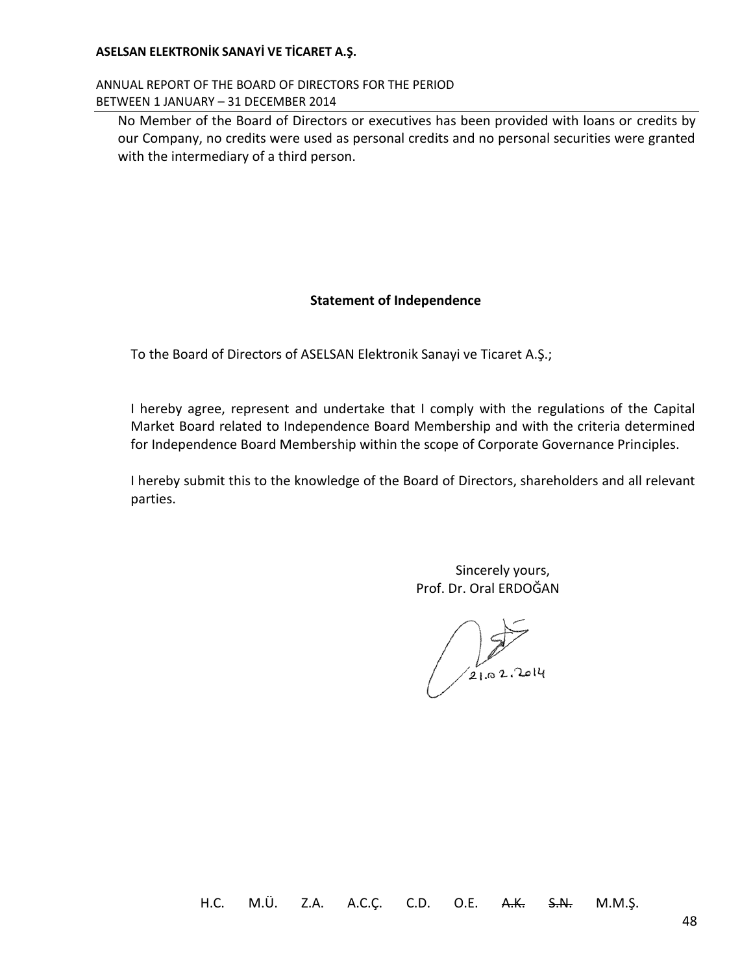ANNUAL REPORT OF THE BOARD OF DIRECTORS FOR THE PERIOD BETWEEN 1 JANUARY – 31 DECEMBER 2014

No Member of the Board of Directors or executives has been provided with loans or credits by our Company, no credits were used as personal credits and no personal securities were granted with the intermediary of a third person.

### **Statement of Independence**

To the Board of Directors of ASELSAN Elektronik Sanayi ve Ticaret A.Ş.;

I hereby agree, represent and undertake that I comply with the regulations of the Capital Market Board related to Independence Board Membership and with the criteria determined for Independence Board Membership within the scope of Corporate Governance Principles.

I hereby submit this to the knowledge of the Board of Directors, shareholders and all relevant parties.

> Sincerely yours, Prof. Dr. Oral ERDOĞAN

 $\frac{1}{21.02.2014}$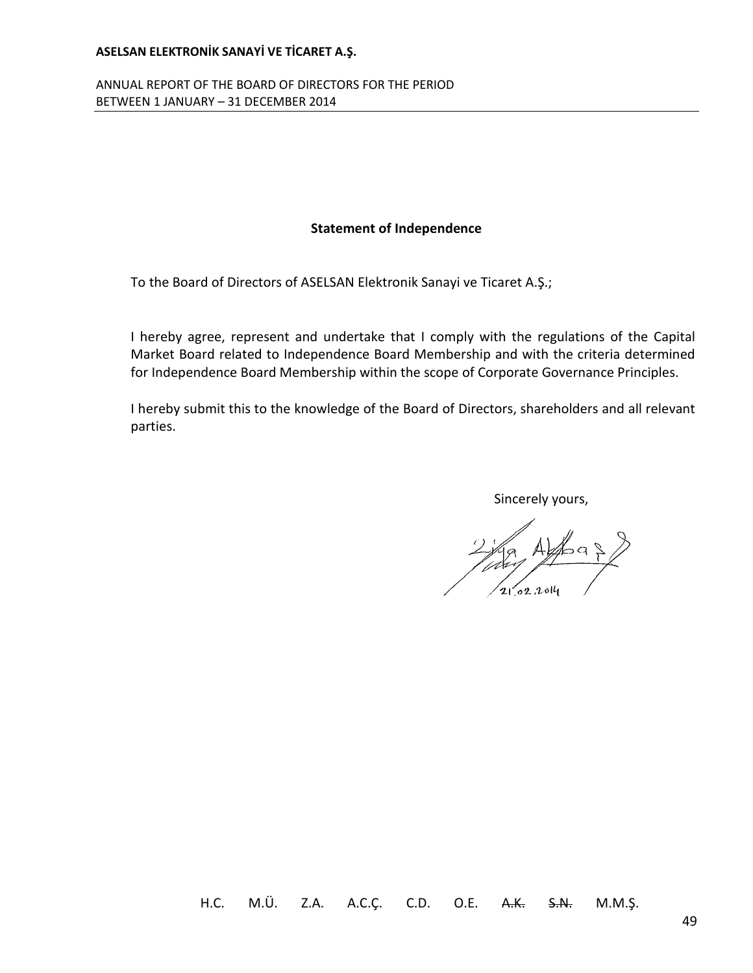ANNUAL REPORT OF THE BOARD OF DIRECTORS FOR THE PERIOD BETWEEN 1 JANUARY – 31 DECEMBER 2014

### **Statement of Independence**

To the Board of Directors of ASELSAN Elektronik Sanayi ve Ticaret A.Ş.;

I hereby agree, represent and undertake that I comply with the regulations of the Capital Market Board related to Independence Board Membership and with the criteria determined for Independence Board Membership within the scope of Corporate Governance Principles.

I hereby submit this to the knowledge of the Board of Directors, shareholders and all relevant parties.

Sincerely yours,

2 1/2 Alfra 2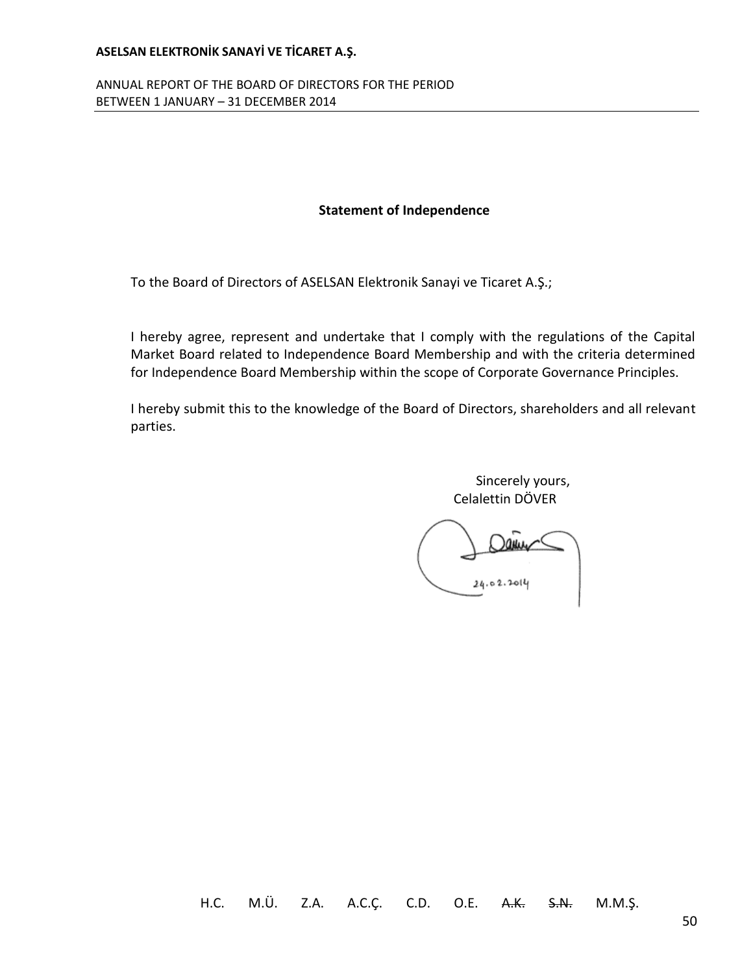ANNUAL REPORT OF THE BOARD OF DIRECTORS FOR THE PERIOD BETWEEN 1 JANUARY – 31 DECEMBER 2014

#### **Statement of Independence**

To the Board of Directors of ASELSAN Elektronik Sanayi ve Ticaret A.Ş.;

I hereby agree, represent and undertake that I comply with the regulations of the Capital Market Board related to Independence Board Membership and with the criteria determined for Independence Board Membership within the scope of Corporate Governance Principles.

I hereby submit this to the knowledge of the Board of Directors, shareholders and all relevant parties.

> Sincerely yours, Celalettin DÖVER

 $24.02.2011$